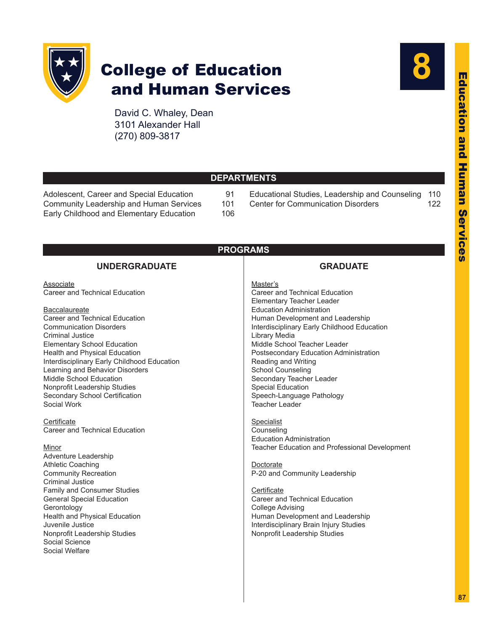

# College of Education and Human Services

David C. Whaley, Dean 3101 Alexander Hall (270) 809-3817



| <b>DEPARTMENTS</b> |  |
|--------------------|--|
|                    |  |

[Adolescent, Career and Special Education](#page-4-0) 91 [Community Leadership and Human Services](#page-14-0) 101<br>Early Childhood and Elementary Education 106 [Early Childhood and Elementary Education](#page-19-0)

- [Educational Studies, Leadership and Counseling](#page-23-0) 110 [Center for Communication Disorders](#page-35-0) 122
- 
- 

| <b>PROGRAMS</b>                                               |
|---------------------------------------------------------------|
| <b>GRADUATE</b>                                               |
| Master's                                                      |
| Career and Technical Education                                |
| Elementary Teacher Leader<br><b>Education Administration</b>  |
| Human Development and Leadership                              |
| Interdisciplinary Early Childhood Education                   |
| Library Media                                                 |
| Middle School Teacher Leader                                  |
| Postsecondary Education Administration<br>Reading and Writing |
| <b>School Counseling</b>                                      |
| Secondary Teacher Leader                                      |
| <b>Special Education</b>                                      |
| Speech-Language Pathology<br><b>Teacher Leader</b>            |
|                                                               |
| <b>Specialist</b>                                             |
| Counseling                                                    |
| <b>Education Administration</b>                               |
| Teacher Education and Professional Development                |
| Doctorate                                                     |
| P-20 and Community Leadership                                 |
|                                                               |
| Certificate<br>Career and Technical Education                 |
| <b>College Advising</b>                                       |
| Human Development and Leadership                              |
| Interdisciplinary Brain Injury Studies                        |
| Nonprofit Leadership Studies                                  |
|                                                               |
|                                                               |
|                                                               |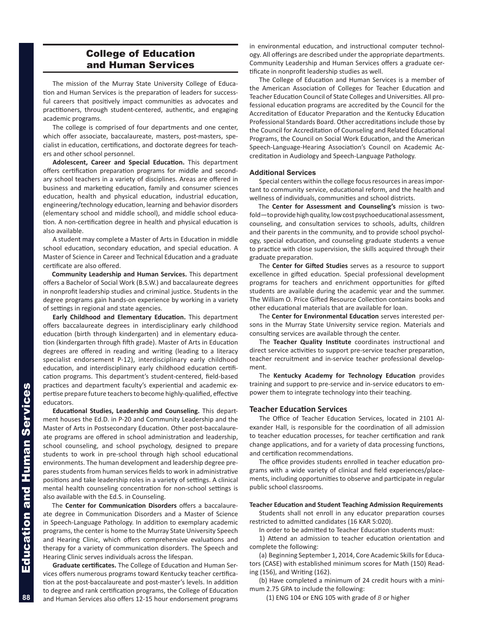# College of Education and Human Services

The mission of the Murray State University College of Education and Human Services is the preparation of leaders for successful careers that positively impact communities as advocates and practitioners, through student-centered, authentic, and engaging academic programs.

The college is comprised of four departments and one center, which offer associate, baccalaureate, masters, post-masters, specialist in education, certifications, and doctorate degrees for teachers and other school personnel.

**Adolescent, Career and Special Education.** This department offers certification preparation programs for middle and secondary school teachers in a variety of disciplines. Areas are offered in business and marketing education, family and consumer sciences education, health and physical education, industrial education, engineering/technology education, learning and behavior disorders (elementary school and middle school), and middle school education. A non-certification degree in health and physical education is also available.

A student may complete a Master of Arts in Education in middle school education, secondary education, and special education. A Master of Science in Career and Technical Education and a graduate certificate are also offered.

**Community Leadership and Human Services.** This department offers a Bachelor of Social Work (B.S.W.) and baccalaureate degrees in nonprofit leadership studies and criminal justice. Students in the degree programs gain hands-on experience by working in a variety of settings in regional and state agencies.

**Early Childhood and Elementary Education.** This department offers baccalaureate degrees in interdisciplinary early childhood education (birth through kindergarten) and in elementary education (kindergarten through fifth grade). Master of Arts in Education degrees are offered in reading and writing (leading to a literacy specialist endorsement P-12), interdisciplinary early childhood education, and interdisciplinary early childhood education certification programs. This department's student-centered, field-based practices and department faculty's experiential and academic expertise prepare future teachers to become highly-qualified, effective educators.

**Educational Studies, Leadership and Counseling.** This department houses the Ed.D. in P-20 and Community Leadership and the Master of Arts in Postsecondary Education. Other post-baccalaureate programs are offered in school administration and leadership, school counseling, and school psychology, designed to prepare students to work in pre-school through high school educational environments. The human development and leadership degree prepares students from human services fields to work in administrative positions and take leadership roles in a variety of settings. A clinical mental health counseling concentration for non-school settings is also available with the Ed.S. in Counseling.

The **Center for Communication Disorders** offers a baccalaureate degree in Communication Disorders and a Master of Science in Speech-Language Pathology. In addition to exemplary academic programs, the center is home to the Murray State University Speech and Hearing Clinic, which offers comprehensive evaluations and therapy for a variety of communication disorders. The Speech and Hearing Clinic serves individuals across the lifespan.

**Graduate certificates.** The College of Education and Human Services offers numerous programs toward Kentucky teacher certification at the post-baccalaureate and post-master's levels. In addition to degree and rank certification programs, the College of Education and Human Services also offers 12-15 hour endorsement programs in environmental education, and instructional computer technology. All offerings are described under the appropriate departments. Community Leadership and Human Services offers a graduate certificate in nonprofit leadership studies as well.

The College of Education and Human Services is a member of the American Association of Colleges for Teacher Education and Teacher Education Council of State Colleges and Universities. All professional education programs are accredited by the Council for the Accreditation of Educator Preparation and the Kentucky Education Professional Standards Board. Other accreditations include those by the Council for Accreditation of Counseling and Related Educational Programs, the Council on Social Work Education, and the American Speech-Language-Hearing Association's Council on Academic Accreditation in Audiology and Speech-Language Pathology.

# **Additional Services**

Special centers within the college focus resources in areas important to community service, educational reform, and the health and wellness of individuals, communities and school districts.

The **Center for Assessment and Counseling's** mission is twofold—to provide high quality, low cost psychoeducational assessment, counseling, and consultation services to schools, adults, children and their parents in the community, and to provide school psychology, special education, and counseling graduate students a venue to practice with close supervision, the skills acquired through their graduate preparation.

The **Center for Gifted Studies** serves as a resource to support excellence in gifted education. Special professional development programs for teachers and enrichment opportunities for gifted students are available during the academic year and the summer. The William O. Price Gifted Resource Collection contains books and other educational materials that are available for loan.

The **Center for Environmental Education** serves interested persons in the Murray State University service region. Materials and consulting services are available through the center.

The **Teacher Quality Institute** coordinates instructional and direct service activities to support pre-service teacher preparation, teacher recruitment and in-service teacher professional development.

The **Kentucky Academy for Technology Education** provides training and support to pre-service and in-service educators to empower them to integrate technology into their teaching.

# **Teacher Education Services**

The Office of Teacher Education Services, located in 2101 Alexander Hall, is responsible for the coordination of all admission to teacher education processes, for teacher certification and rank change applications, and for a variety of data processing functions, and certification recommendations.

The office provides students enrolled in teacher education programs with a wide variety of clinical and field experiences/placements, including opportunities to observe and participate in regular public school classrooms.

# **Teacher Education and Student Teaching Admission Requirements**

Students shall not enroll in any educator preparation courses restricted to admitted candidates (16 KAR 5:020).

In order to be admitted to Teacher Education students must:

1) Attend an admission to teacher education orientation and complete the following:

(a) Beginning September 1, 2014, Core Academic Skills for Educators (CASE) with established minimum scores for Math (150) Reading (156), and Writing (162).

(b) Have completed a minimum of 24 credit hours with a minimum 2.75 GPA to include the following:

(1) ENG 104 or ENG 105 with grade of *B* or higher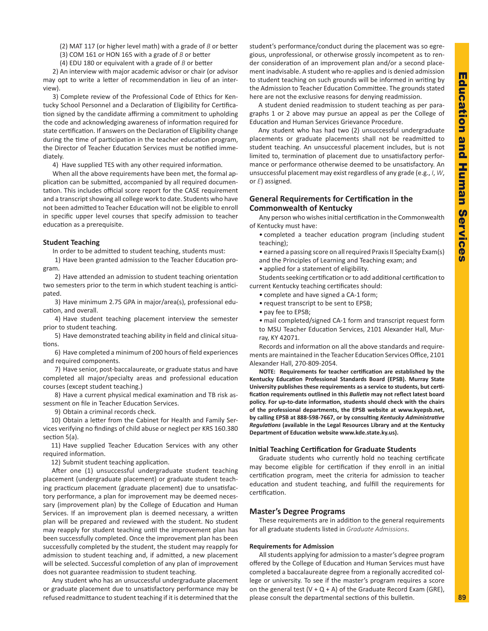(2) MAT 117 (or higher level math) with a grade of *B* or better

(3) COM 161 or HON 165 with a grade of *B* or better

(4) EDU 180 or equivalent with a grade of *B* or better

2) An interview with major academic advisor or chair (or advisor may opt to write a letter of recommendation in lieu of an interview).

3) Complete review of the Professional Code of Ethics for Kentucky School Personnel and a Declaration of Eligibility for Certification signed by the candidate affirming a commitment to upholding the code and acknowledging awareness of information required for state certification. If answers on the Declaration of Eligibility change during the time of participation in the teacher education program, the Director of Teacher Education Services must be notified immediately.

4) Have supplied TES with any other required information.

When all the above requirements have been met, the formal application can be submitted, accompanied by all required documentation. This includes official score report for the CASE requirement and a transcript showing all college work to date. Students who have not been admitted to Teacher Education will not be eligible to enroll in specific upper level courses that specify admission to teacher education as a prerequisite.

# **Student Teaching**

In order to be admitted to student teaching, students must:

1) Have been granted admission to the Teacher Education program.

2) Have attended an admission to student teaching orientation two semesters prior to the term in which student teaching is anticipated.

3) Have minimum 2.75 GPA in major/area(s), professional education, and overall.

4) Have student teaching placement interview the semester prior to student teaching.

5) Have demonstrated teaching ability in field and clinical situations.

6) Have completed a minimum of 200 hours of field experiences and required components.

7) Have senior, post-baccalaureate, or graduate status and have completed all major/specialty areas and professional education courses (except student teaching.)

8) Have a current physical medical examination and TB risk assessment on file in Teacher Education Services.

9) Obtain a criminal records check.

10) Obtain a letter from the Cabinet for Health and Family Services verifying no findings of child abuse or neglect per KRS 160.380 section 5(a).

11) Have supplied Teacher Education Services with any other required information.

12) Submit student teaching application.

After one (1) unsuccessful undergraduate student teaching placement (undergraduate placement) or graduate student teaching practicum placement (graduate placement) due to unsatisfactory performance, a plan for improvement may be deemed necessary (improvement plan) by the College of Education and Human Services. If an improvement plan is deemed necessary, a written plan will be prepared and reviewed with the student. No student may reapply for student teaching until the improvement plan has been successfully completed. Once the improvement plan has been successfully completed by the student, the student may reapply for admission to student teaching and, if admitted, a new placement will be selected. Successful completion of any plan of improvement does not guarantee readmission to student teaching.

Any student who has an unsuccessful undergraduate placement or graduate placement due to unsatisfactory performance may be refused readmittance to student teaching if it is determined that the student's performance/conduct during the placement was so egregious, unprofessional, or otherwise grossly incompetent as to render consideration of an improvement plan and/or a second placement inadvisable. A student who re-applies and is denied admission to student teaching on such grounds will be informed in writing by the Admission to Teacher Education Committee. The grounds stated here are not the exclusive reasons for denying readmission.

A student denied readmission to student teaching as per paragraphs 1 or 2 above may pursue an appeal as per the College of Education and Human Services Grievance Procedure.

Any student who has had two (2) unsuccessful undergraduate placements or graduate placements shall not be readmitted to student teaching. An unsuccessful placement includes, but is not limited to, termination of placement due to unsatisfactory performance or performance otherwise deemed to be unsatisfactory. An unsuccessful placement may exist regardless of any grade (e.g., *I*, *W*, or *E*) assigned.

# **General Requirements for Certification in the Commonwealth of Kentucky**

Any person who wishes initial certification in the Commonwealth of Kentucky must have:

• completed a teacher education program (including student teaching);

• earned a passing score on all required Praxis II Specialty Exam(s)

- and the Principles of Learning and Teaching exam; and
- applied for a statement of eligibility.

Students seeking certification or to add additional certification to current Kentucky teaching certificates should:

- complete and have signed a CA-1 form;
- request transcript to be sent to EPSB;
	- pay fee to EPSB;

• mail completed/signed CA-1 form and transcript request form to MSU Teacher Education Services, 2101 Alexander Hall, Murray, KY 42071.

Records and information on all the above standards and requirements are maintained in the Teacher Education Services Office, 2101 Alexander Hall, 270-809-2054.

**NOTE: Requirements for teacher certification are established by the Kentucky Education Professional Standards Board (EPSB). Murray State University publishes these requirements as a service to students, but certification requirements outlined in this** *Bulletin* **may not reflect latest board policy. For up-to-date information, students should check with the chairs of the professional departments, the EPSB website at www.kyepsb.net, by calling EPSB at 888-598-7667, or by consulting** *Kentucky Administrative Regulations* **(available in the Legal Resources Library and at the Kentucky Department of Education website www.kde.state.ky.us).**

# **Initial Teaching Certification for Graduate Students**

Graduate students who currently hold no teaching certificate may become eligible for certification if they enroll in an initial certification program, meet the criteria for admission to teacher education and student teaching, and fulfill the requirements for certification.

# **Master's Degree Programs**

These requirements are in addition to the general requirements for all graduate students listed in *Graduate Admissions*.

# **Requirements for Admission**

All students applying for admission to a master's degree program offered by the College of Education and Human Services must have completed a baccalaureate degree from a regionally accredited college or university. To see if the master's program requires a score on the general test  $(V + Q + A)$  of the Graduate Record Exam (GRE), please consult the departmental sections of this bulletin.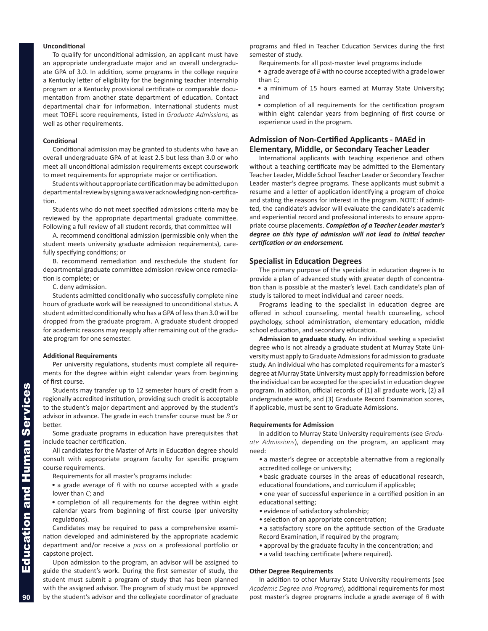# **Unconditional**

To qualify for unconditional admission, an applicant must have an appropriate undergraduate major and an overall undergraduate GPA of 3.0. In addition, some programs in the college require a Kentucky letter of eligibility for the beginning teacher internship program or a Kentucky provisional certificate or comparable documentation from another state department of education. Contact departmental chair for information. International students must meet TOEFL score requirements, listed in *Graduate Admissions,* as well as other requirements.

# **Conditional**

Conditional admission may be granted to students who have an overall undergraduate GPA of at least 2.5 but less than 3.0 or who meet all unconditional admission requirements except coursework to meet requirements for appropriate major or certification.

Students without appropriate certification may be admitted upon departmental review by signing a waiver acknowledging non-certification.

Students who do not meet specified admissions criteria may be reviewed by the appropriate departmental graduate committee. Following a full review of all student records, that committee will

A. recommend conditional admission (permissible only when the student meets university graduate admission requirements), carefully specifying conditions; or

B. recommend remediation and reschedule the student for departmental graduate committee admission review once remediation is complete; or

C. deny admission.

Students admitted conditionally who successfully complete nine hours of graduate work will be reassigned to unconditional status. A student admitted conditionally who has a GPA of less than 3.0 will be dropped from the graduate program. A graduate student dropped for academic reasons may reapply after remaining out of the graduate program for one semester.

# **Additional Requirements**

Per university regulations, students must complete all requirements for the degree within eight calendar years from beginning of first course.

Students may transfer up to 12 semester hours of credit from a regionally accredited institution, providing such credit is acceptable to the student's major department and approved by the student's advisor in advance. The grade in each transfer course must be *B* or better.

Some graduate programs in education have prerequisites that include teacher certification.

All candidates for the Master of Arts in Education degree should consult with appropriate program faculty for specific program course requirements.

Requirements for all master's programs include:

- a grade average of *B* with no course accepted with a grade lower than *C*; and
- completion of all requirements for the degree within eight calendar years from beginning of first course (per university regulations).

Candidates may be required to pass a comprehensive examination developed and administered by the appropriate academic department and/or receive a *pass* on a professional portfolio or capstone project.

Upon admission to the program, an advisor will be assigned to guide the student's work. During the first semester of study, the student must submit a program of study that has been planned with the assigned advisor. The program of study must be approved by the student's advisor and the collegiate coordinator of graduate programs and filed in Teacher Education Services during the first semester of study.

- Requirements for all post-master level programs include
- a grade average of *B* with no course accepted with a grade lower than *C*;

• a minimum of 15 hours earned at Murray State University; and

• completion of all requirements for the certification program within eight calendar years from beginning of first course or experience used in the program.

# **Admission of Non-Certified Applicants - MAEd in Elementary, Middle, or Secondary Teacher Leader**

International applicants with teaching experience and others without a teaching certificate may be admitted to the Elementary Teacher Leader, Middle School Teacher Leader or Secondary Teacher Leader master's degree programs. These applicants must submit a resume and a letter of application identifying a program of choice and stating the reasons for interest in the program. NOTE: If admitted, the candidate's advisor will evaluate the candidate's academic and experiential record and professional interests to ensure appropriate course placements. *Completion of a Teacher Leader master's degree on this type of admission will not lead to initial teacher certification or an endorsement.*

# **Specialist in Education Degrees**

The primary purpose of the specialist in education degree is to provide a plan of advanced study with greater depth of concentration than is possible at the master's level. Each candidate's plan of study is tailored to meet individual and career needs.

Programs leading to the specialist in education degree are offered in school counseling, mental health counseling, school psychology, school administration, elementary education, middle school education, and secondary education.

**Admission to graduate study.** An individual seeking a specialist degree who is not already a graduate student at Murray State University must apply to Graduate Admissions for admission to graduate study. An individual who has completed requirements for a master's degree at Murray State University must apply for readmission before the individual can be accepted for the specialist in education degree program. In addition, official records of (1) all graduate work, (2) all undergraduate work, and (3) Graduate Record Examination scores, if applicable, must be sent to Graduate Admissions.

# **Requirements for Admission**

In addition to Murray State University requirements (see *Graduate Admissions*), depending on the program, an applicant may need:

- a master's degree or acceptable alternative from a regionally accredited college or university;
- basic graduate courses in the areas of educational research, educational foundations, and curriculum if applicable;
- one year of successful experience in a certified position in an educational setting;
- evidence of satisfactory scholarship;
- selection of an appropriate concentration;
- a satisfactory score on the aptitude section of the Graduate Record Examination, if required by the program;
- approval by the graduate faculty in the concentration; and
- a valid teaching certificate (where required).

## **Other Degree Requirements**

In addition to other Murray State University requirements (see *Academic Degree and Programs*), additional requirements for most post master's degree programs include a grade average of *B* with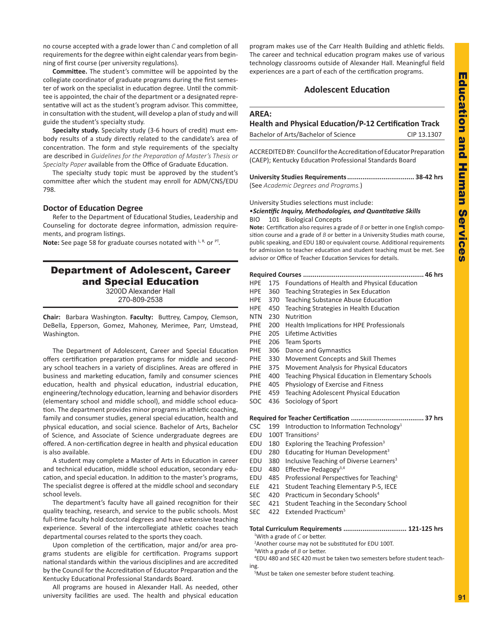<span id="page-4-0"></span>no course accepted with a grade lower than *C* and completion of all requirements for the degree within eight calendar years from beginning of first course (per university regulations).

**Committee.** The student's committee will be appointed by the collegiate coordinator of graduate programs during the first semester of work on the specialist in education degree. Until the committee is appointed, the chair of the department or a designated representative will act as the student's program advisor. This committee, in consultation with the student, will develop a plan of study and will guide the student's specialty study.

**Specialty study.** Specialty study (3-6 hours of credit) must embody results of a study directly related to the candidate's area of concentration. The form and style requirements of the specialty are described in *Guidelines for the Preparation of Master's Thesis or Specialty Paper* available from the Office of Graduate Education.

The specialty study topic must be approved by the student's committee after which the student may enroll for ADM/CNS/EDU 798.

# **Doctor of Education Degree**

Refer to the Department of Educational Studies, Leadership and Counseling for doctorate degree information, admission requirements, and program listings.

Note: See page 58 for graduate courses notated with L, R, or PT.

# Department of Adolescent, Career and Special Education

3200D Alexander Hall 270-809-2538

**Chair:** Barbara Washington. **Faculty:** Buttrey, Campoy, Clemson, DeBella, Epperson, Gomez, Mahoney, Merimee, Parr, Umstead, Washington.

The Department of Adolescent, Career and Special Education offers certification preparation programs for middle and secondary school teachers in a variety of disciplines. Areas are offered in business and marketing education, family and consumer sciences education, health and physical education, industrial education, engineering/technology education, learning and behavior disorders (elementary school and middle school), and middle school education. The department provides minor programs in athletic coaching, family and consumer studies, general special education, health and physical education, and social science. Bachelor of Arts, Bachelor of Science, and Associate of Science undergraduate degrees are offered. A non-certification degree in health and physical education is also available.

A student may complete a Master of Arts in Education in career and technical education, middle school education, secondary education, and special education. In addition to the master's programs, The specialist degree is offered at the middle school and secondary school levels.

The department's faculty have all gained recognition for their quality teaching, research, and service to the public schools. Most full-time faculty hold doctoral degrees and have extensive teaching experience. Several of the intercollegiate athletic coaches teach departmental courses related to the sports they coach.

Upon completion of the certification, major and/or area programs students are eligible for certification. Programs support national standards within the various disciplines and are accredited by the Council for the Accreditation of Educator Preparation and the Kentucky Educational Professional Standards Board.

All programs are housed in Alexander Hall. As needed, other university facilities are used. The health and physical education program makes use of the Carr Health Building and athletic fields. The career and technical education program makes use of various technology classrooms outside of Alexander Hall. Meaningful field experiences are a part of each of the certification programs.

# **Adolescent Education**

# **AREA:**

# **Health and Physical Education/P-12 Certification Track**

| Bachelor of Arts/Bachelor of Science | CIP 13.1307 |
|--------------------------------------|-------------|
|--------------------------------------|-------------|

ACCREDITED BY: Council for the Accreditation of Educator Preparation (CAEP); Kentucky Education Professional Standards Board

| (See Academic Degrees and Programs.) |  |
|--------------------------------------|--|

University Studies selections must include:

# •*Scientific Inquiry, Methodologies, and Quantitative Skills* BIO 101 Biological Concepts

**Note:** Certification also requires a grade of *B* or better in one English composition course and a grade of *B* or better in a University Studies math course, public speaking, and EDU 180 or equivalent course. Additional requirements for admission to teacher education and student teaching must be met. See advisor or Office of Teacher Education Services for details.

# **Required Courses ............................................................... 46 hrs**

- HPE 175 Foundations of Health and Physical Education
- HPE 360 Teaching Strategies in Sex Education
- HPE 370 Teaching Substance Abuse Education
- HPE 450 Teaching Strategies in Health Education
- NTN 230 Nutrition
- PHE 200 Health Implications for HPE Professionals
- PHE 205 Lifetime Activities
- PHE 206 Team Sports
- PHE 306 Dance and Gymnastics
- PHE 330 Movement Concepts and Skill Themes
- PHE 375 Movement Analysis for Physical Educators
- PHE 400 Teaching Physical Education in Elementary Schools
- PHE 405 Physiology of Exercise and Fitness
- PHE 459 Teaching Adolescent Physical Education
- SOC 436 Sociology of Sport

# **Required for Teacher Certification ...................................... 37 hrs**

- CSC 199 Introduction to Information Technology<sup>1</sup>
- EDU 100T Transitions<sup>2</sup>
- EDU 180 Exploring the Teaching Profession<sup>3</sup>
- EDU 280 Educating for Human Development<sup>3</sup>
- EDU 380 Inclusive Teaching of Diverse Learners<sup>3</sup>
- EDU 480 Effective Pedagogy3,4
- EDU 485 Professional Perspectives for Teaching<sup>5</sup>
- ELE 421 Student Teaching Elementary P-5, IECE
- SEC 420 Practicum in Secondary Schools<sup>4</sup>
- SEC 421 Student Teaching in the Secondary School
- SEC 422 Extended Practicum<sup>5</sup>

# **Total Curriculum Requirements ................................. 121-125 hrs**

1 With a grade of *C* or better.

2 Another course may not be substituted for EDU 100T. 3 With a grade of *B* or better.

4 EDU 480 and SEC 420 must be taken two semesters before student teaching.

5 Must be taken one semester before student teaching.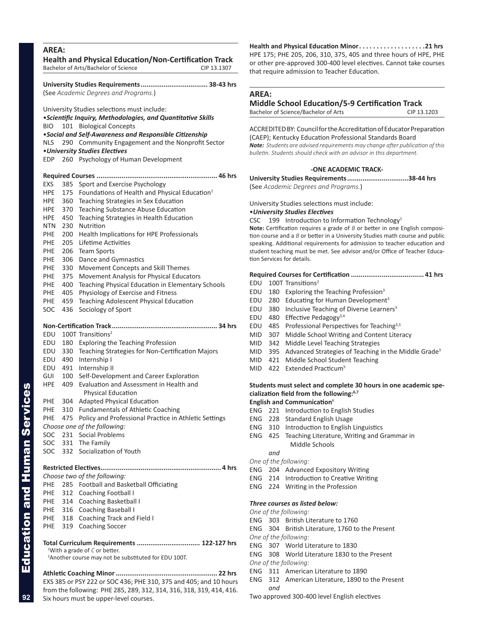<span id="page-5-0"></span>

| <b>AREA:</b> |            | Health and Physical Education/Non-Certification Track<br>Bachelor of Arts/Bachelor of Science                   | CIP 13.1307 |
|--------------|------------|-----------------------------------------------------------------------------------------------------------------|-------------|
|              |            |                                                                                                                 |             |
|              |            | (See Academic Degrees and Programs.)                                                                            |             |
|              |            | University Studies selections must include:                                                                     |             |
|              |            | • Scientific Inquiry, Methodologies, and Quantitative Skills                                                    |             |
| <b>BIO</b>   | 101        | <b>Biological Concepts</b>                                                                                      |             |
|              |            | . Social and Self-Awareness and Responsible Citizenship                                                         |             |
| <b>NLS</b>   | 290        | Community Engagement and the Nonprofit Sector                                                                   |             |
| EDP          | 260        | • University Studies Electives<br>Psychology of Human Development                                               |             |
|              |            |                                                                                                                 |             |
|              |            |                                                                                                                 |             |
| EXS          | 385        | Sport and Exercise Psychology                                                                                   |             |
| <b>HPE</b>   | 175        | Foundations of Health and Physical Education <sup>1</sup>                                                       |             |
| HPE.         | 360        | Teaching Strategies in Sex Education                                                                            |             |
| HPE.         | 370        | Teaching Substance Abuse Education                                                                              |             |
| HPE.         | 450        | Teaching Strategies in Health Education                                                                         |             |
| NTN.         | 230        | Nutrition<br>Health Implications for HPE Professionals                                                          |             |
| PHE.<br>PHE. | 200<br>205 | Lifetime Activities                                                                                             |             |
| PHE          | 206        | <b>Team Sports</b>                                                                                              |             |
| PHE.         | 306        | Dance and Gymnastics                                                                                            |             |
| PHE.         | 330        | Movement Concepts and Skill Themes                                                                              |             |
| PHE          | 375        | Movement Analysis for Physical Educators                                                                        |             |
| PHE          | 400        | Teaching Physical Education in Elementary Schools                                                               |             |
| PHE.         | 405        | Physiology of Exercise and Fitness                                                                              |             |
| PHE.         | 459        | <b>Teaching Adolescent Physical Education</b>                                                                   |             |
| SOC          | 436        | Sociology of Sport                                                                                              |             |
|              |            |                                                                                                                 |             |
| EDU          |            | 100T Transitions <sup>2</sup>                                                                                   |             |
| EDU          | 180        | Exploring the Teaching Profession                                                                               |             |
| EDU          | 330        | Teaching Strategies for Non-Certification Majors                                                                |             |
| EDU          | 490        | Internship I                                                                                                    |             |
| EDU          | 491        | Internship II                                                                                                   |             |
| GUI          | 100        | Self-Development and Career Exploration                                                                         |             |
| <b>HPE</b>   | 409        | Evaluation and Assessment in Health and                                                                         |             |
|              |            | <b>Physical Education</b>                                                                                       |             |
| PHE          | 304        | <b>Adapted Physical Education</b>                                                                               |             |
| PHE          | 310        | <b>Fundamentals of Athletic Coaching</b>                                                                        |             |
| PHE          | 475        | Policy and Professional Practice in Athletic Settings                                                           |             |
|              |            | Choose one of the following:                                                                                    |             |
| SOC          |            | 231 Social Problems                                                                                             |             |
| SOC<br>SOC   | 332        | 331 The Family<br>Socialization of Youth                                                                        |             |
|              |            |                                                                                                                 |             |
|              |            |                                                                                                                 |             |
|              |            | Choose two of the following:                                                                                    |             |
| PHE          |            | 285 Football and Basketball Officiating                                                                         |             |
| PHE          |            | 312 Coaching Football I                                                                                         |             |
|              |            | PHE 314 Coaching Basketball I                                                                                   |             |
| PHE          | $PHE$ 318  | 316 Coaching Baseball I                                                                                         |             |
| PHE          | 319        | Coaching Track and Field I<br><b>Coaching Soccer</b>                                                            |             |
|              |            |                                                                                                                 |             |
|              |            | Total Curriculum Requirements  122-127 hrs                                                                      |             |
|              |            | <sup>1</sup> With a grade of $C$ or better.<br><sup>2</sup> Another course may not be substituted for EDU 100T. |             |
|              |            |                                                                                                                 |             |
|              |            | EXS 385 or PSY 222 or SOC 436; PHE 310, 375 and 405; and 10 hours                                               |             |

from the following: PHE 285, 289, 312, 314, 316, 318, 319, 414, 416.

Six hours must be upper-level courses.

**Health and Physical Education Minor. 21 hrs** HPE 175; PHE 205, 206, 310, 375, 405 and three hours of HPE, PHE or other pre-approved 300-400 level electives. Cannot take courses that require admission to Teacher Education.

# **AREA:**

# **Middle School Education/5-9 Certification Track**

Bachelor of Science/Bachelor of Arts CIP 13.1203

ACCREDITED BY: Council for the Accreditation of Educator Preparation (CAEP); Kentucky Education Professional Standards Board *Note: Students are advised requirements may change after publication of this bulletin. Students should check with an advisor in this department.*

# **-ONE ACADEMIC TRACK-**

**University Studies Requirements................................38-44 hrs** (See *Academic Degrees and Programs.*)

University Studies selections must include:

# •*University Studies Electives*

CSC 199 Introduction to Information Technology<sup>1</sup>

**Note:** Certification requires a grade of *B* or better in one English composition course and a *B* or better in a University Studies math course and public speaking. Additional requirements for admission to teacher education and student teaching must be met. See advisor and/or Office of Teacher Education Services for details.

# **Required Courses for Certification ...................................... 41 hrs**

- EDU 100T Transitions<sup>2</sup>
- EDU 180 Exploring the Teaching Profession<sup>3</sup>
- EDU 280 Educating for Human Development<sup>3</sup>
- EDU 380 Inclusive Teaching of Diverse Learners<sup>3</sup>
- EDU 480 Effective Pedagogy $3,4$
- EDU 485 Professional Perspectives for Teaching<sup>3,5</sup>
- MID 307 Middle School Writing and Content Literacy
- MID 342 Middle Level Teaching Strategies
- MID 395 Advanced Strategies of Teaching in the Middle Grade<sup>3</sup>
- MID 421 Middle School Student Teaching
- MID 422 Extended Practicum<sup>5</sup>

# **Students must select and complete 30 hours in one academic specialization field from the following:6,7**

# **English and Communication**<sup>6</sup>

- ENG 221 Introduction to English Studies
- ENG 228 Standard English Usage
- ENG 310 Introduction to English Linguistics
- ENG 425 Teaching Literature, Writing and Grammar in Middle Schools

# *and*

- *One of the following:* ENG 204 Advanced Expository Writing
- ENG 214 Introduction to Creative Writing
- ENG 224 Writing in the Profession

# *Three courses as listed below:*

- *One of the following:*
- ENG 303 British Literature to 1760
- ENG 304 British Literature, 1760 to the Present

*One of the following:*

- ENG 307 World Literature to 1830
- ENG 308 World Literature 1830 to the Present
- *One of the following:*
- ENG 311 American Literature to 1890
- ENG 312 American Literature, 1890 to the Present *and*

Two approved 300-400 level English electives

**92**

Education and Human Services

**Education and Human Services**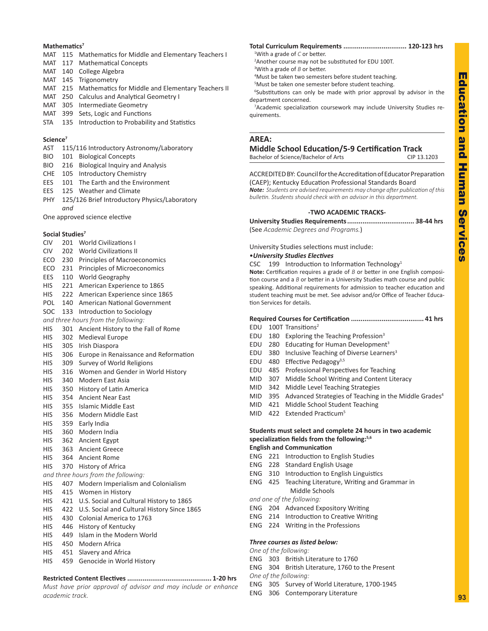# Education Education and Human Services and Human Service

**93**

# **Mathematics7**

- MAT 115 Mathematics for Middle and Elementary Teachers I
- MAT 117 Mathematical Concepts
- MAT 140 College Algebra
- MAT 145 Trigonometry
- MAT 215 Mathematics for Middle and Elementary Teachers II
- MAT 250 Calculus and Analytical Geometry I
- MAT 305 Intermediate Geometry
- MAT 399 Sets, Logic and Functions
- STA 135 Introduction to Probability and Statistics

# **Science7**

- AST 115/116 Introductory Astronomy/Laboratory
- BIO 101 Biological Concepts
- BIO 216 Biological Inquiry and Analysis
- CHE 105 Introductory Chemistry
- EES 101 The Earth and the Environment
- EES 125 Weather and Climate
- PHY 125/126 Brief Introductory Physics/Laboratory *and*

One approved science elective

# **Social Studies7**

- CIV 201 World Civilizations I
- CIV 202 World Civilizations II
- ECO 230 Principles of Macroeconomics
- ECO 231 Principles of Microeconomics
- EES 110 World Geography
- HIS 221 American Experience to 1865
- HIS 222 American Experience since 1865
- POL 140 American National Government
- SOC 133 Introduction to Sociology
- *and three hours from the following:*
- HIS 301 Ancient History to the Fall of Rome
- HIS 302 Medieval Europe
- HIS 305 Irish Diaspora
- HIS 306 Europe in Renaissance and Reformation
- HIS 309 Survey of World Religions
- HIS 316 Women and Gender in World History
- HIS 340 Modern East Asia
- HIS 350 History of Latin America
- HIS 354 Ancient Near East
- HIS 355 Islamic Middle East
- HIS 356 Modern Middle East
- HIS 359 Early India
- HIS 360 Modern India
- HIS 362 Ancient Egypt
- HIS 363 Ancient Greece
- HIS 364 Ancient Rome
- HIS 370 History of Africa
- *and three hours from the following:*
- HIS 407 Modern Imperialism and Colonialism
- HIS 415 Women in History
- HIS 421 U.S. Social and Cultural History to 1865
- HIS 422 U.S. Social and Cultural History Since 1865
- HIS 430 Colonial America to 1763
- HIS 446 History of Kentucky
- HIS 449 Islam in the Modern World
- HIS 450 Modern Africa
- HIS 451 Slavery and Africa
- HIS 459 Genocide in World History

# **Restricted Content Electives ............................................ 1-20 hrs**

*Must have prior approval of advisor and may include or enhance academic track.*

- **Total Curriculum Requirements ................................. 120-123 hrs** 1 With a grade of *C* or better.
- 2 Another course may not be substituted for EDU 100T.
- 3 With a grade of *B* or better.
- 4 Must be taken two semesters before student teaching.
- 5 Must be taken one semester before student teaching.
- <sup>6</sup>Substitutions can only be made with prior approval by advisor in the department concerned.

7 Academic specialization coursework may include University Studies requirements.

# **AREA:**

# **Middle School Education/5-9 Certification Track**

Bachelor of Science/Bachelor of Arts CIP 13.1203

ACCREDITED BY: Council for the Accreditation of Educator Preparation (CAEP); Kentucky Education Professional Standards Board *Note: Students are advised requirements may change after publication of this* 

*bulletin. Students should check with an advisor in this department.*

# **-TWO ACADEMIC TRACKS-**

**University Studies Requirements................................... 38-44 hrs** (See *Academic Degrees and Programs.*)

University Studies selections must include:

# •*University Studies Electives*

CSC  $199$  Introduction to Information Technology<sup>1</sup>

**Note:** Certification requires a grade of *B* or better in one English composition course and a *B* or better in a University Studies math course and public speaking. Additional requirements for admission to teacher education and student teaching must be met. See advisor and/or Office of Teacher Education Services for details.

# **Required Courses for Certification ...................................... 41 hrs**

- EDU 100T Transitions<sup>2</sup>
- EDU 180 Exploring the Teaching Profession<sup>3</sup>
- EDU 280 Educating for Human Development<sup>3</sup>
- EDU 380 Inclusive Teaching of Diverse Learners<sup>3</sup>
- EDU 480 Effective Pedagogy3,5
- EDU 485 Professional Perspectives for Teaching
- MID 307 Middle School Writing and Content Literacy
- MID 342 Middle Level Teaching Strategies
- MID 395 Advanced Strategies of Teaching in the Middle Grades<sup>4</sup>
- MID 421 Middle School Student Teaching
- MID 422 Extended Practicum<sup>5</sup>

**Students must select and complete 24 hours in two academic specialization fields from the following:5,6 English and Communication**

- ENG 221 Introduction to English Studies
- ENG 228 Standard English Usage
- ENG 310 Introduction to English Linguistics
- ENG 425 Teaching Literature, Writing and Grammar in Middle Schools

*and one of the following:*

*One of the following:*

*One of the following:*

- ENG 204 Advanced Expository Writing
- ENG 214 Introduction to Creative Writing

ENG 304 British Literature, 1760 to the Present

ENG 305 Survey of World Literature, 1700-1945

ENG 224 Writing in the Professions

ENG 303 British Literature to 1760

ENG 306 Contemporary Literature

*Three courses as listed below:*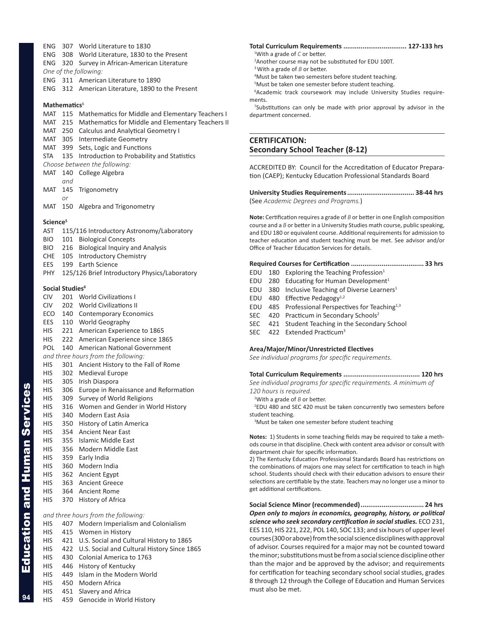MAT 115 Mathematics for Middle and Elementary Teachers I MAT 215 Mathematics for Middle and Elementary Teachers II MAT 250 Calculus and Analytical Geometry I MAT 305 Intermediate Geometry MAT 399 Sets, Logic and Functions STA 135 Introduction to Probability and Statistics *Choose between the following:* MAT 140 College Algebra *and* MAT 145 Trigonometry *or* MAT 150 Algebra and Trigonometry **Science5** AST 115/116 Introductory Astronomy/Laboratory BIO 101 Biological Concepts BIO 216 Biological Inquiry and Analysis CHE 105 Introductory Chemistry EES 199 Earth Science PHY 125/126 Brief Introductory Physics/Laboratory **Social Studies<sup>6</sup>** CIV 201 World Civilizations I CIV 202 World Civilizations II ECO 140 Contemporary Economics EES 110 World Geography HIS 221 American Experience to 1865 HIS 222 American Experience since 1865 POL 140 American National Government *and three hours from the following:* HIS 301 Ancient History to the Fall of Rome HIS 302 Medieval Europe HIS 305 Irish Diaspora HIS 306 Europe in Renaissance and Reformation HIS 309 Survey of World Religions HIS 316 Women and Gender in World History HIS 340 Modern East Asia HIS 350 History of Latin America HIS 354 Ancient Near East HIS 355 Islamic Middle East HIS 356 Modern Middle East HIS 359 Early India HIS 360 Modern India HIS 362 Ancient Egypt HIS 363 Ancient Greece HIS 364 Ancient Rome HIS 370 History of Africa *and three hours from the following:* HIS 407 Modern Imperialism and Colonialism HIS 415 Women in History HIS 421 U.S. Social and Cultural History to 1865 HIS 422 U.S. Social and Cultural History Since 1865 HIS 430 Colonial America to 1763 HIS 446 History of Kentucky

<span id="page-7-0"></span>ENG 307 World Literature to 1830

ENG 311 American Literature to 1890

*One of the following:*

**Mathematics**<sup>6</sup>

ENG 308 World Literature, 1830 to the Present ENG 320 Survey in African-American Literature

ENG 312 American Literature, 1890 to the Present

- HIS 449 Islam in the Modern World
- HIS 450 Modern Africa
- HIS 451 Slavery and Africa
- HIS 459 Genocide in World History
- **Total Curriculum Requirements ................................. 127-133 hrs**
	- 1 With a grade of *C* or better. 2 Another course may not be substituted for EDU 100T.
- <sup>3</sup>With a grade of *B* or better.
- 4 Must be taken two semesters before student teaching.
- 5 Must be taken one semester before student teaching.

6 Academic track coursework may include University Studies requirements.

<sup>7</sup>Substitutions can only be made with prior approval by advisor in the department concerned.

# **CERTIFICATION: Secondary School Teacher (8-12)**

ACCREDITED BY: Council for the Accreditation of Educator Preparation (CAEP); Kentucky Education Professional Standards Board

**University Studies Requirements................................... 38-44 hrs** (See *Academic Degrees and Programs.*)

**Note:** Certification requires a grade of *B* or better in one English composition course and a *B* or better in a University Studies math course, public speaking, and EDU 180 or equivalent course. Additional requirements for admission to teacher education and student teaching must be met. See advisor and/or Office of Teacher Education Services for details.

# **Required Courses for Certification ...................................... 33 hrs**

- EDU 180 Exploring the Teaching Profession $1$
- EDU 280 Educating for Human Development<sup>1</sup>
- EDU 380 Inclusive Teaching of Diverse Learners<sup>1</sup>
- EDU 480 Effective Pedagogy $1,2$
- EDU 485 Professional Perspectives for Teaching $1,3$
- SEC 420 Practicum in Secondary Schools<sup>2</sup>
- SEC 421 Student Teaching in the Secondary School
- SEC 422 Extended Practicum<sup>3</sup>

# **Area/Major/Minor/Unrestricted Electives**

*See individual programs for specific requirements.*

# **Total Curriculum Requirements ........................................ 120 hrs**

*See individual programs for specific requirements. A minimum of 120 hours is required.* 

1 With a grade of *B* or better.

2 EDU 480 and SEC 420 must be taken concurrently two semesters before student teaching.

<sup>3</sup>Must be taken one semester before student teaching

**Notes:** 1) Students in some teaching fields may be required to take a methods course in that discipline. Check with content area advisor or consult with department chair for specific information.

2) The Kentucky Education Professional Standards Board has restrictions on the combinations of majors one may select for certification to teach in high school. Students should check with their education advisors to ensure their selections are certifiable by the state. Teachers may no longer use a minor to get additional certifications.

**Social Science Minor (recommended)................................. 24 hrs** *Open only to majors in economics, geography, history, or political science who seek secondary certification in social studies.* ECO 231, EES 110, HIS 221, 222, POL 140, SOC 133; and six hours of upper level courses (300 or above) from the social science disciplines with approval of advisor. Courses required for a major may not be counted toward the minor; substitutions must be from a social science discipline other than the major and be approved by the advisor; and requirements for certification for teaching secondary school social studies, grades 8 through 12 through the College of Education and Human Services must also be met.

# **94**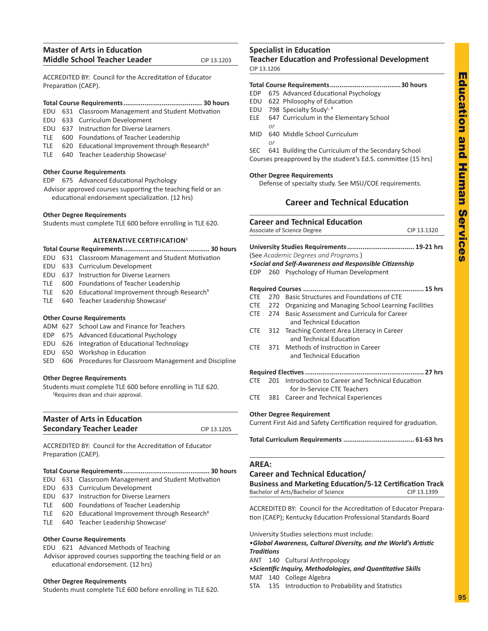# <span id="page-8-0"></span>**Master of Arts in Education Middle School Teacher Leader** CIP 13.1203

ACCREDITED BY: Council for the Accreditation of Educator Preparation (CAEP).

# **Total Course Requirements......................................... 30 hours**

- EDU 631 Classroom Management and Student Motivation
- EDU 633 Curriculum Development
- EDU 637 Instruction for Diverse Learners
- TLE 600 Foundations of Teacher Leadership
- TLE  $620$  Educational Improvement through Research<sup>R</sup>
- TLE 640 Teacher Leadership ShowcaseL

# **Other Course Requirements**

EDP 675 Advanced Educational Psychology Advisor approved courses supporting the teaching field or an educational endorsement specialization. (12 hrs)

# **Other Degree Requirements**

Students must complete TLE 600 before enrolling in TLE 620.

# **ALTERNATIVE CERTIFICATION1**

- **Total Course Requirements............................................. 30 hours**
- EDU 631 Classroom Management and Student Motivation
- EDU 633 Curriculum Development
- EDU 637 Instruction for Diverse Learners
- TLE 600 Foundations of Teacher Leadership
- TLE  $620$  Educational Improvement through Research<sup>R</sup>
- TLE 640 Teacher Leadership ShowcaseL

# **Other Course Requirements**

- ADM 627 School Law and Finance for Teachers
- EDP 675 Advanced Educational Psychology
- EDU 626 Integration of Educational Technology
- EDU 650 Workshop in Education
- SED 606 Procedures for Classroom Management and Discipline

# **Other Degree Requirements**

Students must complete TLE 600 before enrolling in TLE 620. 1 Requires dean and chair approval.

| <b>Master of Arts in Education</b> |             |
|------------------------------------|-------------|
| <b>Secondary Teacher Leader</b>    | CIP 13.1205 |
|                                    |             |

ACCREDITED BY: Council for the Accreditation of Educator Preparation (CAEP).

# **Total Course Requirements............................................. 30 hours**

- EDU 631 Classroom Management and Student Motivation
- EDU 633 Curriculum Development
- EDU 637 Instruction for Diverse Learners
- TLE 600 Foundations of Teacher Leadership
- TLE  $620$  Educational Improvement through Research<sup>R</sup>
- TLE 640 Teacher Leadership ShowcaseL

# **Other Course Requirements**

- EDU 621 Advanced Methods of Teaching
- Advisor approved courses supporting the teaching field or an educational endorsement. (12 hrs)

# **Other Degree Requirements**

Students must complete TLE 600 before enrolling in TLE 620.

# **Specialist in Education Teacher Education and Professional Development**

CIP 13.1206

# **Total Course Requirements.....................................30 hours** EDP 675 Advanced Educational Psychology EDU 622 Philosophy of Education EDU 798 Specialty StudyL, R ELE 647 Curriculum in the Elementary School *or* MID 640 Middle School Curriculum *or* SEC 641 Building the Curriculum of the Secondary School Courses preapproved by the student's Ed.S. committee (15 hrs)

# **Other Degree Requirements**

Defense of specialty study. See MSU/COE requirements.

# **Career and Technical Education**

|            |     | <b>Career and Technical Education</b>                      |             |
|------------|-----|------------------------------------------------------------|-------------|
|            |     | Associate of Science Degree                                | CIP 13.1320 |
|            |     | (See Academic Degrees and Programs.)                       |             |
|            |     | • Social and Self-Awareness and Responsible Citizenship    |             |
| EDP.       |     | 260 Psychology of Human Development                        |             |
|            |     |                                                            |             |
| <b>CTF</b> | 270 | Basic Structures and Foundations of CTF                    |             |
|            |     | CTE 272 Organizing and Managing School Learning Facilities |             |
| CTE        |     | 274 Basic Assessment and Curricula for Career              |             |
|            |     | and Technical Education                                    |             |
| <b>CTE</b> |     | 312 Teaching Content Area Literacy in Career               |             |
|            |     | and Technical Education                                    |             |
| CTF        |     | 371 Methods of Instruction in Career                       |             |
|            |     | and Technical Education                                    |             |

# **Required Electives.............................................................. 27 hrs**

CTE 201 Introduction to Career and Technical Education for In-Service CTE Teachers

CTE 381 Career and Technical Experiences

# **Other Degree Requirement**

Current First Aid and Safety Certification required for graduation.

**Total Curriculum Requirements ..................................... 61-63 hrs**

# **AREA:**

# **Career and Technical Education/**

| <b>Business and Marketing Education/5-12 Certification Track</b> |             |
|------------------------------------------------------------------|-------------|
| Bachelor of Arts/Bachelor of Science                             | CIP 13.1399 |
|                                                                  |             |

ACCREDITED BY: Council for the Accreditation of Educator Preparation (CAEP); Kentucky Education Professional Standards Board

University Studies selections must include:

•*Global Awareness, Cultural Diversity, and the World's Artistic Traditions*

ANT 140 Cultural Anthropology

•*Scientific Inquiry, Methodologies, and Quantitative Skills* MAT 140 College Algebra

STA 135 Introduction to Probability and Statistics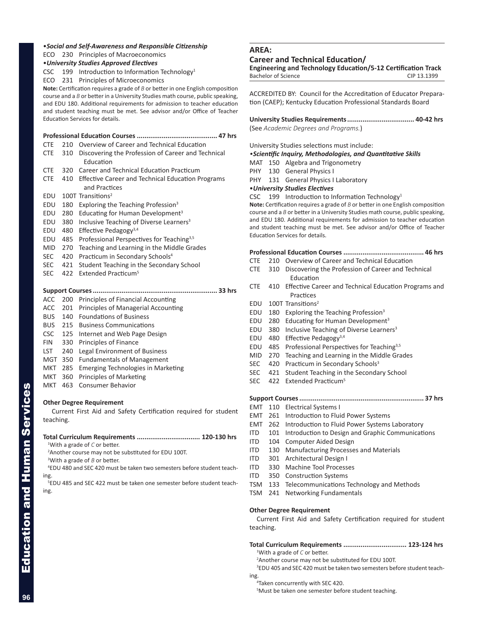# •*Social and Self-Awareness and Responsible Citizenship*

ECO 230 Principles of Macroeconomics

# •*University Studies Approved Electives*

CSC 199 Introduction to Information Technology<sup>1</sup>

ECO 231 Principles of Microeconomics

**Note:** Certification requires a grade of *B* or better in one English composition course and a *B* or better in a University Studies math course, public speaking, and EDU 180. Additional requirements for admission to teacher education and student teaching must be met. See advisor and/or Office of Teacher Education Services for details.

# **Professional Education Courses .......................................... 47 hrs**

- CTE 210 Overview of Career and Technical Education CTE 310 Discovering the Profession of Career and Technical Education CTE 320 Career and Technical Education Practicum CTE 410 Effective Career and Technical Education Programs and Practices EDU 100T Transitions<sup>2</sup> EDU 180 Exploring the Teaching Profession<sup>3</sup>
- EDU 280 Educating for Human Development<sup>3</sup>
- EDU 380 Inclusive Teaching of Diverse Learners<sup>3</sup>
- EDU 480 Effective Pedagogy $3,4$
- EDU 485 Professional Perspectives for Teaching<sup>3,5</sup>
- MID 270 Teaching and Learning in the Middle Grades
- SEC 420 Practicum in Secondary Schools<sup>4</sup>
- SEC 421 Student Teaching in the Secondary School
- SEC 422 Extended Practicum<sup>5</sup>

# **Support Courses................................................................. 33 hrs**

- ACC 200 Principles of Financial Accounting
- ACC 201 Principles of Managerial Accounting
- BUS 140 Foundations of Business
- BUS 215 Business Communications
- CSC 125 Internet and Web Page Design
- FIN 330 Principles of Finance
- LST 240 Legal Environment of Business
- MGT 350 Fundamentals of Management
- MKT 285 Emerging Technologies in Marketing
- MKT 360 Principles of Marketing
- MKT 463 Consumer Behavior

# **Other Degree Requirement**

Current First Aid and Safety Certification required for student teaching.

# **Total Curriculum Requirements ................................. 120-130 hrs** 1 With a grade of *C* or better.

2 Another course may not be substituted for EDU 100T.

3 With a grade of *B* or better.

4 EDU 480 and SEC 420 must be taken two semesters before student teaching.

5 EDU 485 and SEC 422 must be taken one semester before student teaching.

# **AREA:**

# **Career and Technical Education/**

**Engineering and Technology Education/5-12 Certification Track** Bachelor of Science CIP 13.1399

ACCREDITED BY: Council for the Accreditation of Educator Preparation (CAEP); Kentucky Education Professional Standards Board

**University Studies Requirements................................... 40-42 hrs** (See *Academic Degrees and Programs.*)

University Studies selections must include:

# *•Scientific Inquiry, Methodologies, and Quantitative Skills*

MAT 150 Algebra and Trigonometry

PHY 130 General Physics I

PHY 131 General Physics I Laboratory

# •*University Studies Electives*

CSC  $199$  Introduction to Information Technology<sup>1</sup>

**Note:** Certification requires a grade of *B* or better in one English composition course and a *B* or better in a University Studies math course, public speaking, and EDU 180. Additional requirements for admission to teacher education and student teaching must be met. See advisor and/or Office of Teacher Education Services for details.

# **Professional Education Courses .......................................... 46 hrs**

- CTE 210 Overview of Career and Technical Education
- CTE 310 Discovering the Profession of Career and Technical Education
- CTE 410 Effective Career and Technical Education Programs and **Practices**
- EDU 100T Transitions<sup>2</sup>
- EDU 180 Exploring the Teaching Profession<sup>3</sup>
- EDU 280 Educating for Human Development<sup>3</sup>
- EDU 380 Inclusive Teaching of Diverse Learners<sup>3</sup>
- EDU 480 Effective Pedagogy<sup>3,4</sup>
- EDU 485 Professional Perspectives for Teaching<sup>3,5</sup>
- MID 270 Teaching and Learning in the Middle Grades
- SEC 420 Practicum in Secondary Schools<sup>3</sup>
- SEC 421 Student Teaching in the Secondary School
- SEC 422 Extended Practicum<sup>5</sup>

# **Support Courses................................................................. 37 hrs**

- EMT 110 Electrical Systems I
- EMT 261 Introduction to Fluid Power Systems
- EMT 262 Introduction to Fluid Power Systems Laboratory
- ITD 101 Introduction to Design and Graphic Communications
- ITD 104 Computer Aided Design
- ITD 130 Manufacturing Processes and Materials
- ITD 301 Architectural Design I
- ITD 330 Machine Tool Processes
- ITD 350 Construction Systems
- TSM 133 Telecommunications Technology and Methods
- TSM 241 Networking Fundamentals

# **Other Degree Requirement**

Current First Aid and Safety Certification required for student teaching.

# **Total Curriculum Requirements ................................. 123-124 hrs**

1 With a grade of *C* or better.

2 Another course may not be substituted for EDU 100T.

3 EDU 405 and SEC 420 must be taken two semesters before student teaching.

Taken concurrently with SEC 420.

5 Must be taken one semester before student teaching.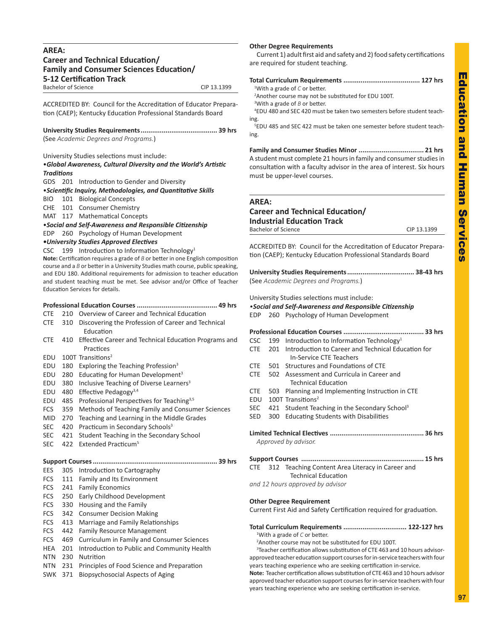# <span id="page-10-0"></span>**AREA: Career and Technical Education/ Family and Consumer Sciences Education/ 5-12 Certification Track** Bachelor of Science CIP 13.1399

ACCREDITED BY: Council for the Accreditation of Educator Preparation (CAEP); Kentucky Education Professional Standards Board

**University Studies Requirements........................................ 39 hrs** (See *Academic Degrees and Programs.*)

University Studies selections must include:

# •*Global Awareness, Cultural Diversity and the World's Artistic Traditions*

GDS 201 Introduction to Gender and Diversity

•*Scientific Inquiry, Methodologies, and Quantitative Skills*

- BIO 101 Biological Concepts
- CHE 101 Consumer Chemistry

MAT 117 Mathematical Concepts

# •*Social and Self-Awareness and Responsible Citizenship*

EDP 260 Psychology of Human Development

*•University Studies Approved Electives*

CSC 199 Introduction to Information Technology<sup>1</sup>

**Note:** Certification requires a grade of *B* or better in one English composition course and a *B* or better in a University Studies math course, public speaking, and EDU 180. Additional requirements for admission to teacher education and student teaching must be met. See advisor and/or Office of Teacher Education Services for details.

- CTE 210 Overview of Career and Technical Education
- CTE 310 Discovering the Profession of Career and Technical Education
- CTE 410 Effective Career and Technical Education Programs and **Practices**
- EDU 100T Transitions<sup>2</sup>
- EDU 180 Exploring the Teaching Profession<sup>3</sup>
- EDU 280 Educating for Human Development<sup>3</sup>
- EDU 380 Inclusive Teaching of Diverse Learners<sup>3</sup>
- EDU 480 Effective Pedagogy3,4
- EDU 485 Professional Perspectives for Teaching3,5
- FCS 359 Methods of Teaching Family and Consumer Sciences
- MID 270 Teaching and Learning in the Middle Grades
- SEC 420 Practicum in Secondary Schools<sup>3</sup>
- SEC 421 Student Teaching in the Secondary School
- SEC 422 Extended Practicum<sup>5</sup>

|  | EES 305 Introduction to Cartography |  |
|--|-------------------------------------|--|

- FCS 111 Family and Its Environment FCS 241 Family Economics FCS 250 Early Childhood Development FCS 330 Housing and the Family FCS 342 Consumer Decision Making FCS 413 Marriage and Family Relationships FCS 442 Family Resource Management FCS 469 Curriculum in Family and Consumer Sciences HEA 201 Introduction to Public and Community Health NTN 230 Nutrition NTN 231 Principles of Food Science and Preparation
- SWK 371 Biopsychosocial Aspects of Aging

**Other Degree Requirements**

Current 1) adult first aid and safety and 2) food safety certifications are required for student teaching.

| <sup>1</sup> With a grade of $C$ or better.                                        |
|------------------------------------------------------------------------------------|
| <sup>2</sup> Another course may not be substituted for EDU 100T.                   |
| <sup>3</sup> With a grade of $B$ or better.                                        |
| <sup>4</sup> EDU 480 and SEC 420 must be taken two semesters before student teach- |
| ing.                                                                               |
| <sup>5</sup> EDU 485 and SEC 422 must be taken one semester before student teach-  |
| ing.                                                                               |
|                                                                                    |

**Family and Consumer Studies Minor .................................. 21 hrs** A student must complete 21 hours in family and consumer studies in consultation with a faculty advisor in the area of interest. Six hours must be upper-level courses.

# **AREA:**

# **Career and Technical Education/**

| <b>Industrial Education Track</b> |             |
|-----------------------------------|-------------|
| Bachelor of Science               | CIP 13.1399 |

ACCREDITED BY: Council for the Accreditation of Educator Preparation (CAEP); Kentucky Education Professional Standards Board

**University Studies Requirements................................... 38-43 hrs** (See *Academic Degrees and Programs.*)

University Studies selections must include:

# *•Social and Self-Awareness and Responsible Citizenship*

|  |  | EDP 260 Psychology of Human Development |  |
|--|--|-----------------------------------------|--|
|--|--|-----------------------------------------|--|

|  |  | CSC 199 Introduction to Information Technology <sup>1</sup> |  |
|--|--|-------------------------------------------------------------|--|
|  |  | CTE 201 Introduction to Career and Technical Education for  |  |
|  |  | In-Service CTE Teachers                                     |  |

- CTE 501 Structures and Foundations of CTE
- CTE 502 Assessment and Curricula in Career and Technical Education
- CTE 503 Planning and Implementing Instruction in CTE
- EDU 100T Transitions<sup>2</sup>
- SEC 421 Student Teaching in the Secondary School<sup>3</sup>
- SED 300 Educating Students with Disabilities
- **Limited Technical Electives ................................................. 36 hrs** *Approved by advisor.*

**Support Courses ................................................................ 15 hrs** CTE 312 Teaching Content Area Literacy in Career and Technical Education *and 12 hours approved by advisor*

**Other Degree Requirement**

Current First Aid and Safety Certification required for graduation.

# **Total Curriculum Requirements ................................. 122-127 hrs**

1 With a grade of *C* or better.

2 Another course may not be substituted for EDU 100T.

<sup>3</sup>Teacher certification allows substitution of CTE 463 and 10 hours advisorapproved teacher education support courses for in-service teachers with four years teaching experience who are seeking certification in-service.

**Note:** Teacher certification allows substitution of CTE 463 and 10 hours advisor approved teacher education support courses for in-service teachers with four years teaching experience who are seeking certification in-service.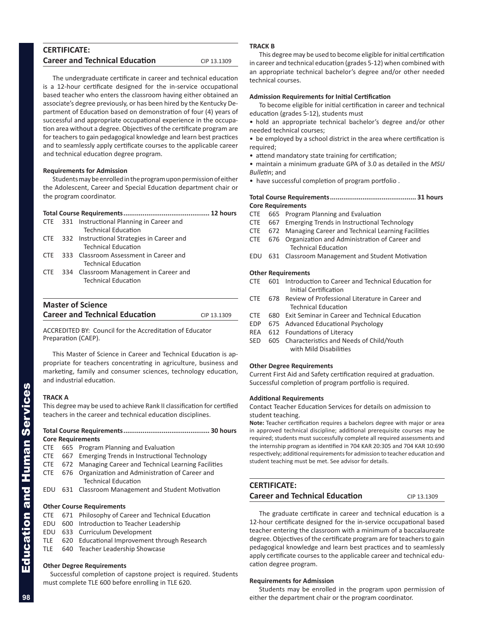# <span id="page-11-0"></span>**CERTIFICATE: Career and Technical Education** CIP 13.1309

The undergraduate certificate in career and technical education is a 12-hour certificate designed for the in-service occupational based teacher who enters the classroom having either obtained an associate's degree previously, or has been hired by the Kentucky Department of Education based on demonstration of four (4) years of successful and appropriate occupational experience in the occupation area without a degree. Objectives of the certificate program are for teachers to gain pedagogical knowledge and learn best practices and to seamlessly apply certificate courses to the applicable career and technical education degree program.

# **Requirements for Admission**

Students may be enrolled in the program upon permission of either the Adolescent, Career and Special Education department chair or the program coordinator.

|                   |  | CTE 331 Instructional Planning in Career and |  |  |  |  |
|-------------------|--|----------------------------------------------|--|--|--|--|
|                   |  | <b>Technical Education</b>                   |  |  |  |  |
| <b>CTE</b>        |  | 332 Instructional Strategies in Career and   |  |  |  |  |
|                   |  | <b>Technical Education</b>                   |  |  |  |  |
| CTF.              |  | 333 Classroom Assessment in Career and       |  |  |  |  |
|                   |  | <b>Technical Education</b>                   |  |  |  |  |
| <b>CTE</b>        |  | 334 Classroom Management in Career and       |  |  |  |  |
|                   |  | <b>Technical Education</b>                   |  |  |  |  |
|                   |  |                                              |  |  |  |  |
|                   |  |                                              |  |  |  |  |
| Mactor of Coiones |  |                                              |  |  |  |  |

# **Master of Science Career and Technical Education** CIP 13.1309

ACCREDITED BY: Council for the Accreditation of Educator Preparation (CAEP).

This Master of Science in Career and Technical Education is appropriate for teachers concentrating in agriculture, business and marketing, family and consumer sciences, technology education, and industrial education.

# **TRACK A**

This degree may be used to achieve Rank II classification for certified teachers in the career and technical education disciplines.

# **Total Course Requirements............................................. 30 hours Core Requirements**

- CTE 665 Program Planning and Evaluation
- CTE 667 Emerging Trends in Instructional Technology
- CTE 672 Managing Career and Technical Learning Facilities
- CTE 676 Organization and Administration of Career and Technical Education
- EDU 631 Classroom Management and Student Motivation

# **Other Course Requirements**

- CTE 671 Philosophy of Career and Technical Education
- EDU 600 Introduction to Teacher Leadership
- EDU 633 Curriculum Development
- TLE 620 Educational Improvement through Research
- TLE 640 Teacher Leadership Showcase

# **Other Degree Requirements**

Successful completion of capstone project is required. Students must complete TLE 600 before enrolling in TLE 620.

# **TRACK B**

This degree may be used to become eligible for initial certification in career and technical education (grades 5-12) when combined with an appropriate technical bachelor's degree and/or other needed technical courses.

# **Admission Requirements for Initial Certification**

To become eligible for initial certification in career and technical education (grades 5-12), students must

• hold an appropriate technical bachelor's degree and/or other needed technical courses;

• be employed by a school district in the area where certification is required;

• attend mandatory state training for certification;

• maintain a minimum graduate GPA of 3.0 as detailed in the *MSU Bulletin*; and

• have successful completion of program portfolio .

# **Total Course Requirements............................................. 31 hours Core Requirements**

- CTE 665 Program Planning and Evaluation
- CTE 667 Emerging Trends in Instructional Technology
- CTE 672 Managing Career and Technical Learning Facilities
- CTE 676 Organization and Administration of Career and Technical Education
- EDU 631 Classroom Management and Student Motivation

# **Other Requirements**

- CTE 601 Introduction to Career and Technical Education for Initial Certification
- CTE 678 Review of Professional Literature in Career and Technical Education
- CTE 680 Exit Seminar in Career and Technical Education
- EDP 675 Advanced Educational Psychology
- REA 612 Foundations of Literacy
- SED 605 Characteristics and Needs of Child/Youth with Mild Disabilities

# **Other Degree Requirements**

Current First Aid and Safety certification required at graduation. Successful completion of program portfolio is required.

# **Additional Requirements**

Contact Teacher Education Services for details on admission to student teaching.

**Note:** Teacher certification requires a bachelors degree with major or area in approved technical discipline; additional prerequisite courses may be required; students must successfully complete all required assessments and the internship program as identified in 704 KAR 20:305 and 704 KAR 10:690 respectively; additional requirements for admission to teacher education and student teaching must be met. See advisor for details.

# **CERTIFICATE: Career and Technical Education** CIP 13.1309

The graduate certificate in career and technical education is a 12-hour certificate designed for the in-service occupational based teacher entering the classroom with a minimum of a baccalaureate degree. Objectives of the certificate program are for teachers to gain pedagogical knowledge and learn best practices and to seamlessly apply certificate courses to the applicable career and technical education degree program.

# **Requirements for Admission**

Students may be enrolled in the program upon permission of either the department chair or the program coordinator.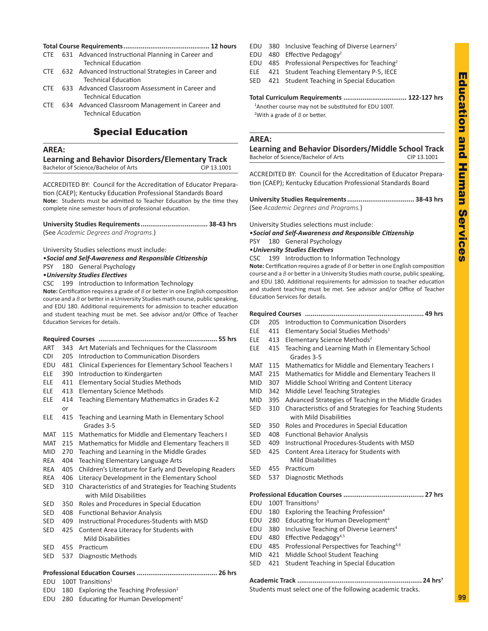# <span id="page-12-0"></span>**Total Course Requirements............................................. 12 hours**

- CTE 631 Advanced Instructional Planning in Career and Technical Education
- CTE 632 Advanced Instructional Strategies in Career and Technical Education
- CTE 633 Advanced Classroom Assessment in Career and Technical Education
- CTE 634 Advanced Classroom Management in Career and Technical Education

# Special Education

# **AREA:**

**Learning and Behavior Disorders/Elementary Track**

Bachelor of Science/Bachelor of Arts CIP 13.1001

ACCREDITED BY: Council for the Accreditation of Educator Preparation (CAEP); Kentucky Education Professional Standards Board **Note:** Students must be admitted to Teacher Education by the time they complete nine semester hours of professional education.

**University Studies Requirements................................... 38-43 hrs** (See *Academic Degrees and Programs.*)

University Studies selections must include:

•*Social and Self-Awareness and Responsible Citizenship*

PSY 180 General Psychology

•*University Studies Electives*

CSC 199 Introduction to Information Technology

**Note:** Certification requires a grade of *B* or better in one English composition course and a *B* or better in a University Studies math course, public speaking, and EDU 180. Additional requirements for admission to teacher education and student teaching must be met. See advisor and/or Office of Teacher Education Services for details.

| ART        | 343 | Art Materials and Techniques for the Classroom                                    |  |  |
|------------|-----|-----------------------------------------------------------------------------------|--|--|
| CDI        | 205 | Introduction to Communication Disorders                                           |  |  |
| EDU        | 481 | Clinical Experiences for Elementary School Teachers I                             |  |  |
| ELE        | 390 | Introduction to Kindergarten                                                      |  |  |
| ELE        | 411 | <b>Elementary Social Studies Methods</b>                                          |  |  |
| ELE        | 413 | <b>Elementary Science Methods</b>                                                 |  |  |
| ELE        | 414 | Teaching Elementary Mathematics in Grades K-2                                     |  |  |
|            | or  |                                                                                   |  |  |
| ELE        | 415 | Teaching and Learning Math in Elementary School<br>Grades 3-5                     |  |  |
| MAT        | 115 | Mathematics for Middle and Elementary Teachers I                                  |  |  |
| MAT        | 215 | Mathematics for Middle and Elementary Teachers II                                 |  |  |
| MID        | 270 | Teaching and Learning in the Middle Grades                                        |  |  |
| <b>REA</b> | 404 | Teaching Elementary Language Arts                                                 |  |  |
| REA        | 405 | Children's Literature for Early and Developing Readers                            |  |  |
| REA        | 406 | Literacy Development in the Elementary School                                     |  |  |
| <b>SED</b> | 310 | Characteristics of and Strategies for Teaching Students<br>with Mild Disabilities |  |  |
| <b>SED</b> | 350 | Roles and Procedures in Special Education                                         |  |  |
| <b>SED</b> | 408 | <b>Functional Behavior Analysis</b>                                               |  |  |
| <b>SED</b> | 409 | Instructional Procedures-Students with MSD                                        |  |  |
| <b>SED</b> | 425 | Content Area Literacy for Students with                                           |  |  |
|            |     | Mild Disabilities                                                                 |  |  |
| <b>SED</b> | 455 | Practicum                                                                         |  |  |
| <b>SED</b> | 537 | Diagnostic Methods                                                                |  |  |
|            |     |                                                                                   |  |  |

- EDU 100T Transitions<sup>1</sup>
- EDU 180 Exploring the Teaching Profession<sup>2</sup>

EDU 280 Educating for Human Development<sup>2</sup>

- EDU 380 Inclusive Teaching of Diverse Learners<sup>2</sup>
- EDU 480 Effective Pedagogy<sup>2</sup>
- EDU 485 Professional Perspectives for Teaching2
- ELE 421 Student Teaching Elementary P-5, IECE
- SED 421 Student Teaching in Special Education

# **Total Curriculum Requirements ................................. 122-127 hrs**

<sup>1</sup> Another course may not be substituted for EDU 100T. 2 With a grade of *B* or better.

# **AREA:**

**Learning and Behavior Disorders/Middle School Track** Bachelor of Science/Bachelor of Arts CIP 13.1001

ACCREDITED BY: Council for the Accreditation of Educator Preparation (CAEP); Kentucky Education Professional Standards Board

**University Studies Requirements................................... 38-43 hrs** (See *Academic Degrees and Programs.*)

University Studies selections must include:

•*Social and Self-Awareness and Responsible Citizenship* PSY 180 General Psychology

# •*University Studies Electives*

CSC 199 Introduction to Information Technology **Note:** Certification requires a grade of *B* or better in one English composition course and a *B* or better in a University Studies math course, public speaking, and EDU 180. Additional requirements for admission to teacher education and student teaching must be met. See advisor and/or Office of Teacher Education Services for details.

# **Required Courses .............................................................. 49 hrs**

- CDI 205 Introduction to Communication Disorders
- ELE 411 Elementary Social Studies Methods<sup>1</sup>
- ELE 413 Elementary Science Methods<sup>2</sup>
- ELE 415 Teaching and Learning Math in Elementary School Grades 3-5
- MAT 115 Mathematics for Middle and Elementary Teachers I
- MAT 215 Mathematics for Middle and Elementary Teachers II
- MID 307 Middle School Writing and Content Literacy
- MID 342 Middle Level Teaching Strategies
- MID 395 Advanced Strategies of Teaching in the Middle Grades
- SED 310 Characteristics of and Strategies for Teaching Students with Mild Disabilities
- SED 350 Roles and Procedures in Special Education
- SED 408 Functional Behavior Analysis
- SED 409 Instructional Procedures-Students with MSD
- SED 425 Content Area Literacy for Students with Mild Disabilities
- SED 455 Practicum
- SED 537 Diagnostic Methods

**Professional Education Courses .......................................... 27 hrs**

- EDU 100T Transitions<sup>3</sup>
- EDU 180 Exploring the Teaching Profession<sup>4</sup>
- EDU 280 Educating for Human Development<sup>4</sup>
- EDU 380 Inclusive Teaching of Diverse Learners<sup>4</sup>
- EDU 480 Effective Pedagogy<sup>4,5</sup>
- EDU 485 Professional Perspectives for Teaching4,6
- MID 421 Middle School Student Teaching
- SED 421 Student Teaching in Special Education

**Academic Track ................................................................. 24 hrs7**

Students must select one of the following academic tracks.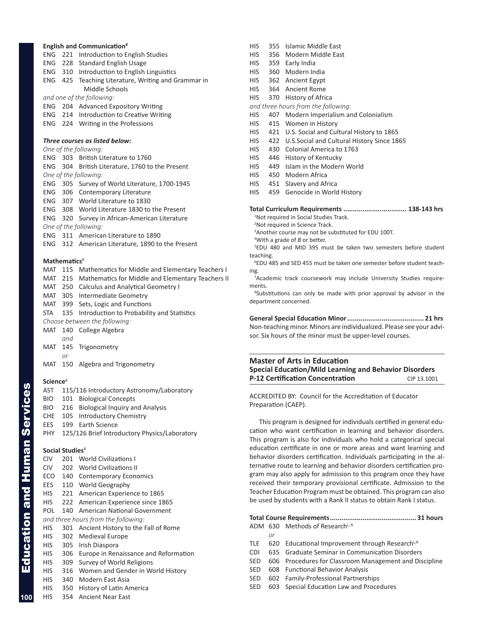# <span id="page-13-0"></span>**English and Communication8**

- ENG 221 Introduction to English Studies
- ENG 228 Standard English Usage
- ENG 310 Introduction to English Linguistics
- ENG 425 Teaching Literature, Writing and Grammar in Middle Schools

*and one of the following:*

- ENG 204 Advanced Expository Writing
- ENG 214 Introduction to Creative Writing
- ENG 224 Writing in the Professions

# *Three courses as listed below:*

|  |  |  |  | One of the following: |
|--|--|--|--|-----------------------|
|--|--|--|--|-----------------------|

|  | ENG 303 British Literature to 1760               |
|--|--------------------------------------------------|
|  | ENG 304 British Literature, 1760 to the Present  |
|  | One of the following:                            |
|  | ENG 305 Survey of World Literature, 1700-1945    |
|  | <b>ENG</b> 306 Contemporary Literature           |
|  | ENG 307 World Literature to 1830                 |
|  | ENG 308 World Literature 1830 to the Present     |
|  | ENG 320 Survey in African-American Literature    |
|  | One of the following:                            |
|  | ENG 311 American Literature to 1890              |
|  | ENG 312 American Literature, 1890 to the Present |
|  |                                                  |
|  |                                                  |

# **Mathematics**<sup>8</sup>

MAT 115 Mathematics for Middle and Elementary Teachers I MAT 215 Mathematics for Middle and Elementary Teachers II MAT 250 Calculus and Analytical Geometry I MAT 305 Intermediate Geometry MAT 399 Sets, Logic and Functions STA 135 Introduction to Probability and Statistics *Choose between the following:* MAT 140 College Algebra *and*

MAT 145 Trigonometry

- *or*
- MAT 150 Algebra and Trigonometry

# **Science**<sup>8</sup>

- AST 115/116 Introductory Astronomy/Laboratory BIO 101 Biological Concepts BIO 216 Biological Inquiry and Analysis
- CHE 105 Introductory Chemistry
- EES 199 Earth Science
- PHY 125/126 Brief Introductory Physics/Laboratory

# **Social Studies**<sup>8</sup>

- CIV 201 World Civilizations I
- CIV 202 World Civilizations II
- ECO 140 Contemporary Economics
- EES 110 World Geography
- HIS 221 American Experience to 1865
- HIS 222 American Experience since 1865
- POL 140 American National Government

*and three hours from the following:*

- HIS 301 Ancient History to the Fall of Rome
- HIS 302 Medieval Europe
- HIS 305 Irish Diaspora
- HIS 306 Europe in Renaissance and Reformation
- HIS 309 Survey of World Religions
- HIS 316 Women and Gender in World History
- HIS 340 Modern East Asia
- HIS 350 History of Latin America
- HIS 354 Ancient Near East
- HIS 355 Islamic Middle East
- HIS 356 Modern Middle East
- HIS 359 Early India
- HIS 360 Modern India
- HIS 362 Ancient Egypt
- HIS 364 Ancient Rome
- HIS 370 History of Africa
- *and three hours from the following:*
- HIS 407 Modern Imperialism and Colonialism
- HIS 415 Women in History
- HIS 421 U.S. Social and Cultural History to 1865
- HIS 422 U.S.Social and Cultural History Since 1865
- HIS 430 Colonial America to 1763
- HIS 446 History of Kentucky
- HIS 449 Islam in the Modern World
- HIS 450 Modern Africa
- HIS 451 Slavery and Africa
- HIS 459 Genocide in World History

# **Total Curriculum Requirements ................................. 138-143 hrs**

- <sup>1</sup>Not required in Social Studies Track. 2 Not required in Science Track.
- 3 Another course may not be substituted for EDU 100T.
- 4 With a grade of *B* or better.

5 EDU 480 and MID 395 must be taken two semesters before student teaching.

6 EDU 485 and SED 455 must be taken one semester before student teaching.

<sup>7</sup> Academic track coursework may include University Studies requirements.

<sup>8</sup>Substitutions can only be made with prior approval by advisor in the department concerned.

**General Special Education Minor........................................ 21 hrs** Non-teaching minor. Minors are individualized. Please see your advisor. Six hours of the minor must be upper-level courses.

# **Master of Arts in Education Special Education/Mild Learning and Behavior Disorders P-12 Certification Concentration** CIP 13.1001

ACCREDITED BY: Council for the Accreditation of Educator Preparation (CAEP).

This program is designed for individuals certified in general education who want certification in learning and behavior disorders. This program is also for individuals who hold a categorical special education certificate in one or more areas and want learning and behavior disorders certification. Individuals participating in the alternative route to learning and behavior disorders certification program may also apply for admission to this program once they have received their temporary provisional certificate. Admission to the Teacher Education Program must be obtained. This program can also be used by students with a Rank II status to obtain Rank I status.

# **Total Course Requirements............................................. 31 hours** ADM 630 Methods of Research<sup>L, R</sup>

- *or*
- TLE  $620$  Educational Improvement through Research<sup>L,R</sup>
- CDI 635 Graduate Seminar in Communication Disorders
- SED 606 Procedures for Classroom Management and Discipline
- SED 608 Functional Behavior Analysis
- SED 602 Family-Professional Partnerships
- SED 603 Special Education Law and Procedures

Education and Human Services

**Education and Human Services**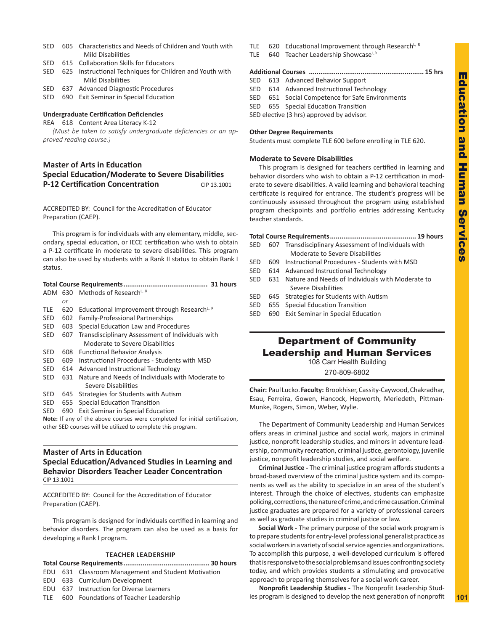- <span id="page-14-0"></span>SED 605 Characteristics and Needs of Children and Youth with Mild Disabilities
- SED 615 Collaboration Skills for Educators
- SED 625 Instructional Techniques for Children and Youth with Mild Disabilities
- SED 637 Advanced Diagnostic Procedures SED 690 Exit Seminar in Special Education
- 

# **Undergraduate Certification Deficiencies**

REA 618 Content Area Literacy K-12

*(Must be taken to satisfy undergraduate deficiencies or an approved reading course.)*

# **Master of Arts in Education Special Education/Moderate to Severe Disabilities P-12 Certification Concentration** CIP 13.1001

ACCREDITED BY: Council for the Accreditation of Educator Preparation (CAEP).

This program is for individuals with any elementary, middle, secondary, special education, or IECE certification who wish to obtain a P-12 certificate in moderate to severe disabilities. This program can also be used by students with a Rank II status to obtain Rank I status.

|     |     | ADM 630 Methods of Research <sup>L, R</sup>              |  |  |
|-----|-----|----------------------------------------------------------|--|--|
|     | or  |                                                          |  |  |
| TLE | 620 | Educational Improvement through Research <sup>L, R</sup> |  |  |
| SED | 602 | <b>Family-Professional Partnerships</b>                  |  |  |
| SED | 603 | Special Education Law and Procedures                     |  |  |
| SED | 607 | Transdisciplinary Assessment of Individuals with         |  |  |
|     |     | Moderate to Severe Disabilities                          |  |  |
| SED | 608 | <b>Functional Behavior Analysis</b>                      |  |  |
| SED | 609 | Instructional Procedures - Students with MSD             |  |  |
| SED | 614 | Advanced Instructional Technology                        |  |  |
| SED | 631 | Nature and Needs of Individuals with Moderate to         |  |  |
|     |     | Severe Disabilities                                      |  |  |
| SED | 645 | Strategies for Students with Autism                      |  |  |
| SED | 655 | Special Education Transition                             |  |  |
| SED | 690 | Exit Seminar in Special Education                        |  |  |
|     |     |                                                          |  |  |

**Note:** If any of the above courses were completed for initial certification, other SED courses will be utilized to complete this program.

# **Master of Arts in Education Special Education/Advanced Studies in Learning and Behavior Disorders Teacher Leader Concentration** CIP 13.1001

ACCREDITED BY: Council for the Accreditation of Educator Preparation (CAEP).

This program is designed for individuals certified in learning and behavior disorders. The program can also be used as a basis for developing a Rank I program.

# **TEACHER LEADERSHIP**

**Total Course Requirements............................................. 30 hours** EDU 631 Classroom Management and Student Motivation

- EDU 633 Curriculum Development
- EDU 637 Instruction for Diverse Learners
- TLE 600 Foundations of Teacher Leadership
- TLE  $620$  Educational Improvement through Research<sup>L, R</sup>
- TLE 640 Teacher Leadership ShowcaseLR

# **Additional Courses ............................................................ 15 hrs**

- SED 613 Advanced Behavior Support
- SED 614 Advanced Instructional Technology
- SED 651 Social Competence for Safe Environments
- SED 655 Special Education Transition
- SED elective (3 hrs) approved by advisor.

# **Other Degree Requirements**

Students must complete TLE 600 before enrolling in TLE 620.

# **Moderate to Severe Disabilities**

This program is designed for teachers certified in learning and behavior disorders who wish to obtain a P-12 certification in moderate to severe disabilities. A valid learning and behavioral teaching certificate is required for entrance. The student's progress will be continuously assessed throughout the program using established program checkpoints and portfolio entries addressing Kentucky teacher standards.

**Total Course Requirements............................................. 19 hours**

- SED 607 Transdisciplinary Assessment of Individuals with Moderate to Severe Disabilities
- SED 609 Instructional Procedures Students with MSD
- SED 614 Advanced Instructional Technology
- SED 631 Nature and Needs of Individuals with Moderate to Severe Disabilities
- SED 645 Strategies for Students with Autism
- SED 655 Special Education Transition
- SED 690 Exit Seminar in Special Education

# Department of Community Leadership and Human Services

108 Carr Health Building

270-809-6802

**Chair:** Paul Lucko. **Faculty:** Brookhiser, Cassity-Caywood, Chakradhar, Esau, Ferreira, Gowen, Hancock, Hepworth, Meriedeth, Pittman-Munke, Rogers, Simon, Weber, Wylie.

The Department of Community Leadership and Human Services offers areas in criminal justice and social work, majors in criminal justice, nonprofit leadership studies, and minors in adventure leadership, community recreation, criminal justice, gerontology, juvenile justice, nonprofit leadership studies, and social welfare.

**Criminal Justice -** The criminal justice program affords students a broad-based overview of the criminal justice system and its components as well as the ability to specialize in an area of the student's interest. Through the choice of electives, students can emphasize policing, corrections, the nature of crime, and crime causation. Criminal justice graduates are prepared for a variety of professional careers as well as graduate studies in criminal justice or law.

**Social Work -** The primary purpose of the social work program is to prepare students for entry-level professional generalist practice as social workers in a variety of social service agencies and organizations. To accomplish this purpose, a well-developed curriculum is offered that is responsive to the social problems and issues confronting society today, and which provides students a stimulating and provocative approach to preparing themselves for a social work career.

**Nonprofit Leadership Studies -** The Nonprofit Leadership Studies program is designed to develop the next generation of nonprofit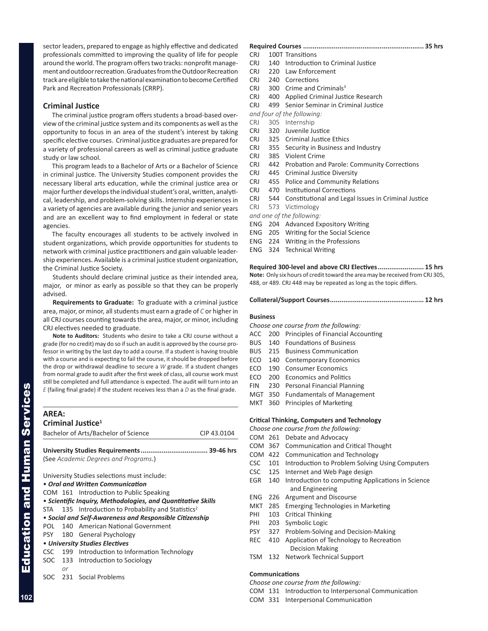<span id="page-15-0"></span>sector leaders, prepared to engage as highly effective and dedicated professionals committed to improving the quality of life for people around the world. The program offers two tracks: nonprofit management and outdoor recreation. Graduates from the Outdoor Recreation track are eligible to take the national examination to become Certified Park and Recreation Professionals (CRRP).

# **Criminal Justice**

The criminal justice program offers students a broad-based overview of the criminal justice system and its components as well as the opportunity to focus in an area of the student's interest by taking specific elective courses. Criminal justice graduates are prepared for a variety of professional careers as well as criminal justice graduate study or law school.

This program leads to a Bachelor of Arts or a Bachelor of Science in criminal justice. The University Studies component provides the necessary liberal arts education, while the criminal justice area or major further develops the individual student's oral, written, analytical, leadership, and problem-solving skills. Internship experiences in a variety of agencies are available during the junior and senior years and are an excellent way to find employment in federal or state agencies.

The faculty encourages all students to be actively involved in student organizations, which provide opportunities for students to network with criminal justice practitioners and gain valuable leadership experiences. Available is a criminal justice student organization, the Criminal Justice Society.

Students should declare criminal justice as their intended area, major, or minor as early as possible so that they can be properly advised.

**Requirements to Graduate:** To graduate with a criminal justice area, major, or minor, all students must earn a grade of *C* or higher in all CRJ courses counting towards the area, major, or minor, including CRJ electives needed to graduate.

**Note to Auditors:** Students who desire to take a CRJ course without a grade (for no credit) may do so if such an audit is approved by the course professor in writing by the last day to add a course. If a student is having trouble with a course and is expecting to fail the course, it should be dropped before the drop or withdrawal deadline to secure a *W* grade. If a student changes from normal grade to audit after the first week of class, all course work must still be completed and full attendance is expected. The audit will turn into an *E* (failing final grade) if the student receives less than a *D* as the final grade.

### **AREA: Criminal Justice1**

| Criminal Justice- |                                                     |                                                                 |  |  |  |  |  |
|-------------------|-----------------------------------------------------|-----------------------------------------------------------------|--|--|--|--|--|
|                   | Bachelor of Arts/Bachelor of Science<br>CIP 43.0104 |                                                                 |  |  |  |  |  |
|                   |                                                     |                                                                 |  |  |  |  |  |
|                   |                                                     |                                                                 |  |  |  |  |  |
|                   |                                                     | (See Academic Degrees and Programs.)                            |  |  |  |  |  |
|                   |                                                     | University Studies selections must include:                     |  |  |  |  |  |
|                   |                                                     | • Oral and Written Communication                                |  |  |  |  |  |
|                   |                                                     |                                                                 |  |  |  |  |  |
|                   | COM 161 Introduction to Public Speaking             |                                                                 |  |  |  |  |  |
|                   |                                                     | • Scientific Inquiry, Methodologies, and Quantitative Skills    |  |  |  |  |  |
|                   |                                                     | STA 135 Introduction to Probability and Statistics <sup>2</sup> |  |  |  |  |  |
|                   |                                                     | • Social and Self-Awareness and Responsible Citizenship         |  |  |  |  |  |
|                   |                                                     | POL 140 American National Government                            |  |  |  |  |  |
|                   |                                                     | PSY 180 General Psychology                                      |  |  |  |  |  |
|                   |                                                     | • University Studies Electives                                  |  |  |  |  |  |
|                   |                                                     | CSC 199 Introduction to Information Technology                  |  |  |  |  |  |
|                   |                                                     | SOC 133 Introduction to Sociology                               |  |  |  |  |  |
|                   | or                                                  |                                                                 |  |  |  |  |  |
| SOC.              |                                                     | 231 Social Problems                                             |  |  |  |  |  |

# **Required Courses ............................................................... 35 hrs**

- CRJ 100T Transitions
- CRJ 140 Introduction to Criminal Justice
- CRJ 220 Law Enforcement
- CRJ 240 Corrections
- CRJ 300 Crime and Criminals<sup>3</sup>
- CRJ 400 Applied Criminal Justice Research
- CRJ 499 Senior Seminar in Criminal Justice
- *and four of the following:*
- CRJ 305 Internship
- CRJ 320 Juvenile Justice
- CRJ 325 Criminal Justice Ethics
- CRJ 355 Security in Business and Industry
- CRJ 385 Violent Crime
- CRJ 442 Probation and Parole: Community Corrections
- CRJ 445 Criminal Justice Diversity
- CRJ 455 Police and Community Relations
- CRJ 470 Institutional Corrections
- CRJ 544 Constitutional and Legal Issues in Criminal Justice
- CRJ 573 Victimology
- *and one of the following:*
- ENG 204 Advanced Expository Writing
- ENG 205 Writing for the Social Science
- ENG 224 Writing in the Professions
- ENG 324 Technical Writing

**Required 300-level and above CRJ Electives........................ 15 hrs Note:** Only six hours of credit toward the area may be received from CRJ 305, 488, or 489. CRJ 448 may be repeated as long as the topic differs.

**Collateral/Support Courses................................................. 12 hrs**

# **Business**

- *Choose one course from the following:*
- ACC 200 Principles of Financial Accounting
- BUS 140 Foundations of Business
- BUS 215 Business Communication
- ECO 140 Contemporary Economics
- ECO 190 Consumer Economics
- ECO 200 Economics and Politics
- FIN 230 Personal Financial Planning
- MGT 350 Fundamentals of Management
- MKT 360 Principles of Marketing

# **Critical Thinking, Computers and Technology**

- *Choose one course from the following:*
- COM 261 Debate and Advocacy
- COM 367 Communication and Critical Thought
- COM 422 Communication and Technology
- CSC 101 Introduction to Problem Solving Using Computers
- CSC 125 Internet and Web Page design
- EGR 140 Introduction to computing Applications in Science and Engineering
- ENG 226 Argument and Discourse
- MKT 285 Emerging Technologies in Marketing
- PHI 103 Critical Thinking
- PHI 203 Symbolic Logic
- PSY 327 Problem-Solving and Decision-Making
- REC 410 Application of Technology to Recreation Decision Making
- TSM 132 Network Technical Support

# **Communications**

*Choose one course from the following:*

COM 131 Introduction to Interpersonal Communication

COM 331 Interpersonal Communication

|            |    | DALIEIUI UI AITS/DALIEIUI UI SCIETICE                        | UIF 43.1 |
|------------|----|--------------------------------------------------------------|----------|
|            |    |                                                              |          |
|            |    | (See Academic Degrees and Programs.)                         |          |
|            |    | University Studies selections must include:                  |          |
|            |    | • Oral and Written Communication                             |          |
|            |    | COM 161 Introduction to Public Speaking                      |          |
|            |    | • Scientific Inquiry, Methodologies, and Quantitative Skills |          |
| STA        |    | 135 Introduction to Probability and Statistics <sup>2</sup>  |          |
|            |    | • Social and Self-Awareness and Responsible Citizenship      |          |
| POL        |    | 140 American National Government                             |          |
|            |    | PSY 180 General Psychology                                   |          |
|            |    | • University Studies Electives                               |          |
| <b>CSC</b> |    | 199 Introduction to Information Technology                   |          |
|            | or | SOC 133 Introduction to Sociology                            |          |
|            |    | مقمولوا مقاط المثمورة فالتلاف                                |          |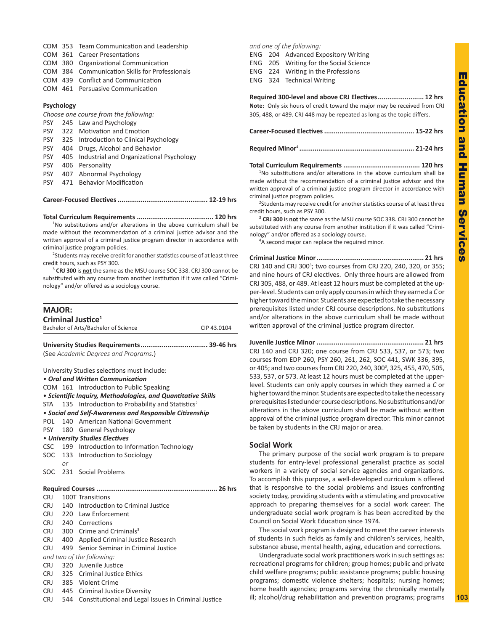- <span id="page-16-0"></span>COM 353 Team Communication and Leadership
- COM 361 Career Presentations
- COM 380 Organizational Communication
- COM 384 Communication Skills for Professionals
- COM 439 Conflict and Communication
- COM 461 Persuasive Communication

# **Psychology**

| Choose one course from the following: |     |                                              |  |  |
|---------------------------------------|-----|----------------------------------------------|--|--|
| <b>PSY</b>                            |     | 245 Law and Psychology                       |  |  |
| <b>PSY</b>                            |     | 322 Motivation and Emotion                   |  |  |
| <b>PSY</b>                            |     | 325 Introduction to Clinical Psychology      |  |  |
| <b>PSY</b>                            | 404 | Drugs, Alcohol and Behavior                  |  |  |
| <b>PSY</b>                            |     | 405 Industrial and Organizational Psychology |  |  |
| <b>PSY</b>                            |     | 406 Personality                              |  |  |
| <b>PSY</b>                            |     | 407 Abnormal Psychology                      |  |  |
| <b>PSY</b>                            |     | 471 Behavior Modification                    |  |  |
|                                       |     |                                              |  |  |

# **Career-Focused Electives............................................... 12-19 hrs**

# **Total Curriculum Requirements ........................................ 120 hrs**

<sup>1</sup>No substitutions and/or alterations in the above curriculum shall be made without the recommendation of a criminal justice advisor and the written approval of a criminal justice program director in accordance with criminal justice program policies.

<sup>2</sup>Students may receive credit for another statistics course of at least three credit hours, such as PSY 300.

<sup>3</sup> **CRJ 300** is **not** the same as the MSU course SOC 338. CRJ 300 cannot be substituted with any course from another institution if it was called "Criminology" and/or offered as a sociology course.

| <b>MAJOR:</b> |     |                                                              |             |
|---------------|-----|--------------------------------------------------------------|-------------|
|               |     | Criminal Justice <sup>1</sup>                                |             |
|               |     | Bachelor of Arts/Bachelor of Science                         | CIP 43.0104 |
|               |     |                                                              |             |
|               |     | (See Academic Degrees and Programs.)                         |             |
|               |     | University Studies selections must include:                  |             |
|               |     | • Oral and Written Communication                             |             |
|               |     | COM 161 Introduction to Public Speaking                      |             |
|               |     | · Scientific Inquiry, Methodologies, and Quantitative Skills |             |
| STA           |     | 135 Introduction to Probability and Statistics <sup>2</sup>  |             |
|               |     | • Social and Self-Awareness and Responsible Citizenship      |             |
| POL           |     | 140 American National Government                             |             |
| <b>PSY</b>    |     | 180 General Psychology                                       |             |
|               |     | • University Studies Electives                               |             |
| <b>CSC</b>    |     | 199 Introduction to Information Technology                   |             |
|               |     | SOC 133 Introduction to Sociology                            |             |
|               | or  |                                                              |             |
| SOC           |     | 231 Social Problems                                          |             |
|               |     |                                                              |             |
| <b>CRJ</b>    |     | 100T Transitions                                             |             |
| <b>CRJ</b>    |     | 140 Introduction to Criminal Justice                         |             |
| <b>CRJ</b>    |     | 220 Law Enforcement                                          |             |
| <b>CRJ</b>    |     | 240 Corrections                                              |             |
| <b>CRJ</b>    |     | 300 Crime and Criminals <sup>3</sup>                         |             |
| CRJ.          |     | 400 Applied Criminal Justice Research                        |             |
| <b>CRJ</b>    | 499 | Senior Seminar in Criminal Justice                           |             |
|               |     | and two of the following:                                    |             |
| <b>CRJ</b>    | 320 | Juvenile Justice                                             |             |
| <b>CRJ</b>    |     | 325 Criminal Justice Ethics                                  |             |
|               |     | CRJ 385 Violent Crime                                        |             |
|               |     | CRJ 445 Criminal Justice Diversity                           |             |
| <b>CRJ</b>    | 544 | Constitutional and Legal Issues in Criminal Justice          |             |

# *and one of the following:*

- ENG 205 Writing for the Social Science
- ENG 224 Writing in the Professions
- ENG 324 Technical Writing

# **Required 300-level and above CRJ Electives........................ 12 hrs**

**Note:** Only six hours of credit toward the major may be received from CRJ 305, 488, or 489. CRJ 448 may be repeated as long as the topic differs.

|--|--|--|--|--|

**Total Curriculum Requirements ........................................ 120 hrs**

<sup>1</sup>No substitutions and/or alterations in the above curriculum shall be made without the recommendation of a criminal justice advisor and the written approval of a criminal justice program director in accordance with criminal justice program policies.

<sup>2</sup>Students may receive credit for another statistics course of at least three credit hours, such as PSY 300.

<sup>3</sup> **CRJ 300** is **not** the same as the MSU course SOC 338. CRJ 300 cannot be substituted with any course from another institution if it was called "Criminology" and/or offered as a sociology course.

<sup>4</sup>A second major can replace the required minor.

**Criminal Justice Minor........................................................ 21 hrs** CRJ 140 and CRJ 300<sup>3</sup>; two courses from CRJ 220, 240, 320, or 355; and nine hours of CRJ electives. Only three hours are allowed from CRJ 305, 488, or 489. At least 12 hours must be completed at the upper-level. Students can only apply courses in which they earned a *C* or higher toward the minor. Students are expected to take the necessary prerequisites listed under CRJ course descriptions. No substitutions and/or alterations in the above curriculum shall be made without written approval of the criminal justice program director.

**Juvenile Justice Minor ........................................................ 21 hrs** CRJ 140 and CRJ 320; one course from CRJ 533, 537, or 573; two courses from EDP 260, PSY 260, 261, 262, SOC 441, SWK 336, 395, or 405; and two courses from CRJ 220, 240, 300<sup>3</sup>, 325, 455, 470, 505, 533, 537, or 573. At least 12 hours must be completed at the upperlevel. Students can only apply courses in which they earned a *C* or higher toward the minor. Students are expected to take the necessary prerequisites listed under course descriptions. No substitutions and/or alterations in the above curriculum shall be made without written approval of the criminal justice program director. This minor cannot be taken by students in the CRJ major or area.

# **Social Work**

The primary purpose of the social work program is to prepare students for entry-level professional generalist practice as social workers in a variety of social service agencies and organizations. To accomplish this purpose, a well-developed curriculum is offered that is responsive to the social problems and issues confronting society today, providing students with a stimulating and provocative approach to preparing themselves for a social work career. The undergraduate social work program is has been accredited by the Council on Social Work Education since 1974.

The social work program is designed to meet the career interests of students in such fields as family and children's services, health, substance abuse, mental health, aging, education and corrections.

Undergraduate social work practitioners work in such settings as: recreational programs for children; group homes; public and private child welfare programs; public assistance programs; public housing programs; domestic violence shelters; hospitals; nursing homes; home health agencies; programs serving the chronically mentally ill; alcohol/drug rehabilitation and prevention programs; programs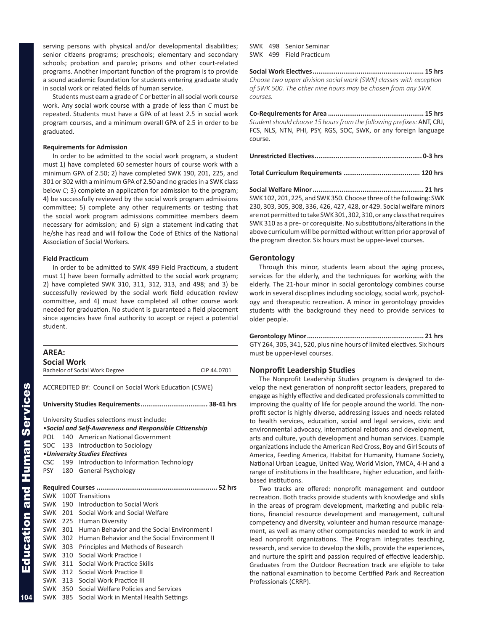<span id="page-17-0"></span>serving persons with physical and/or developmental disabilities; senior citizens programs; preschools; elementary and secondary schools; probation and parole; prisons and other court-related programs. Another important function of the program is to provide a sound academic foundation for students entering graduate study in social work or related fields of human service.

Students must earn a grade of *C* or better in all social work course work. Any social work course with a grade of less than *C* must be repeated. Students must have a GPA of at least 2.5 in social work program courses, and a minimum overall GPA of 2.5 in order to be graduated.

# **Requirements for Admission**

In order to be admitted to the social work program, a student must 1) have completed 60 semester hours of course work with a minimum GPA of 2.50; 2) have completed SWK 190, 201, 225, and 301 or 302 with a minimum GPA of 2.50 and no grades in a SWK class below *C*; 3) complete an application for admission to the program; 4) be successfully reviewed by the social work program admissions committee; 5) complete any other requirements or testing that the social work program admissions committee members deem necessary for admission; and 6) sign a statement indicating that he/she has read and will follow the Code of Ethics of the National Association of Social Workers.

# **Field Practicum**

In order to be admitted to SWK 499 Field Practicum, a student must 1) have been formally admitted to the social work program; 2) have completed SWK 310, 311, 312, 313, and 498; and 3) be successfully reviewed by the social work field education review committee, and 4) must have completed all other course work needed for graduation. No student is guaranteed a field placement since agencies have final authority to accept or reject a potential student.

| <b>AREA:</b> | <b>Social Work</b> |                                                               |             |
|--------------|--------------------|---------------------------------------------------------------|-------------|
|              |                    | <b>Bachelor of Social Work Degree</b>                         | CIP 44,0701 |
|              |                    |                                                               |             |
|              |                    | <b>ACCREDITED BY: Council on Social Work Education (CSWE)</b> |             |
|              |                    |                                                               |             |
|              |                    | University Studies selections must include:                   |             |
|              |                    | •Social and Self-Awareness and Responsible Citizenship        |             |
| POL          |                    | 140 American National Government                              |             |
| SOC          |                    | 133 Introduction to Sociology                                 |             |
|              |                    | • University Studies Electives                                |             |
| <b>CSC</b>   |                    | 199 Introduction to Information Technology                    |             |
| <b>PSY</b>   |                    | 180 General Psychology                                        |             |
|              |                    |                                                               |             |
|              |                    | SWK 100T Transitions                                          |             |
|              |                    | SWK 190 Introduction to Social Work                           |             |
|              |                    | SWK 201 Social Work and Social Welfare                        |             |
|              |                    | SWK 225 Human Diversity                                       |             |
|              |                    | SWK 301 Human Behavior and the Social Environment I           |             |
|              |                    | SWK 302 Human Behavior and the Social Environment II          |             |
|              |                    | SWK 303 Principles and Methods of Research                    |             |
|              | SWK 310            | Social Work Practice I                                        |             |
| SWK 311      |                    | Social Work Practice Skills                                   |             |
|              |                    | SWK 312 Social Work Practice II                               |             |
|              | SWK 313            | Social Work Practice III                                      |             |
| SWK          | 350                | Social Welfare Policies and Services                          |             |
| <b>SWK</b>   | 385                | Social Work in Mental Health Settings                         |             |

SWK 498 Senior Seminar SWK 499 Field Practicum

**Social Work Electives.......................................................... 15 hrs** *Choose two upper division social work (SWK) classes with exception of SWK 500. The other nine hours may be chosen from any SWK courses.*

**Co-Requirements for Area .................................................. 15 hrs** *Student should choose 15 hours from the following prefixes:* ANT, CRJ, FCS, NLS, NTN, PHI, PSY, RGS, SOC, SWK, or any foreign language course.

**Total Curriculum Requirements ........................................ 120 hrs**

**Social Welfare Minor.......................................................... 21 hrs** SWK 102, 201, 225, and SWK 350. Choose three of the following: SWK 230, 303, 305, 308, 336, 426, 427, 428, or 429. Social welfare minors are not permitted to take SWK 301, 302, 310, or any class that requires SWK 310 as a pre- or corequisite. No substitutions/alterations in the above curriculum will be permitted without written prior approval of the program director. Six hours must be upper-level courses.

# **Gerontology**

Through this minor, students learn about the aging process, services for the elderly, and the techniques for working with the elderly. The 21-hour minor in social gerontology combines course work in several disciplines including sociology, social work, psychology and therapeutic recreation. A minor in gerontology provides students with the background they need to provide services to older people.

**Gerontology Minor............................................................. 21 hrs** GTY 264, 305, 341, 520, plus nine hours of limited electives. Six hours must be upper-level courses.

# **Nonprofit Leadership Studies**

The Nonprofit Leadership Studies program is designed to develop the next generation of nonprofit sector leaders, prepared to engage as highly effective and dedicated professionals committed to improving the quality of life for people around the world. The nonprofit sector is highly diverse, addressing issues and needs related to health services, education, social and legal services, civic and environmental advocacy, international relations and development, arts and culture, youth development and human services. Example organizations include the American Red Cross, Boy and Girl Scouts of America, Feeding America, Habitat for Humanity, Humane Society, National Urban League, United Way, World Vision, YMCA, 4-H and a range of institutions in the healthcare, higher education, and faithbased institutions.

Two tracks are offered: nonprofit management and outdoor recreation. Both tracks provide students with knowledge and skills in the areas of program development, marketing and public relations, financial resource development and management, cultural competency and diversity, volunteer and human resource management, as well as many other competencies needed to work in and lead nonprofit organizations. The Program integrates teaching, research, and service to develop the skills, provide the experiences, and nurture the spirit and passion required of effective leadership. Graduates from the Outdoor Recreation track are eligible to take the national examination to become Certified Park and Recreation Professionals (CRRP).

**104**

Education and Human Services

**Education and Human Services**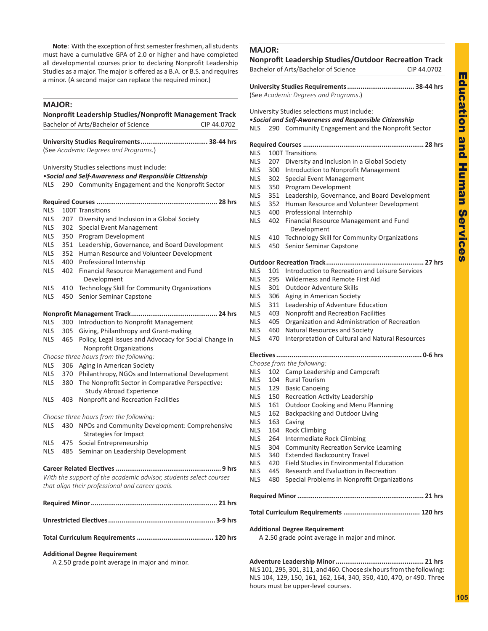<span id="page-18-0"></span>**Note**: With the exception of first semester freshmen, all students must have a cumulative GPA of 2.0 or higher and have completed all developmental courses prior to declaring Nonprofit Leadership Studies as a major. The major is offered as a B.A. or B.S. and requires a minor. (A second major can replace the required minor.)

# **MAJOR:**

| Nonprofit Leadership Studies/Nonprofit Management Track |     |                                                                                                        |  |
|---------------------------------------------------------|-----|--------------------------------------------------------------------------------------------------------|--|
|                                                         |     | Bachelor of Arts/Bachelor of Science<br>CIP 44.0702                                                    |  |
|                                                         |     |                                                                                                        |  |
|                                                         |     | (See Academic Degrees and Programs.)                                                                   |  |
|                                                         |     |                                                                                                        |  |
|                                                         |     | University Studies selections must include:<br>. Social and Self-Awareness and Responsible Citizenship |  |
| <b>NLS</b>                                              |     | 290 Community Engagement and the Nonprofit Sector                                                      |  |
|                                                         |     |                                                                                                        |  |
|                                                         |     |                                                                                                        |  |
| <b>NLS</b>                                              |     | 100T Transitions                                                                                       |  |
| <b>NLS</b>                                              |     | 207 Diversity and Inclusion in a Global Society                                                        |  |
| <b>NLS</b>                                              | 302 | <b>Special Event Management</b>                                                                        |  |
| <b>NLS</b>                                              | 350 | Program Development                                                                                    |  |
| <b>NLS</b>                                              | 351 | Leadership, Governance, and Board Development                                                          |  |
| <b>NLS</b>                                              | 352 | Human Resource and Volunteer Development                                                               |  |
| <b>NLS</b>                                              | 400 | Professional Internship                                                                                |  |
| <b>NLS</b>                                              | 402 | Financial Resource Management and Fund<br>Development                                                  |  |
| <b>NLS</b>                                              | 410 | Technology Skill for Community Organizations                                                           |  |
| <b>NLS</b>                                              | 450 | Senior Seminar Capstone                                                                                |  |
|                                                         |     |                                                                                                        |  |
| <b>NLS</b>                                              | 300 | Introduction to Nonprofit Management                                                                   |  |
| <b>NLS</b>                                              | 305 | Giving, Philanthropy and Grant-making                                                                  |  |
| <b>NLS</b>                                              | 465 | Policy, Legal Issues and Advocacy for Social Change in                                                 |  |
|                                                         |     | Nonprofit Organizations                                                                                |  |
|                                                         |     | Choose three hours from the following:                                                                 |  |
| <b>NLS</b>                                              | 306 | Aging in American Society                                                                              |  |
| <b>NLS</b>                                              | 370 | Philanthropy, NGOs and International Development                                                       |  |
| <b>NLS</b>                                              | 380 | The Nonprofit Sector in Comparative Perspective:<br><b>Study Abroad Experience</b>                     |  |
| <b>NLS</b>                                              | 403 | Nonprofit and Recreation Facilities                                                                    |  |
|                                                         |     | Choose three hours from the following:                                                                 |  |
| <b>NLS</b>                                              | 430 | NPOs and Community Development: Comprehensive                                                          |  |
|                                                         |     | <b>Strategies for Impact</b>                                                                           |  |
| <b>NLS</b>                                              | 475 | Social Entrepreneurship                                                                                |  |
| NLS                                                     | 485 | Seminar on Leadership Development                                                                      |  |
|                                                         |     |                                                                                                        |  |
|                                                         |     | With the support of the academic advisor, students select courses                                      |  |
|                                                         |     | that align their professional and career goals.                                                        |  |
|                                                         |     |                                                                                                        |  |
|                                                         |     |                                                                                                        |  |
|                                                         |     |                                                                                                        |  |
|                                                         |     |                                                                                                        |  |

# **Additional Degree Requirement**

A 2.50 grade point average in major and minor.

|                     |            | Bachelor of Arts/Bachelor of Science                                           | CIP 44.0702 |
|---------------------|------------|--------------------------------------------------------------------------------|-------------|
|                     |            |                                                                                |             |
|                     |            | (See Academic Degrees and Programs.)                                           |             |
|                     |            | University Studies selections must include:                                    |             |
|                     |            | · Social and Self-Awareness and Responsible Citizenship                        |             |
| <b>NLS</b>          | 290        | Community Engagement and the Nonprofit Sector                                  |             |
|                     |            |                                                                                |             |
| <b>NLS</b>          |            | 100T Transitions                                                               |             |
| <b>NLS</b>          | 207        | Diversity and Inclusion in a Global Society                                    |             |
| <b>NLS</b>          | 300        | Introduction to Nonprofit Management                                           |             |
| <b>NLS</b>          | 302        | Special Event Management                                                       |             |
| <b>NLS</b>          | 350        | Program Development                                                            |             |
| NLS.                | 351        | Leadership, Governance, and Board Development                                  |             |
| NLS                 | 352        | Human Resource and Volunteer Development<br>400 Professional Internship        |             |
| NLS I<br><b>NLS</b> | 402        |                                                                                |             |
|                     |            | Financial Resource Management and Fund<br>Development                          |             |
| <b>NLS</b>          | 410        | Technology Skill for Community Organizations                                   |             |
| <b>NLS</b>          | 450        | Senior Seminar Capstone                                                        |             |
|                     |            |                                                                                |             |
| <b>NLS</b>          |            | 101 Introduction to Recreation and Leisure Services                            |             |
| <b>NLS</b>          |            | 295 Wilderness and Remote First Aid                                            |             |
| <b>NLS</b>          | 301        | <b>Outdoor Adventure Skills</b>                                                |             |
| <b>NLS</b>          | 306        | Aging in American Society                                                      |             |
| <b>NLS</b>          | 311        | Leadership of Adventure Education                                              |             |
| NLS.                | 403        | Nonprofit and Recreation Facilities                                            |             |
| <b>NLS</b>          | 405        | Organization and Administration of Recreation                                  |             |
| NLS.                | 460        | Natural Resources and Society                                                  |             |
| <b>NLS</b>          | 470        | Interpretation of Cultural and Natural Resources                               |             |
|                     |            |                                                                                |             |
|                     |            | Choose from the following:                                                     |             |
| <b>NLS</b>          | 102        | Camp Leadership and Campcraft                                                  |             |
| <b>NLS</b>          | 104        | <b>Rural Tourism</b>                                                           |             |
|                     |            | NLS 129 Basic Canoeing                                                         |             |
| NLS                 | 150        | Recreation Activity Leadership                                                 |             |
| NLS.                | 161        | Outdoor Cooking and Menu Planning                                              |             |
| <b>NLS</b>          |            | 162 Backpacking and Outdoor Living                                             |             |
| <b>NLS</b>          | 163        | Caving                                                                         |             |
| NLS.                |            | 164 Rock Climbing                                                              |             |
| NLS                 |            | 264 Intermediate Rock Climbing                                                 |             |
| NLS I               | 304        | <b>Community Recreation Service Learning</b>                                   |             |
| NLS.<br><b>NLS</b>  | 340<br>420 | <b>Extended Backcountry Travel</b><br>Field Studies in Environmental Education |             |
| <b>NLS</b>          | 445        | Research and Evaluation in Recreation                                          |             |
| <b>NLS</b>          | 480        | Special Problems in Nonprofit Organizations                                    |             |
|                     |            |                                                                                |             |
|                     |            |                                                                                |             |
|                     |            |                                                                                |             |

**Adventure Leadership Minor.............................................. 21 hrs** NLS 101, 295, 301, 311, and 460. Choose six hours from the following: NLS 104, 129, 150, 161, 162, 164, 340, 350, 410, 470, or 490. Three hours must be upper-level courses.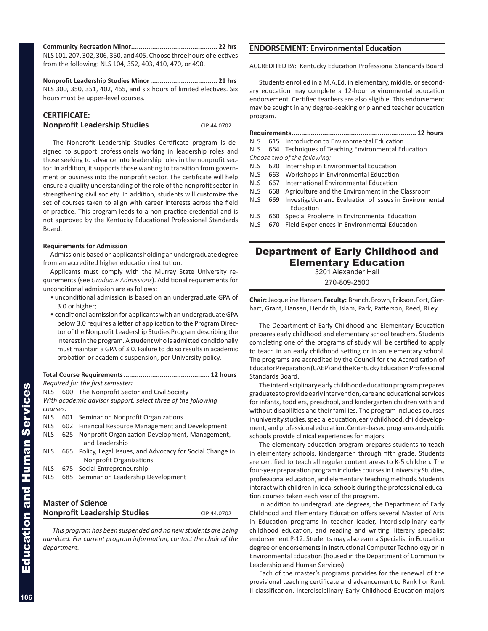<span id="page-19-0"></span>**Community Recreation Minor............................................. 22 hrs** NLS 101, 207, 302, 306, 350, and 405. Choose three hours of electives from the following: NLS 104, 352, 403, 410, 470, or 490.

**Nonprofit Leadership Studies Minor................................... 21 hrs** NLS 300, 350, 351, 402, 465, and six hours of limited electives. Six hours must be upper-level courses.

| <b>CERTIFICATE:</b>                 |             |
|-------------------------------------|-------------|
| <b>Nonprofit Leadership Studies</b> | CIP 44.0702 |

The Nonprofit Leadership Studies Certificate program is designed to support professionals working in leadership roles and those seeking to advance into leadership roles in the nonprofit sector. In addition, it supports those wanting to transition from government or business into the nonprofit sector. The certificate will help ensure a quality understanding of the role of the nonprofit sector in strengthening civil society. In addition, students will customize the set of courses taken to align with career interests across the field of practice. This program leads to a non-practice credential and is not approved by the Kentucky Educational Professional Standards Board.

# **Requirements for Admission**

Admission is based on applicants holding an undergraduate degree from an accredited higher education institution.

Applicants must comply with the Murray State University requirements (see *Graduate Admissions*). Additional requirements for unconditional admission are as follows:

- unconditional admission is based on an undergraduate GPA of 3.0 or higher;
- conditional admission for applicants with an undergraduate GPA below 3.0 requires a letter of application to the Program Director of the Nonprofit Leadership Studies Program describing the interest in the program. A student who is admitted conditionally must maintain a GPA of 3.0. Failure to do so results in academic probation or academic suspension, per University policy.

# **Total Course Requirements............................................. 12 hours** *Required for the first semester:*

NLS 600 The Nonprofit Sector and Civil Society *With academic advisor support, select three of the following courses:*

NLS 601 Seminar on Nonprofit Organizations

- NLS 602 Financial Resource Management and Development
- NLS 625 Nonprofit Organization Development, Management, and Leadership
- NLS 665 Policy, Legal Issues, and Advocacy for Social Change in Nonprofit Organizations
- NLS 675 Social Entrepreneurship
- NLS 685 Seminar on Leadership Development

| <b>Master of Science</b>            |             |
|-------------------------------------|-------------|
| <b>Nonprofit Leadership Studies</b> | CIP 44.0702 |
|                                     |             |

*This program has been suspended and no new students are being admitted. For current program information, contact the chair of the department.*

# **ENDORSEMENT: Environmental Education**

ACCREDITED BY: Kentucky Education Professional Standards Board

Students enrolled in a M.A.Ed. in elementary, middle, or secondary education may complete a 12-hour environmental education endorsement. Certified teachers are also eligible. This endorsement may be sought in any degree-seeking or planned teacher education program.

**Requirements................................................................. 12 hours**

- NLS 615 Introduction to Environmental Education
- NLS 664 Techniques of Teaching Environmental Education
- *Choose two of the following:*
- NLS 620 Internship in Environmental Education
- NLS 663 Workshops in Environmental Education
- NLS 667 International Environmental Education
- NLS 668 Agriculture and the Environment in the Classroom
- NLS 669 Investigation and Evaluation of Issues in Environmental Education
- NLS 660 Special Problems in Environmental Education
- NLS 670 Field Experiences in Environmental Education

# Department of Early Childhood and Elementary Education

3201 Alexander Hall

270-809-2500

**Chair:** Jacqueline Hansen. **Faculty:** Branch, Brown, Erikson, Fort, Gierhart, Grant, Hansen, Hendrith, Islam, Park, Patterson, Reed, Riley.

The Department of Early Childhood and Elementary Education prepares early childhood and elementary school teachers. Students completing one of the programs of study will be certified to apply to teach in an early childhood setting or in an elementary school. The programs are accredited by the Council for the Accreditation of Educator Preparation (CAEP) and the Kentucky Education Professional Standards Board.

The interdisciplinary early childhood education program prepares graduates to provide early intervention, care and educational services for infants, toddlers, preschool, and kindergarten children with and without disabilities and their families. The program includes courses in university studies, special education, early childhood, child development, and professional education. Center-based programs and public schools provide clinical experiences for majors.

The elementary education program prepares students to teach in elementary schools, kindergarten through fifth grade. Students are certified to teach all regular content areas to K-5 children. The four-year preparation program includes courses in University Studies, professional education, and elementary teaching methods. Students interact with children in local schools during the professional education courses taken each year of the program.

In addition to undergraduate degrees, the Department of Early Childhood and Elementary Education offers several Master of Arts in Education programs in teacher leader, interdisciplinary early childhood education, and reading and writing: literary specialist endorsement P-12. Students may also earn a Specialist in Education degree or endorsements in Instructional Computer Technology or in Environmental Education (housed in the Department of Community Leadership and Human Services).

Each of the master's programs provides for the renewal of the provisional teaching certificate and advancement to Rank I or Rank II classification. Interdisciplinary Early Childhood Education majors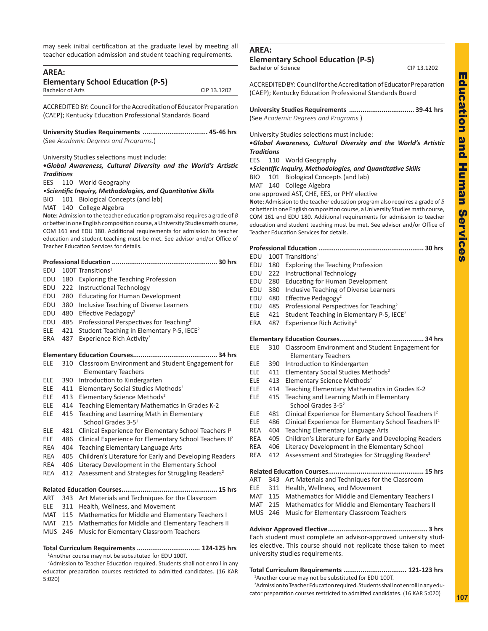<span id="page-20-0"></span>may seek initial certification at the graduate level by meeting all teacher education admission and student teaching requirements.

| <b>AREA:</b><br><b>Elementary School Education (P-5)</b> |                         |                                                                                                                                                               |
|----------------------------------------------------------|-------------------------|---------------------------------------------------------------------------------------------------------------------------------------------------------------|
|                                                          | <b>Bachelor of Arts</b> | CIP 13.1202                                                                                                                                                   |
|                                                          |                         |                                                                                                                                                               |
|                                                          |                         | ACCREDITED BY: Council for the Accreditation of Educator Preparation                                                                                          |
|                                                          |                         | (CAEP); Kentucky Education Professional Standards Board                                                                                                       |
|                                                          |                         | (See Academic Degrees and Programs.)                                                                                                                          |
|                                                          |                         | University Studies selections must include:                                                                                                                   |
|                                                          |                         | .Global Awareness, Cultural Diversity and the World's Artistic                                                                                                |
| Traditions                                               |                         |                                                                                                                                                               |
| EES                                                      | 110                     | <b>World Geography</b>                                                                                                                                        |
|                                                          |                         | • Scientific Inquiry, Methodologies, and Quantitative Skills                                                                                                  |
| BIO.                                                     | 101                     | <b>Biological Concepts (and lab)</b>                                                                                                                          |
| MAT                                                      | 140                     | College Algebra                                                                                                                                               |
|                                                          |                         | Note: Admission to the teacher education program also requires a grade of B<br>or better in one English composition course, a University Studies math course, |
|                                                          |                         | COM 161 and EDU 180. Additional requirements for admission to teacher                                                                                         |
|                                                          |                         | education and student teaching must be met. See advisor and/or Office of                                                                                      |
|                                                          |                         | Teacher Education Services for details.                                                                                                                       |
|                                                          |                         |                                                                                                                                                               |
| EDU                                                      |                         | 100T Transitions <sup>1</sup>                                                                                                                                 |
| EDU                                                      | 180                     | <b>Exploring the Teaching Profession</b>                                                                                                                      |
| EDU                                                      | 222                     | <b>Instructional Technology</b>                                                                                                                               |
| EDU                                                      | 280                     | <b>Educating for Human Development</b>                                                                                                                        |
| EDU                                                      | 380                     | Inclusive Teaching of Diverse Learners                                                                                                                        |
| EDU                                                      | 480                     | Effective Pedagogy <sup>2</sup>                                                                                                                               |
| EDU                                                      | 485                     | Professional Perspectives for Teaching <sup>2</sup>                                                                                                           |
| ELE                                                      | 421                     | Student Teaching in Elementary P-5, IECE <sup>2</sup>                                                                                                         |
| ERA                                                      | 487                     | Experience Rich Activity <sup>2</sup>                                                                                                                         |
|                                                          |                         |                                                                                                                                                               |
| ELE                                                      | 310                     | Classroom Environment and Student Engagement for<br><b>Elementary Teachers</b>                                                                                |
| ELE                                                      | 390                     | Introduction to Kindergarten                                                                                                                                  |
| ELE                                                      | 411                     | Elementary Social Studies Methods <sup>2</sup>                                                                                                                |
| ELE                                                      | 413                     | Elementary Science Methods <sup>2</sup>                                                                                                                       |
| ELE                                                      | 414                     | Teaching Elementary Mathematics in Grades K-2                                                                                                                 |
| ELE                                                      | 415                     | Teaching and Learning Math in Elementary<br>School Grades 3-5 <sup>2</sup>                                                                                    |
| ELE                                                      | 481                     | Clinical Experience for Elementary School Teachers I <sup>2</sup>                                                                                             |
| ELE                                                      | 486                     | Clinical Experience for Elementary School Teachers II <sup>2</sup>                                                                                            |
| REA                                                      | 404                     | Teaching Elementary Language Arts                                                                                                                             |
| REA                                                      | 405                     | Children's Literature for Early and Developing Readers                                                                                                        |
| REA                                                      | 406                     | Literacy Development in the Elementary School                                                                                                                 |
| REA                                                      | 412                     | Assessment and Strategies for Struggling Readers <sup>2</sup>                                                                                                 |
|                                                          |                         |                                                                                                                                                               |
| ART                                                      | 343                     | Art Materials and Techniques for the Classroom                                                                                                                |
| ELE                                                      | 311                     | Health, Wellness, and Movement                                                                                                                                |
| MAT                                                      | 115                     | Mathematics for Middle and Elementary Teachers I                                                                                                              |
| MAT                                                      | 215                     | Mathematics for Middle and Elementary Teachers II                                                                                                             |
| <b>MUS</b>                                               | 246                     | Music for Elementary Classroom Teachers                                                                                                                       |
|                                                          |                         | Total Curriculum Requirements  124-125 hrs                                                                                                                    |

1 Another course may not be substituted for EDU 100T.

<sup>2</sup> Admission to Teacher Education required. Students shall not enroll in any educator preparation courses restricted to admitted candidates. (16 KAR 5:020)

# **AREA:**

# **Elementary School Education (P-5)**

Bachelor of Science CIP 13.1202

ACCREDITED BY: Council for the Accreditation of Educator Preparation (CAEP); Kentucky Education Professional Standards Board

**University Studies Requirements .................................. 39-41 hrs** (See *Academic Degrees and Programs.*)

University Studies selections must include:

**•***Global Awareness, Cultural Diversity and the World's Artistic Traditions*

EES 110 World Geography

•*Scientific Inquiry, Methodologies, and Quantitative Skills*

BIO 101 Biological Concepts (and lab)

MAT 140 College Algebra

one approved AST, CHE, EES, or PHY elective

**Note:** Admission to the teacher education program also requires a grade of *B* or better in one English composition course, a University Studies math course, COM 161 and EDU 180. Additional requirements for admission to teacher education and student teaching must be met. See advisor and/or Office of Teacher Education Services for details.

| $F N \cup 400T$ $T_{\text{meas}} \cup \text{meas}$ |  |
|----------------------------------------------------|--|

- EDU 100T Transitions EDU 180 Exploring the Teaching Profession EDU 222 Instructional Technology EDU 280 Educating for Human Development EDU 380 Inclusive Teaching of Diverse Learners
- EDU 480 Effective Pedagogy<sup>2</sup>
- EDU 485 Professional Perspectives for Teaching2
- ELE 421 Student Teaching in Elementary P-5, IECE<sup>2</sup>
- ERA 487 Experience Rich Activity<sup>2</sup>

# **Elementary Education Courses............................................ 34 hrs**

- ELE 310 Classroom Environment and Student Engagement for Elementary Teachers
- ELE 390 Introduction to Kindergarten
- ELE 411 Elementary Social Studies Methods<sup>2</sup>
- ELE 413 Elementary Science Methods<sup>2</sup>
- ELE 414 Teaching Elementary Mathematics in Grades K-2
- ELE 415 Teaching and Learning Math in Elementary School Grades 3-52
- ELE 481 Clinical Experience for Elementary School Teachers I<sup>2</sup>
- ELE 486 Clinical Experience for Elementary School Teachers II2
- REA 404 Teaching Elementary Language Arts
- REA 405 Children's Literature for Early and Developing Readers
- REA 406 Literacy Development in the Elementary School
- REA 412 Assessment and Strategies for Struggling Readers<sup>2</sup>

**Related Education Courses.................................................. 15 hrs**

- ART 343 Art Materials and Techniques for the Classroom
- ELE 311 Health, Wellness, and Movement
- MAT 115 Mathematics for Middle and Elementary Teachers I
- MAT 215 Mathematics for Middle and Elementary Teachers II
- MUS 246 Music for Elementary Classroom Teachers

**Advisor Approved Elective.................................................... 3 hrs** Each student must complete an advisor-approved university studies elective. This course should not replicate those taken to meet university studies requirements.

# **Total Curriculum Requirements ................................. 121-123 hrs**

1 Another course may not be substituted for EDU 100T. 2 Admission to Teacher Education required. Students shall not enroll in any edu-

cator preparation courses restricted to admitted candidates. (16 KAR 5:020)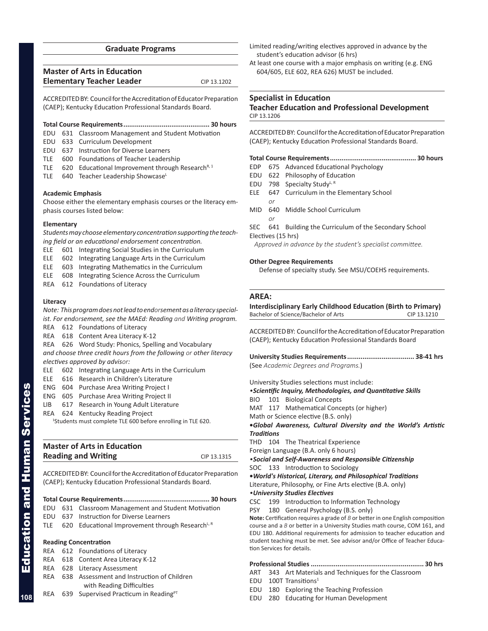# **Graduate Programs**

<span id="page-21-0"></span>

| <b>Master of Arts in Education</b> |             |
|------------------------------------|-------------|
| <b>Elementary Teacher Leader</b>   | CIP 13.1202 |

ACCREDITED BY: Council for the Accreditation of Educator Preparation (CAEP); Kentucky Education Professional Standards Board.

# **Total Course Requirements............................................. 30 hours**

- EDU 631 Classroom Management and Student Motivation
- EDU 633 Curriculum Development
- EDU 637 Instruction for Diverse Learners
- TLE 600 Foundations of Teacher Leadership
- TLE 620 Educational Improvement through Research<sup>R, 1</sup>
- TLE 640 Teacher Leadership ShowcaseL

# **Academic Emphasis**

Choose either the elementary emphasis courses or the literacy emphasis courses listed below:

# **Elementary**

*Students may choose elementary concentration supporting the teaching field or an educational endorsement concentration.*

- ELE 601 Integrating Social Studies in the Curriculum
- ELE 602 Integrating Language Arts in the Curriculum
- ELE 603 Integrating Mathematics in the Curriculum
- ELE 608 Integrating Science Across the Curriculum
- REA 612 Foundations of Literacy

# **Literacy**

*Note: This program does not lead to endorsement as a literacy specialist. For endorsement, see the MAEd: Reading and Writing program.*

- REA 612 Foundations of Literacy
- REA 618 Content Area Literacy K-12

REA 626 Word Study: Phonics, Spelling and Vocabulary *and choose three credit hours from the following or other literacy* 

*electives approved by advisor:*

- ELE 602 Integrating Language Arts in the Curriculum
- ELE 616 Research in Children's Literature
- ENG 604 Purchase Area Writing Project I
- ENG 605 Purchase Area Writing Project II
- LIB 617 Research in Young Adult Literature
- REA 624 Kentucky Reading Project

1 Students must complete TLE 600 before enrolling in TLE 620.

| <b>Master of Arts in Education</b> |             |
|------------------------------------|-------------|
| <b>Reading and Writing</b>         | CIP 13.1315 |

ACCREDITED BY: Council for the Accreditation of Educator Preparation (CAEP); Kentucky Education Professional Standards Board.

# **Total Course Requirements............................................. 30 hours**

- EDU 631 Classroom Management and Student Motivation
- EDU 637 Instruction for Diverse Learners
- TLE 620 Educational Improvement through Research<sup>L, R</sup>

# **Reading Concentration**

- REA 612 Foundations of Literacy
- REA 618 Content Area Literacy K-12
- REA 628 Literacy Assessment
- REA 638 Assessment and Instruction of Children with Reading Difficulties
- REA 639 Supervised Practicum in Reading<sup>PT</sup>
- Limited reading/writing electives approved in advance by the student's education advisor (6 hrs)
- At least one course with a major emphasis on writing (e.g. ENG 604/605, ELE 602, REA 626) MUST be included.

# **Specialist in Education Teacher Education and Professional Development** CIP 13.1206

ACCREDITED BY: Council for the Accreditation of Educator Preparation (CAEP); Kentucky Education Professional Standards Board.

# **Total Course Requirements............................................. 30 hours**

- EDP 675 Advanced Educational Psychology
- EDU 622 Philosophy of Education
- EDU 798 Specialty Study<sup>L, R</sup>
- ELE 647 Curriculum in the Elementary School *or*
- MID 640 Middle School Curriculum
- *or* SEC 641 Building the Curriculum of the Secondary School
- Electives (15 hrs)
- *Approved in advance by the student's specialist committee.*

# **Other Degree Requirements**

Defense of specialty study. See MSU/COEHS requirements.

# **AREA:**

**Interdisciplinary Early Childhood Education (Birth to Primary)** Bachelor of Science/Bachelor of Arts CIP 13.1210

ACCREDITED BY: Council for the Accreditation of Educator Preparation (CAEP); Kentucky Education Professional Standards Board

**University Studies Requirements................................... 38-41 hrs** (See *Academic Degrees and Programs.*)

University Studies selections must include:

*•Scientific Inquiry, Methodologies, and Quantitative Skills*

BIO 101 Biological Concepts

MAT 117 Mathematical Concepts (or higher)

Math or Science elective (B.S. only)

**•***Global Awareness, Cultural Diversity and the World's Artistic Traditions*

THD 104 The Theatrical Experience

Foreign Language (B.A. only 6 hours)

*•Social and Self-Awareness and Responsible Citizenship*

SOC 133 Introduction to Sociology

**•***World's Historical, Literary, and Philosophical Traditions* Literature, Philosophy, or Fine Arts elective (B.A. only) *•University Studies Electives*

CSC 199 Introduction to Information Technology

PSY 180 General Psychology (B.S. only)

**Note:** Certification requires a grade of *B* or better in one English composition course and a *B* or better in a University Studies math course, COM 161, and EDU 180. Additional requirements for admission to teacher education and student teaching must be met. See advisor and/or Office of Teacher Education Services for details.

# **Professional Studies ........................................................... 30 hrs**

ART 343 Art Materials and Techniques for the Classroom

- EDU  $100T$  Transitions<sup>1</sup>
- EDU 180 Exploring the Teaching Profession
- EDU 280 Educating for Human Development

**108**

Education and Human Services

**Education and Human Services**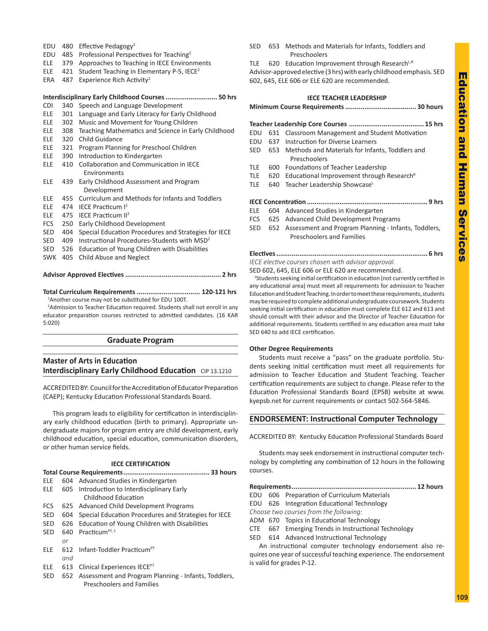- <span id="page-22-0"></span>EDU 480 Effective Pedagogy<sup>2</sup>
- EDU 485 Professional Perspectives for Teaching2
- ELE 379 Approaches to Teaching in IECE Environments
- ELE 421 Student Teaching in Elementary P-5, IECE2
- ERA 487 Experience Rich Activity<sup>2</sup>

# **Interdisciplinary Early Childhood Courses........................... 50 hrs**

- CDI 340 Speech and Language Development
- ELE 301 Language and Early Literacy for Early Childhood
- ELE 302 Music and Movement for Young Children
- ELE 308 Teaching Mathematics and Science in Early Childhood
- ELE 320 Child Guidance
- ELE 321 Program Planning for Preschool Children
- ELE 390 Introduction to Kindergarten
- ELE 410 Collaboration and Communication in IECE Environments
- ELE 439 Early Childhood Assessment and Program Development
- ELE 455 Curriculum and Methods for Infants and Toddlers
- ELE 474 IECE Practicum I<sup>2</sup>
- ELE 475 IECE Practicum II2
- FCS 250 Early Childhood Development
- SED 404 Special Education Procedures and Strategies for IECE
- SED 409 Instructional Procedures-Students with MSD<sup>2</sup>
- SED 526 Education of Young Children with Disabilities
- SWK 405 Child Abuse and Neglect

# **Advisor Approved Electives .................................................. 2 hrs**

**Total Curriculum Requirements ................................. 120-121 hrs** <sup>1</sup> Another course may not be substituted for EDU 100T.

<sup>2</sup> Admission to Teacher Education required. Students shall not enroll in any educator preparation courses restricted to admitted candidates. (16 KAR 5:020)

# **Graduate Program**

# **Master of Arts in Education Interdisciplinary Early Childhood Education** CIP 13.1210

ACCREDITED BY: Council for the Accreditation of Educator Preparation (CAEP); Kentucky Education Professional Standards Board.

This program leads to eligibility for certification in interdisciplinary early childhood education (birth to primary). Appropriate undergraduate majors for program entry are child development, early childhood education, special education, communication disorders, or other human service fields.

# **IECE CERTIFICATION**

|            |     | 33 hours                                                 |
|------------|-----|----------------------------------------------------------|
| ELE        |     | 604 Advanced Studies in Kindergarten                     |
| ELE        |     | 605 Introduction to Interdisciplinary Early              |
|            |     | Childhood Education                                      |
| <b>FCS</b> |     | 625 Advanced Child Development Programs                  |
| <b>SED</b> |     | 604 Special Education Procedures and Strategies for IECE |
| <b>SED</b> |     | 626 Education of Young Children with Disabilities        |
| <b>SED</b> | 640 | Practicum <sup>PT, 1</sup>                               |
|            | or  |                                                          |
| ELE.       |     | 612 Infant-Toddler Practicum <sup>PT</sup>               |
|            | and |                                                          |
| ELE.       |     | 613 Clinical Experiences IECE <sup>PT</sup>              |
| <b>SED</b> |     | 652 Assessment and Program Planning - Infants, Toddlers, |

Preschoolers and Families

- SED 653 Methods and Materials for Infants, Toddlers and Preschoolers
- TLE  $620$  Education Improvement through Research<sup>L,R</sup>

Advisor-approved elective (3 hrs) with early childhood emphasis. SED 602, 645, ELE 606 or ELE 620 are recommended.

# **IECE TEACHER LEADERSHIP Minimum Course Requirements..................................... 30 hours Teacher Leadership Core Courses ....................................... 15 hrs** EDU 631 Classroom Management and Student Motivation EDU 637 Instruction for Diverse Learners SED 653 Methods and Materials for Infants, Toddlers and Preschoolers TLE 600 Foundations of Teacher Leadership TLE  $620$  Educational Improvement through Research<sup>R</sup> TLE 640 Teacher Leadership ShowcaseL **IECE Concentration ............................................................... 9 hrs** ELE 604 Advanced Studies in Kindergarten FCS 625 Advanced Child Development Programs SED 652 Assessment and Program Planning - Infants, Toddlers, Preschoolers and Families

# **Electives............................................................................... 6 hrs** *IECE elective courses chosen with advisor approval.*

SED 602, 645, ELE 606 or ELE 620 are recommended.

<sup>1</sup>Students seeking initial certification in education (not currently certified in any educational area) must meet all requirements for admission to Teacher Education and Student Teaching. In order to meet these requirements, students may be required to complete additional undergraduate coursework. Students seeking initial certification in education must complete ELE 612 and 613 and should consult with their advisor and the Director of Teacher Education for additional requirements. Students certified in any education area must take SED 640 to add IECE certification.

# **Other Degree Requirements**

Students must receive a "pass" on the graduate portfolio. Students seeking initial certification must meet all requirements for admission to Teacher Education and Student Teaching. Teacher certification requirements are subject to change. Please refer to the Education Professional Standards Board (EPSB) website at www. kyepsb.net for current requirements or contact 502-564-5846.

# **ENDORSEMENT: Instructional Computer Technology**

ACCREDITED BY: Kentucky Education Professional Standards Board

Students may seek endorsement in instructional computer technology by completing any combination of 12 hours in the following courses.

**Requirements................................................................. 12 hours**

- EDU 606 Preparation of Curriculum Materials
- EDU 626 Integration Educational Technology
- *Choose two courses from the following:*
- ADM 670 Topics in Educational Technology
- CTE 667 Emerging Trends in Instructional Technology
- SED 614 Advanced Instructional Technology

An instructional computer technology endorsement also requires one year of successful teaching experience. The endorsement is valid for grades P-12.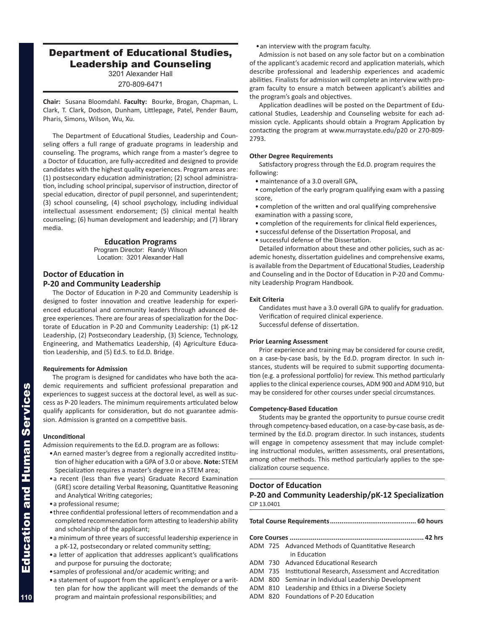# <span id="page-23-0"></span>Department of Educational Studies, Leadership and Counseling

3201 Alexander Hall

270-809-6471

**Chair:** Susana Bloomdahl. **Faculty:** Bourke, Brogan, Chapman, L. Clark, T. Clark, Dodson, Dunham, Littlepage, Patel, Pender Baum, Pharis, Simons, Wilson, Wu, Xu.

The Department of Educational Studies, Leadership and Counseling offers a full range of graduate programs in leadership and counseling. The programs, which range from a master's degree to a Doctor of Education, are fully-accredited and designed to provide candidates with the highest quality experiences. Program areas are: (1) postsecondary education administration; (2) school administration, including school principal, supervisor of instruction, director of special education, director of pupil personnel, and superintendent; (3) school counseling, (4) school psychology, including individual intellectual assessment endorsement; (5) clinical mental health counseling; (6) human development and leadership; and (7) library media.

# **Education Programs**

Program Director: Randy Wilson Location: 3201 Alexander Hall

# **Doctor of Education in P-20 and Community Leadership**

The Doctor of Education in P-20 and Community Leadership is designed to foster innovation and creative leadership for experienced educational and community leaders through advanced degree experiences. There are four areas of specialization for the Doctorate of Education in P-20 and Community Leadership: (1) pK-12 Leadership, (2) Postsecondary Leadership, (3) Science, Technology, Engineering, and Mathematics Leadership, (4) Agriculture Education Leadership, and (5) Ed.S. to Ed.D. Bridge.

# **Requirements for Admission**

The program is designed for candidates who have both the academic requirements and sufficient professional preparation and experiences to suggest success at the doctoral level, as well as success as P-20 leaders. The minimum requirements articulated below qualify applicants for consideration, but do not guarantee admission. Admission is granted on a competitive basis.

# **Unconditional**

Admission requirements to the Ed.D. program are as follows:

- •An earned master's degree from a regionally accredited institution of higher education with a GPA of 3.0 or above. **Note:** STEM Specialization requires a master's degree in a STEM area;
- •a recent (less than five years) Graduate Record Examination (GRE) score detailing Verbal Reasoning, Quantitative Reasoning and Analytical Writing categories;
- •a professional resume;
- •three confidential professional letters of recommendation and a completed recommendation form attesting to leadership ability and scholarship of the applicant;
- •a minimum of three years of successful leadership experience in a pK-12, postsecondary or related community setting;
- •a letter of application that addresses applicant's qualifications and purpose for pursuing the doctorate;
- •samples of professional and/or academic writing; and
- •a statement of support from the applicant's employer or a written plan for how the applicant will meet the demands of the program and maintain professional responsibilities; and

•an interview with the program faculty.

Admission is not based on any sole factor but on a combination of the applicant's academic record and application materials, which describe professional and leadership experiences and academic abilities. Finalists for admission will complete an interview with program faculty to ensure a match between applicant's abilities and the program's goals and objectives.

Application deadlines will be posted on the Department of Educational Studies, Leadership and Counseling website for each admission cycle. Applicants should obtain a Program Application by contacting the program at www.murraystate.edu/p20 or 270-809- 2793.

# **Other Degree Requirements**

Satisfactory progress through the Ed.D. program requires the following:

- maintenance of a 3.0 overall GPA,
- completion of the early program qualifying exam with a passing score,
- completion of the written and oral qualifying comprehensive examination with a passing score,
- completion of the requirements for clinical field experiences,
- successful defense of the Dissertation Proposal, and
- successful defense of the Dissertation.

Detailed information about these and other policies, such as academic honesty, dissertation guidelines and comprehensive exams, is available from the Department of Educational Studies, Leadership and Counseling and in the Doctor of Education in P-20 and Community Leadership Program Handbook.

# **Exit Criteria**

Candidates must have a 3.0 overall GPA to qualify for graduation. Verification of required clinical experience. Successful defense of dissertation.

# **Prior Learning Assessment**

Prior experience and training may be considered for course credit, on a case-by-case basis, by the Ed.D. program director. In such instances, students will be required to submit supporting documentation (e.g. a professional portfolio) for review. This method particularly applies to the clinical experience courses, ADM 900 and ADM 910, but may be considered for other courses under special circumstances.

# **Competency-Based Education**

Students may be granted the opportunity to pursue course credit through competency-based education, on a case-by-case basis, as determined by the Ed.D. program director. In such instances, students will engage in competency assessment that may include completing instructional modules, written assessments, oral presentations, among other methods. This method particularly applies to the specialization course sequence.

# **Doctor of Education**

**P-20 and Community Leadership/pK-12 Specialization** CIP 13.0401

|--|--|--|--|

- **Core Courses ...................................................................... 42 hrs**
- ADM 725 Advanced Methods of Quantitative Research in Education
- ADM 730 Advanced Educational Research
- ADM 735 Institutional Research, Assessment and Accreditation
- ADM 800 Seminar in Individual Leadership Development
- ADM 810 Leadership and Ethics in a Diverse Society
- ADM 820 Foundations of P-20 Education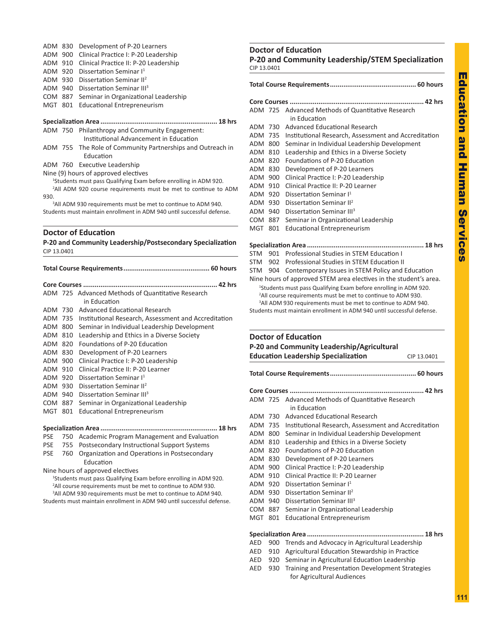# ADM 830 Development of P-20 Learners

- ADM 900 Clinical Practice I: P-20 Leadership
- ADM 910 Clinical Practice II: P-20 Leadership
- ADM 920 Dissertation Seminar I1
- ADM 930 Dissertation Seminar II2

ADM 940 Dissertation Seminar III<sup>3</sup>

- COM 887 Seminar in Organizational Leadership
- MGT 801 Educational Entrepreneurism

# **Specialization Area ............................................................. 18 hrs**

ADM 750 Philanthropy and Community Engagement:

Institutional Advancement in Education

- ADM 755 The Role of Community Partnerships and Outreach in Education
- ADM 760 Executive Leadership

Nine (9) hours of approved electives

1 Students must pass Qualifying Exam before enrolling in ADM 920.

<sup>2</sup>All ADM 920 course requirements must be met to continue to ADM 930.

<sup>3</sup>All ADM 930 requirements must be met to continue to ADM 940.

Students must maintain enrollment in ADM 940 until successful defense.

# **Doctor of Education**

**P-20 and Community Leadership/Postsecondary Specialization** CIP 13.0401

**Total Course Requirements............................................. 60 hours**

|            |     | ADM 725 Advanced Methods of Quantitative Research    |
|------------|-----|------------------------------------------------------|
|            |     | in Education                                         |
| ADM        | 730 | Advanced Educational Research                        |
| ADM        | 735 | Institutional Research, Assessment and Accreditation |
| ADM        | 800 | Seminar in Individual Leadership Development         |
| ADM        | 810 | Leadership and Ethics in a Diverse Society           |
| ADM        | 820 | Foundations of P-20 Education                        |
| ADM        | 830 | Development of P-20 Learners                         |
| ADM        | 900 | Clinical Practice I: P-20 Leadership                 |
| ADM        | 910 | Clinical Practice II: P-20 Learner                   |
| ADM        | 920 | Dissertation Seminar I <sup>1</sup>                  |
| ADM        | 930 | Dissertation Seminar II <sup>2</sup>                 |
| ADM        | 940 | Dissertation Seminar III <sup>3</sup>                |
| COM        | 887 | Seminar in Organizational Leadership                 |
| MGT        | 801 | <b>Educational Entrepreneurism</b>                   |
|            |     |                                                      |
|            |     |                                                      |
| <b>PSE</b> | 750 | Academic Program Management and Evaluation           |
| <b>PSE</b> | 755 | Postsecondary Instructional Support Systems          |
| <b>PSE</b> | 760 | Organization and Operations in Postsecondary         |
|            |     | Fducation                                            |

### Nine hours of approved electives

<sup>1</sup>Students must pass Qualifying Exam before enrolling in ADM 920. <sup>2</sup>All course requirements must be met to continue to ADM 930. <sup>3</sup>All ADM 930 requirements must be met to continue to ADM 940. Students must maintain enrollment in ADM 940 until successful defense.

# **Doctor of Education P-20 and Community Leadership/STEM Specialization**

CIP 13.0401

# **Total Course Requirements............................................. 60 hours Core Courses ...................................................................... 42 hrs** ADM 725 Advanced Methods of Quantitative Research in Education ADM 730 Advanced Educational Research ADM 735 Institutional Research, Assessment and Accreditation ADM 800 Seminar in Individual Leadership Development ADM 810 Leadership and Ethics in a Diverse Society ADM 820 Foundations of P-20 Education ADM 830 Development of P-20 Learners ADM 900 Clinical Practice I: P-20 Leadership ADM 910 Clinical Practice II: P-20 Learner ADM 920 Dissertation Seminar I1 ADM 930 Dissertation Seminar II2 ADM 940 Dissertation Seminar III<sup>3</sup> COM 887 Seminar in Organizational Leadership MGT 801 Educational Entrepreneurism **Specialization Area ............................................................. 18 hrs** STM 901 Professional Studies in STEM Education I STM 902 Professional Studies in STEM Education II STM 904 Contemporary Issues in STEM Policy and Education

Nine hours of approved STEM area electives in the student's area. 1 Students must pass Qualifying Exam before enrolling in ADM 920. <sup>2</sup>All course requirements must be met to continue to ADM 930. <sup>3</sup>All ADM 930 requirements must be met to continue to ADM 940. Students must maintain enrollment in ADM 940 until successful defense.

# **Doctor of Education**

# **P-20 and Community Leadership/Agricultural Education Leadership Specialization** CIP 13.0401 **Total Course Requirements............................................. 60 hours Core Courses ...................................................................... 42 hrs** ADM 725 Advanced Methods of Quantitative Research in Education ADM 730 Advanced Educational Research ADM 735 Institutional Research, Assessment and Accreditation ADM 800 Seminar in Individual Leadership Development ADM 810 Leadership and Ethics in a Diverse Society ADM 820 Foundations of P-20 Education ADM 830 Development of P-20 Learners ADM 900 Clinical Practice I: P-20 Leadership ADM 910 Clinical Practice II: P-20 Learner ADM 920 Dissertation Seminar I1 ADM 930 Dissertation Seminar II2 ADM 940 Dissertation Seminar III<sup>3</sup> COM 887 Seminar in Organizational Leadership MGT 801 Educational Entrepreneurism **Specialization Area ............................................................. 18 hrs** AED 900 Trends and Advocacy in Agricultural Leadership AED 910 Agricultural Education Stewardship in Practice

- AED 920 Seminar in Agricultural Education Leadership
- AED 930 Training and Presentation Development Strategies for Agricultural Audiences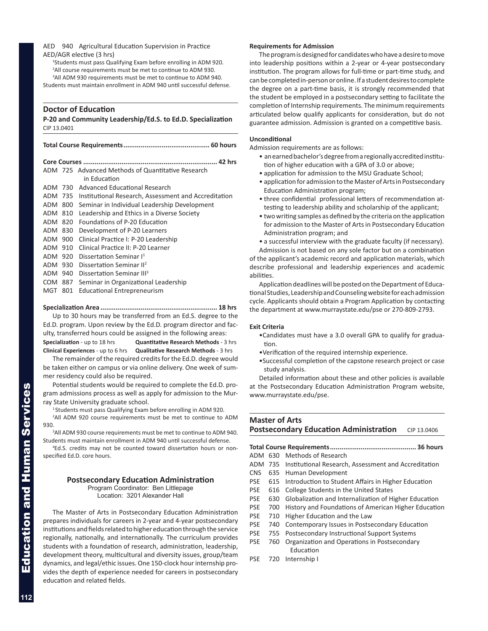# <span id="page-25-0"></span>AED 940 Agricultural Education Supervision in Practice AED/AGR elective (3 hrs)

1 Students must pass Qualifying Exam before enrolling in ADM 920. <sup>2</sup>All course requirements must be met to continue to ADM 930. <sup>3</sup>All ADM 930 requirements must be met to continue to ADM 940. Students must maintain enrollment in ADM 940 until successful defense.

# **Doctor of Education**

**P-20 and Community Leadership/Ed.S. to Ed.D. Specialization** CIP 13.0401

|            |     | ADM 725 Advanced Methods of Quantitative Research<br>in Education |  |
|------------|-----|-------------------------------------------------------------------|--|
| ADM        | 730 | Advanced Educational Research                                     |  |
| ADM        | 735 | Institutional Research, Assessment and Accreditation              |  |
| ADM        | 800 | Seminar in Individual Leadership Development                      |  |
| ADM        | 810 | Leadership and Ethics in a Diverse Society                        |  |
| ADM        | 820 | Foundations of P-20 Education                                     |  |
| ADM        | 830 | Development of P-20 Learners                                      |  |
| ADM        | 900 | Clinical Practice I: P-20 Leadership                              |  |
| ADM        | 910 | Clinical Practice II: P-20 Learner                                |  |
| ADM        | 920 | Dissertation Seminar I <sup>1</sup>                               |  |
| ADM        | 930 | Dissertation Seminar II <sup>2</sup>                              |  |
| ADM        | 940 | Dissertation Seminar III <sup>3</sup>                             |  |
| <b>COM</b> | 887 | Seminar in Organizational Leadership                              |  |
| MGT        | 801 | Educational Entrepreneurism                                       |  |

# **Specialization Area ............................................................. 18 hrs**

Up to 30 hours may be transferred from an Ed.S. degree to the Ed.D. program. Upon review by the Ed.D. program director and faculty, transferred hours could be assigned in the following areas: **Specialization** - up to 18 hrs **Quantitative Research Methods** - 3 hrs

**Clinical Experiences** - up to 6 hrs **Qualitative Research Methods** - 3 hrs

The remainder of the required credits for the Ed.D. degree would be taken either on campus or via online delivery. One week of summer residency could also be required.

Potential students would be required to complete the Ed.D. program admissions process as well as apply for admission to the Murray State University graduate school.

<sup>1</sup> Students must pass Qualifying Exam before enrolling in ADM 920.

<sup>2</sup>All ADM 920 course requirements must be met to continue to ADM 930.

<sup>3</sup>All ADM 930 course requirements must be met to continue to ADM 940. Students must maintain enrollment in ADM 940 until successful defense.

4 Ed.S. credits may not be counted toward dissertation hours or nonspecified Ed.D. core hours.

# **Postsecondary Education Administration**

Program Coordinator: Ben Littlepage Location: 3201 Alexander Hall

The Master of Arts in Postsecondary Education Administration prepares individuals for careers in 2-year and 4-year postsecondary institutions and fields related to higher education through the service regionally, nationally, and internationally. The curriculum provides students with a foundation of research, administration, leadership, development theory, multicultural and diversity issues, group/team dynamics, and legal/ethic issues. One 150-clock hour internship provides the depth of experience needed for careers in postsecondary education and related fields.

# **Requirements for Admission**

The program is designed for candidates who have a desire to move into leadership positions within a 2-year or 4-year postsecondary institution. The program allows for full-time or part-time study, and can be completed in-person or online. If a student desires to complete the degree on a part-time basis, it is strongly recommended that the student be employed in a postsecondary setting to facilitate the completion of Internship requirements. The minimum requirements articulated below qualify applicants for consideration, but do not guarantee admission. Admission is granted on a competitive basis.

# **Unconditional**

Admission requirements are as follows:

- an earned bachelor's degree from a regionally accredited institution of higher education with a GPA of 3.0 or above;
- application for admission to the MSU Graduate School;
- application for admission to the Master of Arts in Postsecondary Education Administration program;
- three confidential professional letters of recommendation attesting to leadership ability and scholarship of the applicant;
- two writing samples as defined by the criteria on the application for admission to the Master of Arts in Postsecondary Education Administration program; and
- a successful interview with the graduate faculty (if necessary).

Admission is not based on any sole factor but on a combination of the applicant's academic record and application materials, which describe professional and leadership experiences and academic abilities.

Application deadlines will be posted on the Department of Educational Studies, Leadership and Counseling website for each admission cycle. Applicants should obtain a Program Application by contacting the department at www.murraystate.edu/pse or 270-809-2793.

# **Exit Criteria**

- •Candidates must have a 3.0 overall GPA to qualify for graduation.
- •Verification of the required internship experience.
- •Successful completion of the capstone research project or case study analysis.

Detailed information about these and other policies is available at the Postsecondary Education Administration Program website, www.murraystate.edu/pse.

# **Master of Arts Postsecondary Education Administration** CIP 13.0406

# **Total Course Requirements............................................. 36 hours**

|  | ADM 630 Methods of Research |  |  |
|--|-----------------------------|--|--|
|  |                             |  |  |

- ADM 735 Institutional Research, Assessment and Accreditation
- CNS 635 Human Development
- PSE 615 Introduction to Student Affairs in Higher Education
- PSE 616 College Students in the United States
- PSE 630 Globalization and Internalization of Higher Education
- PSE 700 History and Foundations of American Higher Education
- PSE 710 Higher Education and the Law
- PSE 740 Contemporary Issues in Postsecondary Education
- PSE 755 Postsecondary Instructional Support Systems
- PSE 760 Organization and Operations in Postsecondary Education
- PSE 720 Internship I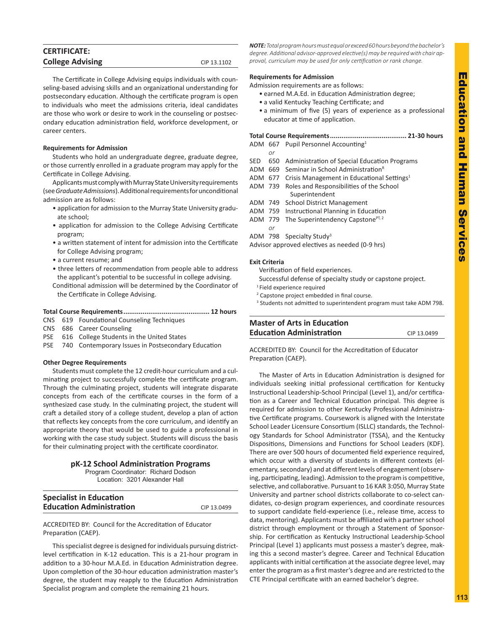<span id="page-26-0"></span>

| <b>CERTIFICATE:</b>     |             |
|-------------------------|-------------|
| <b>College Advising</b> | CIP 13.1102 |
|                         |             |

The Certificate in College Advising equips individuals with counseling-based advising skills and an organizational understanding for postsecondary education. Although the certificate program is open to individuals who meet the admissions criteria, ideal candidates are those who work or desire to work in the counseling or postsecondary education administration field, workforce development, or career centers.

# **Requirements for Admission**

Students who hold an undergraduate degree, graduate degree, or those currently enrolled in a graduate program may apply for the Certificate in College Advising.

Applicants must comply with Murray State University requirements (see *Graduate Admissions*). Additional requirements for unconditional admission are as follows:

- application for admission to the Murray State University graduate school;
- application for admission to the College Advising Certificate program;
- a written statement of intent for admission into the Certificate for College Advising program;
- a current resume; and
- three letters of recommendation from people able to address the applicant's potential to be successful in college advising.
- Conditional admission will be determined by the Coordinator of the Certificate in College Advising.

# **Total Course Requirements............................................. 12 hours**

- CNS 619 Foundational Counseling Techniques
- CNS 686 Career Counseling
- PSE 616 College Students in the United States
- PSE 740 Contemporary Issues in Postsecondary Education

# **Other Degree Requirements**

Students must complete the 12 credit-hour curriculum and a culminating project to successfully complete the certificate program. Through the culminating project, students will integrate disparate concepts from each of the certificate courses in the form of a synthesized case study. In the culminating project, the student will craft a detailed story of a college student, develop a plan of action that reflects key concepts from the core curriculum, and identify an appropriate theory that would be used to guide a professional in working with the case study subject. Students will discuss the basis for their culminating project with the certificate coordinator.

# **pK-12 School Administration Programs**

Program Coordinator: Richard Dodson Location: 3201 Alexander Hall

| <b>Specialist in Education</b>  |             |
|---------------------------------|-------------|
| <b>Education Administration</b> | CIP 13.0499 |
|                                 |             |

ACCREDITED BY: Council for the Accreditation of Educator Preparation (CAEP).

This specialist degree is designed for individuals pursuing districtlevel certification in K-12 education. This is a 21-hour program in addition to a 30-hour M.A.Ed. in Education Administration degree. Upon completion of the 30-hour education administration master's degree, the student may reapply to the Education Administration Specialist program and complete the remaining 21 hours.

*NOTE: Total program hours must equal or exceed 60 hours beyond the bachelor's degree. Additional advisor-approved elective(s) may be required with chair approval, curriculum may be used for only certification or rank change.*

# **Requirements for Admission**

Admission requirements are as follows:

- earned M.A.Ed. in Education Administration degree;
- a valid Kentucky Teaching Certificate; and
- a minimum of five (5) years of experience as a professional educator at time of application.

# **Total Course Requirements........................................ 21-30 hours**

- ADM 667 Pupil Personnel Accounting1
- *or* SED 650 Administration of Special Education Programs
- ADM 669 Seminar in School Administration<sup>R</sup>
- ADM 677 Crisis Management in Educational Settings<sup>1</sup>
- ADM 739 Roles and Responsibilities of the School Superintendent
- ADM 749 School District Management
- ADM 759 Instructional Planning in Education
- ADM 779 The Superintendency Capstone $PT, 2$
- *or*
- ADM 798 Specialty Study<sup>3</sup>

Advisor approved electives as needed (0-9 hrs)

# **Exit Criteria**

- Verification of field experiences.
- Successful defense of specialty study or capstone project.
- 1 Field experience required
- <sup>2</sup> Capstone project embedded in final course.
- <sup>3</sup> Students not admitted to superintendent program must take ADM 798.

# **Master of Arts in Education Education Administration** CIP 13.0499

ACCREDITED BY: Council for the Accreditation of Educator Preparation (CAEP).

The Master of Arts in Education Administration is designed for individuals seeking initial professional certification for Kentucky Instructional Leadership-School Principal (Level 1), and/or certification as a Career and Technical Education principal. This degree is required for admission to other Kentucky Professional Administrative Certificate programs. Coursework is aligned with the Interstate School Leader Licensure Consortium (ISLLC) standards, the Technology Standards for School Administrator (TSSA), and the Kentucky Dispositions, Dimensions and Functions for School Leaders (KDF). There are over 500 hours of documented field experience required, which occur with a diversity of students in different contexts (elementary, secondary) and at different levels of engagement (observing, participating, leading). Admission to the program is competitive, selective, and collaborative. Pursuant to 16 KAR 3:050, Murray State University and partner school districts collaborate to co-select candidates, co-design program experiences, and coordinate resources to support candidate field-experience (i.e., release time, access to data, mentoring). Applicants must be affiliated with a partner school district through employment or through a Statement of Sponsorship. For certification as Kentucky Instructional Leadership-School Principal (Level 1) applicants must possess a master's degree, making this a second master's degree. Career and Technical Education applicants with initial certification at the associate degree level, may enter the program as a first master's degree and are restricted to the CTE Principal certificate with an earned bachelor's degree.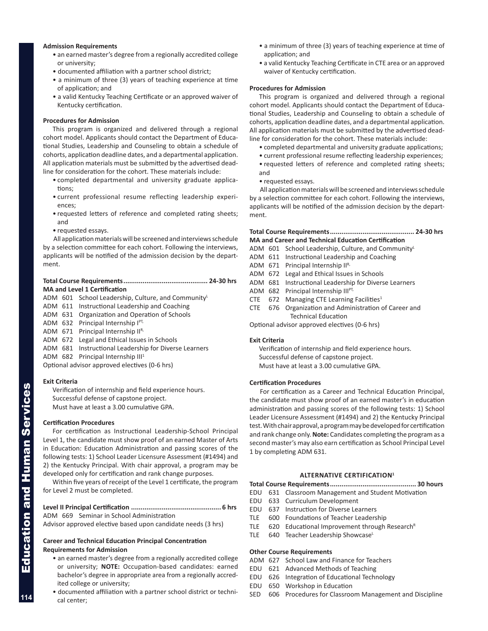# **Admission Requirements**

- an earned master's degree from a regionally accredited college or university;
- documented affiliation with a partner school district;
- a minimum of three (3) years of teaching experience at time of application; and
- a valid Kentucky Teaching Certificate or an approved waiver of Kentucky certification.

# **Procedures for Admission**

This program is organized and delivered through a regional cohort model. Applicants should contact the Department of Educational Studies, Leadership and Counseling to obtain a schedule of cohorts, application deadline dates, and a departmental application. All application materials must be submitted by the advertised deadline for consideration for the cohort. These materials include:

- completed departmental and university graduate applications;
- current professional resume reflecting leadership experiences;
- requested letters of reference and completed rating sheets; and
- requested essays.

All application materials will be screened and interviews schedule by a selection committee for each cohort. Following the interviews, applicants will be notified of the admission decision by the department.

# **Total Course Requirements............................................ 24-30 hrs MA and Level 1 Certification**

- ADM 601 School Leadership, Culture, and Community
- ADM 611 Instructional Leadership and Coaching
- ADM 631 Organization and Operation of Schools
- ADM 632 Principal Internship IPT,
- ADM 671 Principal Internship IIR,
- ADM 672 Legal and Ethical Issues in Schools
- ADM 681 Instructional Leadership for Diverse Learners
- ADM 682 Principal Internship III<sup>1</sup>

Optional advisor approved electives (0-6 hrs)

# **Exit Criteria**

Verification of internship and field experience hours.

Successful defense of capstone project.

Must have at least a 3.00 cumulative GPA.

# **Certification Procedures**

For certification as Instructional Leadership-School Principal Level 1, the candidate must show proof of an earned Master of Arts in Education: Education Administration and passing scores of the following tests: 1) School Leader Licensure Assessment (#1494) and 2) the Kentucky Principal. With chair approval, a program may be developed only for certification and rank change purposes.

Within five years of receipt of the Level 1 certificate, the program for Level 2 must be completed.

ADM 669 Seminar in School Administration

Advisor approved elective based upon candidate needs (3 hrs)

# **Career and Technical Education Principal Concentration Requirements for Admission**

- an earned master's degree from a regionally accredited college or university; **NOTE:** Occupation-based candidates: earned bachelor's degree in appropriate area from a regionally accredited college or university;
- documented affiliation with a partner school district or technical center;
- a minimum of three (3) years of teaching experience at time of application; and
- a valid Kentucky Teaching Certificate in CTE area or an approved waiver of Kentucky certification.

# **Procedures for Admission**

This program is organized and delivered through a regional cohort model. Applicants should contact the Department of Educational Studies, Leadership and Counseling to obtain a schedule of cohorts, application deadline dates, and a departmental application. All application materials must be submitted by the advertised deadline for consideration for the cohort. These materials include:

- completed departmental and university graduate applications;
- current professional resume reflecting leadership experiences;
- requested letters of reference and completed rating sheets; and
- requested essays.

All application materials will be screened and interviews schedule by a selection committee for each cohort. Following the interviews, applicants will be notified of the admission decision by the department.

| <b>MA and Career and Technical Education Certification</b> |  |
|------------------------------------------------------------|--|

- ADM 601 School Leadership, Culture, and Community
- ADM 611 Instructional Leadership and Coaching
- ADM 671 Principal Internship IIR,
- ADM 672 Legal and Ethical Issues in Schools
- ADM 681 Instructional Leadership for Diverse Learners
- ADM 682 Principal Internship IIIPT,
- CTE 672 Managing CTE Learning Facilities<sup>1</sup>
- CTE 676 Organization and Administration of Career and Technical Education

Optional advisor approved electives (0-6 hrs)

# **Exit Criteria**

Verification of internship and field experience hours. Successful defense of capstone project. Must have at least a 3.00 cumulative GPA.

# **Certification Procedures**

For certification as a Career and Technical Education Principal, the candidate must show proof of an earned master's in education administration and passing scores of the following tests: 1) School Leader Licensure Assessment (#1494) and 2) the Kentucky Principal test. With chair approval, a program may be developed for certification and rank change only. **Note:** Candidates completing the program as a second master's may also earn certification as School Principal Level 1 by completing ADM 631.

# **ALTERNATIVE CERTIFICATION1**

**Total Course Requirements............................................. 30 hours**

- EDU 631 Classroom Management and Student Motivation
- EDU 633 Curriculum Development
- EDU 637 Instruction for Diverse Learners
- TLE 600 Foundations of Teacher Leadership
- TLE  $620$  Educational Improvement through Research<sup>R</sup>
- TLE 640 Teacher Leadership ShowcaseL

# **Other Course Requirements**

- ADM 627 School Law and Finance for Teachers
- EDU 621 Advanced Methods of Teaching
- EDU 626 Integration of Educational Technology
- EDU 650 Workshop in Education
- SED 606 Procedures for Classroom Management and Discipline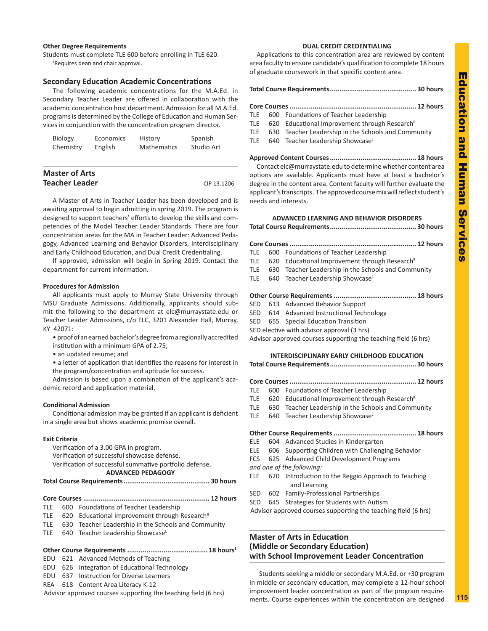# **Education and** Education and Human Services Human Service

# <span id="page-28-0"></span>**Other Degree Requirements**

Students must complete TLE 600 before enrolling in TLE 620. <sup>1</sup>Requires dean and chair approval.

# **Secondary Education Academic Concentrations**

The following academic concentrations for the M.A.Ed. in Secondary Teacher Leader are offered in collaboration with the academic concentration host department. Admission for all M.A.Ed. programs is determined by the College of Education and Human Services in conjunction with the concentration program director.

| <b>Biology</b> | Economics | History            | Spanish    |
|----------------|-----------|--------------------|------------|
| Chemistry      | English   | <b>Mathematics</b> | Studio Art |
|                |           |                    |            |

| <b>Master of Arts</b> |             |
|-----------------------|-------------|
| <b>Teacher Leader</b> | CIP 13.1206 |

A Master of Arts in Teacher Leader has been developed and is awaiting approval to begin admitting in spring 2019. The program is designed to support teachers' efforts to develop the skills and competencies of the Model Teacher Leader Standards. There are four concentration areas for the MA in Teacher Leader: Advanced Pedagogy, Advanced Learning and Behavior Disorders, Interdisciplinary and Early Childhood Education, and Dual Credit Credentialing.

If approved, admission will begin in Spring 2019. Contact the department for current information.

# **Procedures for Admission**

All applicants must apply to Murray State University through MSU Graduate Admissions. Additionally, applicants should submit the following to the department at elc@murraystate.edu or Teacher Leader Admissions, c/o ELC, 3201 Alexander Hall, Murray, KY 42071:

• proof of an earned bachelor's degree from a regionally accredited institution with a minimum GPA of 2.75;

• an updated resume; and

• a letter of application that identifies the reasons for interest in the program/concentration and aptitude for success.

Admission is based upon a combination of the applicant's academic record and application material.

# **Conditional Admission**

Conditional admission may be granted if an applicant is deficient in a single area but shows academic promise overall.

# **Exit Criteria**

Verification of a 3.00 GPA in program. Verification of successful showcase defense. Verification of successful summative portfolio defense. **ADVANCED PEDAGOGY** 

**Total Course Requirements............................................. 30 hours**

- **Core Courses .................................................................. 12 hours** TLE 600 Foundations of Teacher Leadership
- TLE  $620$  Educational Improvement through Research<sup>R</sup>
- TLE 630 Teacher Leadership in the Schools and Community
- TLE 640 Teacher Leadership ShowcaseL
- **Other Course Requirements .......................................... 18 hours1**
- EDU 621 Advanced Methods of Teaching
- EDU 626 Integration of Educational Technology
- EDU 637 Instruction for Diverse Learners
- REA 618 Content Area Literacy K-12

Advisor approved courses supporting the teaching field (6 hrs)

# **DUAL CREDIT CREDENTIALING**

Applications to this concentration area are reviewed by content area faculty to ensure candidate's qualification to complete 18 hours of graduate coursework in that specific content area.

| TLE.       |  | 600 Foundations of Teacher Leadership                     |  |  |  |
|------------|--|-----------------------------------------------------------|--|--|--|
| TLE        |  | 620 Educational Improvement through Research <sup>R</sup> |  |  |  |
| TLE        |  | 630 Teacher Leadership in the Schools and Community       |  |  |  |
| <b>TLE</b> |  | 640 Teacher Leadership Showcase                           |  |  |  |
|            |  |                                                           |  |  |  |
|            |  |                                                           |  |  |  |

Contact elc@murraystate.edu to determine whether content area options are available. Applicants must have at least a bachelor's degree in the content area. Content faculty will further evaluate the applicant's transcripts. The approved course mix will reflect student's needs and interests.

# **ADVANCED LEARNING AND BEHAVIOR DISORDERS**

**Total Course Requirements............................................. 30 hours**

| TLE |  | 600 Foundations of Teacher Leadership                         |  |  |  |
|-----|--|---------------------------------------------------------------|--|--|--|
|     |  | TLE 620 Educational Improvement through Research <sup>R</sup> |  |  |  |
|     |  | TLE 630 Teacher Leadership in the Schools and Community       |  |  |  |
|     |  | TLE 640 Teacher Leadership Showcase                           |  |  |  |
|     |  |                                                               |  |  |  |
|     |  |                                                               |  |  |  |
|     |  | SED 613 Advanced Behavior Support                             |  |  |  |

- SED 613 Advanced Behavior Support
- SED 614 Advanced Instructional Technology
- SED 655 Special Education Transition
- SED elective with advisor approval (3 hrs)

Advisor approved courses supporting the teaching field (6 hrs)

# **INTERDISCIPLINARY EARLY CHILDHOOD EDUCATION**

- **Total Course Requirements............................................. 30 hours**
- **Core Courses .................................................................. 12 hours**
- TLE 600 Foundations of Teacher Leadership
- TLE 620 Educational Improvement through Research<sup>R</sup>
- TLE 630 Teacher Leadership in the Schools and Community
- TLE 640 Teacher Leadership ShowcaseL

**Other Course Requirements ........................................... 18 hours**

- ELE 604 Advanced Studies in Kindergarten
- ELE 606 Supporting Children with Challenging Behavior
- FCS 625 Advanced Child Development Programs

*and one of the following:*

- ELE 620 Introduction to the Reggio Approach to Teaching and Learning
- SED 602 Family-Professional Partnerships
- SED 645 Strategies for Students with Autism

Advisor approved courses supporting the teaching field (6 hrs)

# **Master of Arts in Education (Middle or Secondary Education) with School Improvement Leader Concentration**

Students seeking a middle or secondary M.A.Ed. or +30 program in middle or secondary education, may complete a 12-hour school improvement leader concentration as part of the program requirements. Course experiences within the concentration are designed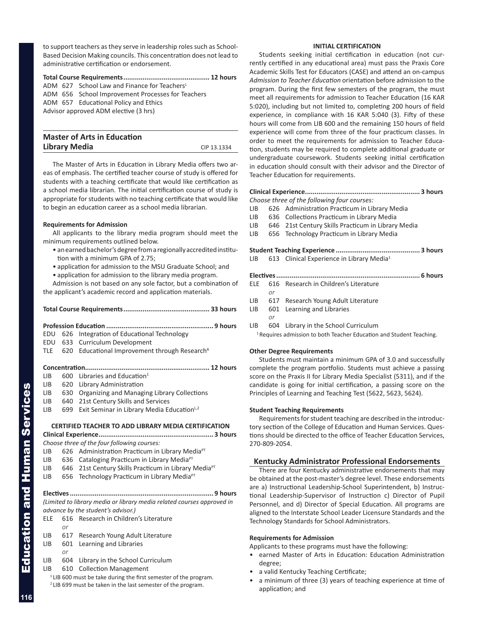<span id="page-29-0"></span>to support teachers as they serve in leadership roles such as School-Based Decision Making councils. This concentration does not lead to administrative certification or endorsement.

**Total Course Requirements............................................. 12 hours** ADM 627 School Law and Finance for Teachers<sup>L</sup> ADM 656 School Improvement Processes for Teachers ADM 657 Educational Policy and Ethics Advisor approved ADM elective (3 hrs)

| <b>Master of Arts in Education</b> |             |
|------------------------------------|-------------|
| <b>Library Media</b>               | CIP 13.1334 |

The Master of Arts in Education in Library Media offers two areas of emphasis. The certified teacher course of study is offered for students with a teaching certificate that would like certification as a school media librarian. The initial certification course of study is appropriate for students with no teaching certificate that would like to begin an education career as a school media librarian.

# **Requirements for Admission**

All applicants to the library media program should meet the minimum requirements outlined below.

- an earned bachelor's degree from a regionally accredited institution with a minimum GPA of 2.75;
- application for admission to the MSU Graduate School; and
- application for admission to the library media program.

Admission is not based on any sole factor, but a combination of the applicant's academic record and application materials.

| EDU            | 626 | Integration of Educational Technology                                  |
|----------------|-----|------------------------------------------------------------------------|
| EDU            | 633 | Curriculum Development                                                 |
| TLE            | 620 | Educational Improvement through Research <sup>R</sup>                  |
|                |     |                                                                        |
| <b>LIB</b>     | 600 | Libraries and Education <sup>1</sup>                                   |
| LIB.           | 620 | Library Administration                                                 |
| LIB.           | 630 | Organizing and Managing Library Collections                            |
| LIB.           | 640 | 21st Century Skills and Services                                       |
| LIB            | 699 | Exit Seminar in Library Media Education <sup>L,2</sup>                 |
|                |     |                                                                        |
|                |     | <b>CERTIFIED TEACHER TO ADD LIBRARY MEDIA CERTIFICATION</b>            |
|                |     |                                                                        |
|                |     | Choose three of the four following courses:                            |
| I IB           |     | 626 Administration Practicum in Library Media <sup>PT</sup>            |
| LIB <b>No.</b> |     | 636 Cataloging Practicum in Library Media <sup>PT</sup>                |
| LIB.           |     | 646 21st Century Skills Practicum in Library Media <sup>PT</sup>       |
| LIB.           |     | 656 Technology Practicum in Library Media <sup>PT</sup>                |
|                |     |                                                                        |
|                |     | (Limited to library media or library media related courses approved in |
|                |     | advance by the student's advisor.)                                     |
| ELE            | 616 | Research in Children's Literature                                      |
|                | or  |                                                                        |
| LIB            | 617 | Research Young Adult Literature                                        |

- LIB 601 Learning and Libraries
	- *or*

LIB 604 Library in the School Curriculum

LIB 610 Collection Management

<sup>1</sup> LIB 600 must be take during the first semester of the program. 2 LIB 699 must be taken in the last semester of the program.

# **INITIAL CERTIFICATION**

Students seeking initial certification in education (not currently certified in any educational area) must pass the Praxis Core Academic Skills Test for Educators (CASE) and attend an on-campus *Admission to Teacher Education* orientation before admission to the program. During the first few semesters of the program, the must meet all requirements for admission to Teacher Education (16 KAR 5:020), including but not limited to, completing 200 hours of field experience, in compliance with 16 KAR 5:040 (3). Fifty of these hours will come from LIB 600 and the remaining 150 hours of field experience will come from three of the four practicum classes. In order to meet the requirements for admission to Teacher Education, students may be required to complete additional graduate or undergraduate coursework. Students seeking initial certification in education should consult with their advisor and the Director of Teacher Education for requirements.

# **Clinical Experience............................................................ 3 hours**

*Choose three of the following four courses:*

- LIB 626 Administration Practicum in Library Media
- LIB 636 Collections Practicum in Library Media
- LIB 646 21st Century Skills Practicum in Library Media
- LIB 656 Technology Practicum in Library Media

**Student Teaching Experience ............................................ 3 hours** LIB 613 Clinical Experience in Library Media<sup>1</sup>

- **Electives........................................................................... 6 hours** ELE 616 Research in Children's Literature *or* LIB 617 Research Young Adult Literature LIB 601 Learning and Libraries
- 

*or*

LIB 604 Library in the School Curriculum <sup>1</sup> Requires admission to both Teacher Education and Student Teaching.

# **Other Degree Requirements**

Students must maintain a minimum GPA of 3.0 and successfully complete the program portfolio. Students must achieve a passing score on the Praxis II for Library Media Specialist (5311), and if the candidate is going for initial certification, a passing score on the Principles of Learning and Teaching Test (5622, 5623, 5624).

# **Student Teaching Requirements**

Requirements for student teaching are described in the introductory section of the College of Education and Human Services. Questions should be directed to the office of Teacher Education Services, 270-809-2054.

# **Kentucky Administrator Professional Endorsements**

There are four Kentucky administrative endorsements that may be obtained at the post-master's degree level. These endorsements are a) Instructional Leadership-School Superintendent, b) Instructional Leadership-Supervisor of Instruction c) Director of Pupil Personnel, and d) Director of Special Education. All programs are aligned to the Interstate School Leader Licensure Standards and the Technology Standards for School Administrators.

# **Requirements for Admission**

Applicants to these programs must have the following:

- earned Master of Arts in Education: Education Administration degree;
- a valid Kentucky Teaching Certificate;
- a minimum of three (3) years of teaching experience at time of application; and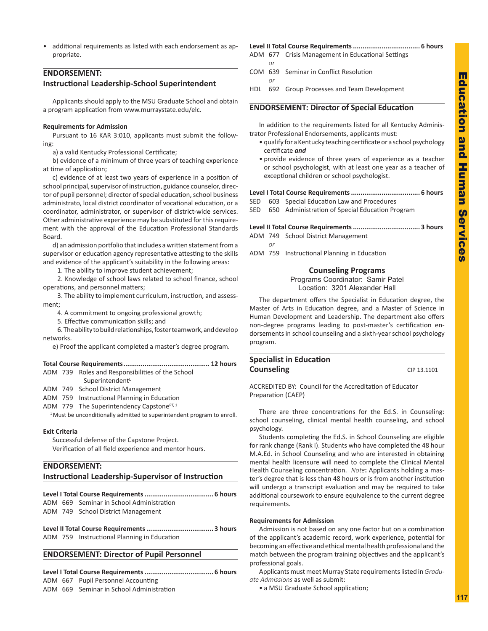<span id="page-30-0"></span>• additional requirements as listed with each endorsement as appropriate.

# **ENDORSEMENT:**

# **Instructional Leadership-School Superintendent**

Applicants should apply to the MSU Graduate School and obtain a program application from www.murraystate.edu/elc.

# **Requirements for Admission**

Pursuant to 16 KAR 3:010, applicants must submit the following:

a) a valid Kentucky Professional Certificate;

b) evidence of a minimum of three years of teaching experience at time of application;

c) evidence of at least two years of experience in a position of school principal, supervisor of instruction, guidance counselor, director of pupil personnel; director of special education, school business administrato, local district coordinator of vocational education, or a coordinator, administrator, or supervisor of district-wide services. Other administrative experience may be substituted for this requirement with the approval of the Education Professional Standards Board.

d) an admission portfolio that includes a written statement from a supervisor or education agency representative attesting to the skills and evidence of the applicant's suitability in the following areas:

1. The ability to improve student achievement;

2. Knowledge of school laws related to school finance, school operations, and personnel matters;

3. The ability to implement curriculum, instruction, and assessment;

4. A commitment to ongoing professional growth;

5. Effective communication skills; and

6. The ability to build relationships, foster teamwork, and develop networks.

e) Proof the applicant completed a master's degree program.

# **Total Course Requirements............................................. 12 hours**

| ADM 739 Roles and Responsibilities of the School |  |  |
|--------------------------------------------------|--|--|
| Superintendent <sup>L</sup>                      |  |  |

ADM 749 School District Management

- 
- ADM 759 Instructional Planning in Education ADM 779 The Superintendency Capstone $PT, 1$

<sup>1</sup> Must be unconditionally admitted to superintendent program to enroll.

# **Exit Criteria**

Successful defense of the Capstone Project. Verification of all field experience and mentor hours.

# **ENDORSEMENT:**

**Instructional Leadership-Supervisor of Instruction** 

|--|--|

ADM 669 Seminar in School Administration ADM 749 School District Management

**Level II Total Course Requirements................................... 3 hours** ADM 759 Instructional Planning in Education

# **ENDORSEMENT: Director of Pupil Personnel**

**Level I Total Course Requirements.................................... 6 hours** ADM 667 Pupil Personnel Accounting

ADM 669 Seminar in School Administration

# **Level II Total Course Requirements................................... 6 hours** ADM 677 Crisis Management in Educational Settings

- *or* COM 639 Seminar in Conflict Resolution
	- *or*

*or*

HDL 692 Group Processes and Team Development

# **ENDORSEMENT: Director of Special Education**

In addition to the requirements listed for all Kentucky Administrator Professional Endorsements, applicants must:

- qualify for a Kentucky teaching certificate or a school psychology certificate *and*
- provide evidence of three years of experience as a teacher or school psychologist, with at least one year as a teacher of exceptional children or school psychologist.

|  | SED 603 Special Education Law and Procedures        |
|--|-----------------------------------------------------|
|  | SED 650 Administration of Special Education Program |

|--|--|--|

- ADM 749 School District Management
- ADM 759 Instructional Planning in Education

# **Counseling Programs**

Programs Coordinator: Samir Patel Location: 3201 Alexander Hall

The department offers the Specialist in Education degree, the Master of Arts in Education degree, and a Master of Science in Human Development and Leadership. The department also offers non-degree programs leading to post-master's certification endorsements in school counseling and a sixth-year school psychology program.

| <b>Specialist in Education</b> |             |
|--------------------------------|-------------|
| <b>Counseling</b>              | CIP 13.1101 |
|                                |             |

ACCREDITED BY: Council for the Accreditation of Educator Preparation (CAEP)

There are three concentrations for the Ed.S. in Counseling: school counseling, clinical mental health counseling, and school psychology.

Students completing the Ed.S. in School Counseling are eligible for rank change (Rank I). Students who have completed the 48 hour M.A.Ed. in School Counseling and who are interested in obtaining mental health licensure will need to complete the Clinical Mental Health Counseling concentration. *Note***:** Applicants holding a master's degree that is less than 48 hours or is from another institution will undergo a transcript evaluation and may be required to take additional coursework to ensure equivalence to the current degree requirements.

# **Requirements for Admission**

Admission is not based on any one factor but on a combination of the applicant's academic record, work experience, potential for becoming an effective and ethical mental health professional and the match between the program training objectives and the applicant's professional goals.

Applicants must meet Murray State requirements listed in *Graduate Admissions* as well as submit:

• a MSU Graduate School application;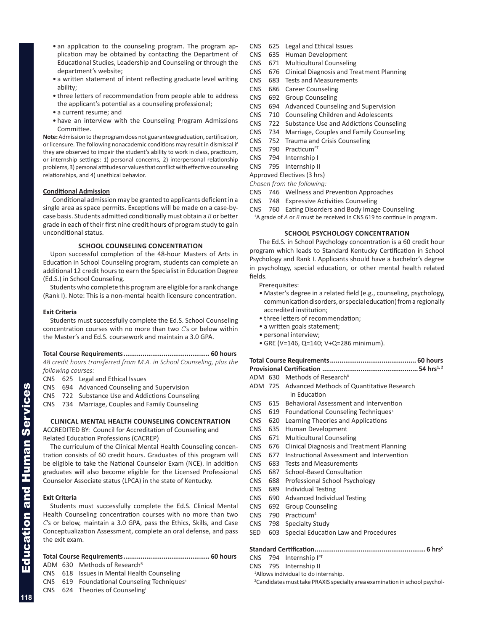- an application to the counseling program. The program application may be obtained by contacting the Department of Educational Studies, Leadership and Counseling or through the department's website;
- a written statement of intent reflecting graduate level writing ability;
- three letters of recommendation from people able to address the applicant's potential as a counseling professional;
- a current resume; and
- have an interview with the Counseling Program Admissions Committee.

**Note:** Admission to the program does not guarantee graduation, certification, or licensure. The following nonacademic conditions may result in dismissal if they are observed to impair the student's ability to work in class, practicum, or internship settings: 1) personal concerns, 2) interpersonal relationship problems, 3) personal attitudes or values that conflict with effective counseling relationships, and 4) unethical behavior.

# **Conditional Admission**

Conditional admission may be granted to applicants deficient in a single area as space permits. Exceptions will be made on a case-bycase basis. Students admitted conditionally must obtain a *B* or better grade in each of their first nine credit hours of program study to gain unconditional status.

# **school COUNSELING CONCENTRATION**

Upon successful completion of the 48-hour Masters of Arts in Education in School Counseling program, students can complete an additional 12 credit hours to earn the Specialist in Education Degree (Ed.S.) in School Counseling.

Students who complete this program are eligible for a rank change (Rank I). Note: This is a non-mental health licensure concentration.

# **Exit Criteria**

Students must successfully complete the Ed.S. School Counseling concentration courses with no more than two *C*'s or below within the Master's and Ed.S. coursework and maintain a 3.0 GPA.

# **Total Course Requirements............................................. 60 hours**

*48 credit hours transferred from M.A. in School Counseling, plus the following courses:*

CNS 625 Legal and Ethical Issues

- CNS 694 Advanced Counseling and Supervision
- CNS 722 Substance Use and Addictions Counseling

CNS 734 Marriage, Couples and Family Counseling

# **CLINICAL MENTAL HEALTH COUNSELING CONCENTRATION**

ACCREDITED BY: Council for Accreditation of Counseling and Related Education Professions (CACREP)

The curriculum of the Clinical Mental Health Counseling concentration consists of 60 credit hours. Graduates of this program will be eligible to take the National Counselor Exam (NCE). In addition graduates will also become eligible for the Licensed Professional Counselor Associate status (LPCA) in the state of Kentucky.

# **Exit Criteria**

Students must successfully complete the Ed.S. Clinical Mental Health Counseling concentration courses with no more than two *C*'s or below, maintain a 3.0 GPA, pass the Ethics, Skills, and Case Conceptualization Assessment, complete an oral defense, and pass the exit exam.

# **Total Course Requirements............................................. 60 hours**

ADM 630 Methods of Research<sup>R</sup>

- CNS 618 Issues in Mental Health Counseling
- CNS 619 Foundational Counseling Techniques<sup>1</sup>
- CNS 624 Theories of CounselingL
- CNS 625 Legal and Ethical Issues
- CNS 635 Human Development
- CNS 671 Multicultural Counseling
- CNS 676 Clinical Diagnosis and Treatment Planning
- CNS 683 Tests and Measurements
- CNS 686 Career Counseling
- CNS 692 Group Counseling
- CNS 694 Advanced Counseling and Supervision
- CNS 710 Counseling Children and Adolescents
- CNS 722 Substance Use and Addictions Counseling
- CNS 734 Marriage, Couples and Family Counseling
- CNS 752 Trauma and Crisis Counseling
- CNS 790 Practicum<sup>PT</sup>
- CNS 794 Internship I
- CNS 795 Internship II

Approved Electives (3 hrs)

- *Chosen from the following:*
- CNS 746 Wellness and Prevention Approaches
- CNS 748 Expressive Activities Counseling
- CNS 760 Eating Disorders and Body Image Counseling <sup>1</sup>A grade of *A* or *B* must be received in CNS 619 to continue in program.

# **SCHOOL PSYCHOLOGY CONCENTRATION**

The Ed.S. in School Psychology concentration is a 60 credit hour program which leads to Standard Kentucky Certification in School Psychology and Rank I. Applicants should have a bachelor's degree in psychology, special education, or other mental health related fields.

Prerequisites:

- Master's degree in a related field (e.g., counseling, psychology, communication disorders, or special education) from a regionally accredited institution;
- three letters of recommendation;
- a written goals statement;
- personal interview;
- GRE (V=146, Q=140; V+Q=286 minimum).

# **Total Course Requirements............................................. 60 hours**

**Provisional Certification ..................................................54 hrs1, 2**

- ADM 630 Methods of Research<sup>R</sup>
- ADM 725 Advanced Methods of Quantitative Research in Education
- CNS 615 Behavioral Assessment and Intervention
- CNS 619 Foundational Counseling Techniques<sup>3</sup>
- CNS 620 Learning Theories and Applications
- CNS 635 Human Development
- CNS 671 Multicultural Counseling
- CNS 676 Clinical Diagnosis and Treatment Planning
- CNS 677 Instructional Assessment and Intervention
- CNS 683 Tests and Measurements
- CNS 687 School-Based Consultation
- CNS 688 Professional School Psychology
- CNS 689 Individual Testing
- CNS 690 Advanced Individual Testing
- CNS 692 Group Counseling
- CNS 790 Practicum4
- CNS 798 Specialty Study
- SED 603 Special Education Law and Procedures

# **Standard Certification..........................................................6 hrs5**

CNS 794 Internship IPT

- CNS 795 Internship II
- 1 Allows individual to do internship.

<sup>2</sup> Candidates must take PRAXIS specialty area examination in school psychol-

Education and Human Services

**Education and Human Services**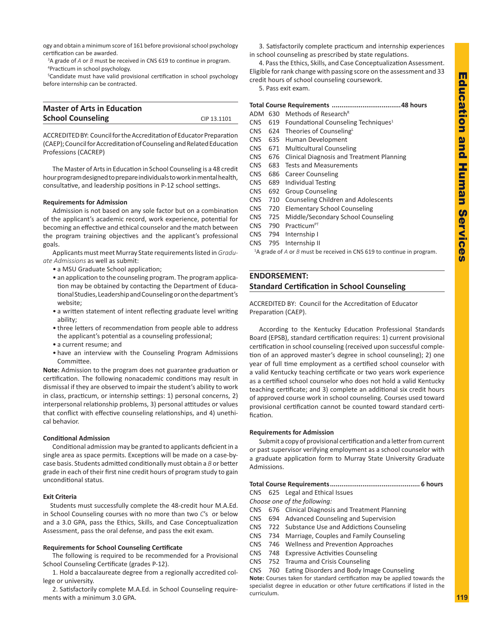<span id="page-32-0"></span>ogy and obtain a minimum score of 161 before provisional school psychology certification can be awarded.

<sup>3</sup>A grade of *A* or *B* must be received in CNS 619 to continue in program. 4 Practicum in school psychology.

<sup>5</sup>Candidate must have valid provisional certification in school psychology before internship can be contracted.

| <b>Master of Arts in Education</b> |             |
|------------------------------------|-------------|
| <b>School Counseling</b>           | CIP 13.1101 |

ACCREDITED BY: Council for the Accreditation of Educator Preparation (CAEP); Council for Accreditation of Counseling and Related Education Professions (CACREP)

The Master of Arts in Education in School Counseling is a 48 credit hour program designed to prepare individuals to work in mental health, consultative, and leadership positions in P-12 school settings.

# **Requirements for Admission**

Admission is not based on any sole factor but on a combination of the applicant's academic record, work experience, potential for becoming an effective and ethical counselor and the match between the program training objectives and the applicant's professional goals.

Applicants must meet Murray State requirements listed in *Graduate Admissions* as well as submit:

- a MSU Graduate School application;
- an application to the counseling program. The program application may be obtained by contacting the Department of Educational Studies, Leadership and Counseling or on the department's website;
- a written statement of intent reflecting graduate level writing ability;
- three letters of recommendation from people able to address the applicant's potential as a counseling professional;
- a current resume; and
- have an interview with the Counseling Program Admissions Committee.

**Note:** Admission to the program does not guarantee graduation or certification. The following nonacademic conditions may result in dismissal if they are observed to impair the student's ability to work in class, practicum, or internship settings: 1) personal concerns, 2) interpersonal relationship problems, 3) personal attitudes or values that conflict with effective counseling relationships, and 4) unethical behavior.

# **Conditional Admission**

Conditional admission may be granted to applicants deficient in a single area as space permits. Exceptions will be made on a case-bycase basis. Students admitted conditionally must obtain a *B* or better grade in each of their first nine credit hours of program study to gain unconditional status.

# **Exit Criteria**

Students must successfully complete the 48-credit hour M.A.Ed. in School Counseling courses with no more than two *C*'s or below and a 3.0 GPA, pass the Ethics, Skills, and Case Conceptualization Assessment, pass the oral defense, and pass the exit exam.

# **Requirements for School Counseling Certificate**

The following is required to be recommended for a Provisional School Counseling Certificate (grades P-12).

1. Hold a baccalaureate degree from a regionally accredited college or university.

2. Satisfactorily complete M.A.Ed. in School Counseling requirements with a minimum 3.0 GPA.

3. Satisfactorily complete practicum and internship experiences in school counseling as prescribed by state regulations.

4. Pass the Ethics, Skills, and Case Conceptualization Assessment. Eligible for rank change with passing score on the assessment and 33

credit hours of school counseling coursework.

5. Pass exit exam.

| ADM        | 630 | Methods of Research <sup>R</sup>                |
|------------|-----|-------------------------------------------------|
| <b>CNS</b> | 619 | Foundational Counseling Techniques <sup>1</sup> |
| CNS.       | 624 | Theories of Counseling <sup>L</sup>             |
| CNS.       | 635 | Human Development                               |
| <b>CNS</b> | 671 | <b>Multicultural Counseling</b>                 |
| CNS.       | 676 | Clinical Diagnosis and Treatment Planning       |
| CNS        | 683 | <b>Tests and Measurements</b>                   |
| <b>CNS</b> | 686 | <b>Career Counseling</b>                        |
| CNS.       | 689 | Individual Testing                              |
| CNS.       | 692 | <b>Group Counseling</b>                         |
| <b>CNS</b> | 710 | <b>Counseling Children and Adolescents</b>      |
| CNS.       | 720 | <b>Elementary School Counseling</b>             |
| <b>CNS</b> | 725 | Middle/Secondary School Counseling              |
| CNS.       | 790 | Practicum <sup>PT</sup>                         |
| CNS        | 794 | Internship I                                    |
| <b>CNS</b> | 795 | Internship II                                   |

<sup>1</sup>A grade of *A* or *B* must be received in CNS 619 to continue in program.

# **ENDORSEMENT: Standard Certification in School Counseling**

ACCREDITED BY: Council for the Accreditation of Educator Preparation (CAEP).

According to the Kentucky Education Professional Standards Board (EPSB), standard certification requires: 1) current provisional certification in school counseling (received upon successful completion of an approved master's degree in school counseling); 2) one year of full time employment as a certified school counselor with a valid Kentucky teaching certificate or two years work experience as a certified school counselor who does not hold a valid Kentucky teaching certificate; and 3) complete an additional six credit hours of approved course work in school counseling. Courses used toward provisional certification cannot be counted toward standard certification.

# **Requirements for Admission**

Submit a copy of provisional certification and a letter from current or past supervisor verifying employment as a school counselor with a graduate application form to Murray State University Graduate Admissions.

# **Total Course Requirements............................................... 6 hours**

CNS 625 Legal and Ethical Issues

- *Choose one of the following:*
- CNS 676 Clinical Diagnosis and Treatment Planning
- CNS 694 Advanced Counseling and Supervision
- CNS 722 Substance Use and Addictions Counseling
- CNS 734 Marriage, Couples and Family Counseling
- CNS 746 Wellness and Prevention Approaches
- CNS 748 Expressive Activities Counseling
- CNS 752 Trauma and Crisis Counseling
- CNS 760 Eating Disorders and Body Image Counseling

**Note:** Courses taken for standard certification may be applied towards the specialist degree in education or other future certifications if listed in the curriculum.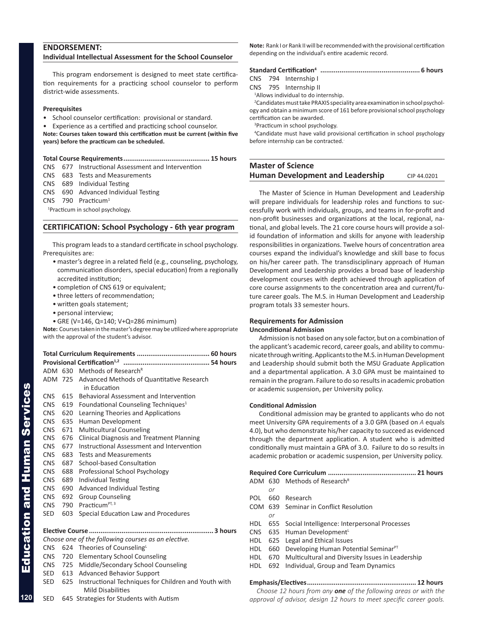# <span id="page-33-0"></span>**ENDORSEMENT:**

# **Individual Intellectual Assessment for the School Counselor**

This program endorsement is designed to meet state certification requirements for a practicing school counselor to perform district-wide assessments.

# **Prerequisites**

• School counselor certification: provisional or standard.

• Experience as a certified and practicing school counselor.

**Note: Courses taken toward this certification must be current (within five years) before the practicum can be scheduled.**

# **Total Course Requirements............................................. 15 hours**

- CNS 677 Instructional Assessment and Intervention
- CNS 683 Tests and Measurements
- CNS 689 Individual Testing

CNS 690 Advanced Individual Testing

CNS 790 Practicum1

1 Practicum in school psychology.

# **CERTIFICATION: School Psychology - 6th year program**

This program leads to a standard certificate in school psychology. Prerequisites are:

- master's degree in a related field (e.g., counseling, psychology, communication disorders, special education) from a regionally accredited institution;
- completion of CNS 619 or equivalent;
- three letters of recommendation;
- written goals statement;
- personal interview;
- GRE (V=146, Q=140; V+Q=286 minimum)

**Note:** Courses taken in the master's degree may be utilized where appropriate with the approval of the student's advisor.

|            |     | ADM 630 Methods of Research <sup>R</sup>                                         |  |
|------------|-----|----------------------------------------------------------------------------------|--|
|            |     | ADM 725 Advanced Methods of Quantitative Research                                |  |
|            |     | in Education                                                                     |  |
| <b>CNS</b> | 615 | Behavioral Assessment and Intervention                                           |  |
| CNS        | 619 | Foundational Counseling Techniques <sup>1</sup>                                  |  |
| <b>CNS</b> | 620 | Learning Theories and Applications                                               |  |
| <b>CNS</b> | 635 | Human Development                                                                |  |
| <b>CNS</b> | 671 | <b>Multicultural Counseling</b>                                                  |  |
| <b>CNS</b> | 676 | <b>Clinical Diagnosis and Treatment Planning</b>                                 |  |
| <b>CNS</b> | 677 | Instructional Assessment and Intervention                                        |  |
| CNS.       | 683 | Tests and Measurements                                                           |  |
| <b>CNS</b> | 687 | School-based Consultation                                                        |  |
| CNS.       | 688 | Professional School Psychology                                                   |  |
| <b>CNS</b> | 689 | <b>Individual Testing</b>                                                        |  |
| <b>CNS</b> | 690 | <b>Advanced Individual Testing</b>                                               |  |
| <b>CNS</b> | 692 | <b>Group Counseling</b>                                                          |  |
| <b>CNS</b> | 790 | Practicum <sup>PT, 3</sup>                                                       |  |
| SED        | 603 | Special Education Law and Procedures                                             |  |
|            |     |                                                                                  |  |
|            |     |                                                                                  |  |
|            |     | Choose one of the following courses as an elective.                              |  |
| CNS        |     | 624 Theories of CounselingL                                                      |  |
| CNS        |     | 720 Elementary School Counseling                                                 |  |
| CNS        |     | 725 Middle/Secondary School Counseling                                           |  |
| SED        | 613 | <b>Advanced Behavior Support</b>                                                 |  |
| SED        | 625 | Instructional Techniques for Children and Youth with<br><b>Mild Disabilities</b> |  |
| <b>SED</b> |     | 645 Strategies for Students with Autism                                          |  |

**Note:** Rank I or Rank II will be recommended with the provisional certification depending on the individual's entire academic record.

| <b>Standard Certification4</b> |  |
|--------------------------------|--|
|                                |  |

CNS 794 Internship I

CNS 795 Internship II

<sup>1</sup>Allows individual to do internship.

2 Candidates must take PRAXIS speciality area examination in school psychology and obtain a minimum score of 161 before provisional school psychology certification can be awarded.

3 Practicum in school psychology.

4 Candidate must have valid provisional certification in school psychology before internship can be contracted.

# **Master of Science Human Development and Leadership** CIP 44.0201

The Master of Science in Human Development and Leadership will prepare individuals for leadership roles and functions to successfully work with individuals, groups, and teams in for-profit and non-profit businesses and organizations at the local, regional, national, and global levels. The 21 core course hours will provide a solid foundation of information and skills for anyone with leadership responsibilities in organizations. Twelve hours of concentration area courses expand the individual's knowledge and skill base to focus on his/her career path. The transdisciplinary approach of Human Development and Leadership provides a broad base of leadership development courses with depth achieved through application of core course assignments to the concentration area and current/future career goals. The M.S. in Human Development and Leadership program totals 33 semester hours.

# **Requirements for Admission**

# **Unconditional Admission**

Admission is not based on any sole factor, but on a combination of the applicant's academic record, career goals, and ability to communicate through writing. Applicants to the M.S. in Human Development and Leadership should submit both the MSU Graduate Application and a departmental application. A 3.0 GPA must be maintained to remain in the program. Failure to do so results in academic probation or academic suspension, per University policy.

# **Conditional Admission**

Conditional admission may be granted to applicants who do not meet University GPA requirements of a 3.0 GPA (based on *A* equals 4.0), but who demonstrate his/her capacity to succeed as evidenced through the department application. A student who is admitted conditionally must maintain a GPA of 3.0. Failure to do so results in academic probation or academic suspension, per University policy.

|     |     | ADM 630 Methods of Research <sup>R</sup>                 |  |  |  |
|-----|-----|----------------------------------------------------------|--|--|--|
|     | or  |                                                          |  |  |  |
| POL | 660 | Research                                                 |  |  |  |
|     |     | COM 639 Seminar in Conflict Resolution                   |  |  |  |
|     | or  |                                                          |  |  |  |
|     |     | HDL 655 Social Intelligence: Interpersonal Processes     |  |  |  |
|     |     | CNS 635 Human Development                                |  |  |  |
|     |     | HDL 625 Legal and Ethical Issues                         |  |  |  |
| HDL |     | 660 Developing Human Potential Seminar <sup>PT</sup>     |  |  |  |
|     |     | HDL 670 Multicultural and Diversity Issues in Leadership |  |  |  |
| HDL |     | 692 Individual, Group and Team Dynamics                  |  |  |  |
|     |     |                                                          |  |  |  |
|     |     |                                                          |  |  |  |

*Choose 12 hours from any one of the following areas or with the approval of advisor, design 12 hours to meet specific career goals.*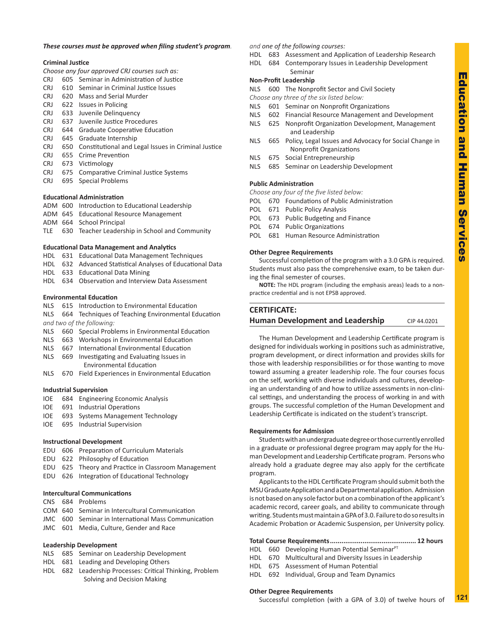# <span id="page-34-0"></span>*These courses must be approved when filing student's program.*

# **Criminal Justice**

*Choose any four approved CRJ courses such as:*

- CRJ 605 Seminar in Administration of Justice
- CRJ 610 Seminar in Criminal Justice Issues
- CRJ 620 Mass and Serial Murder
- CRJ 622 Issues in Policing
- CRJ 633 Juvenile Delinquency
- CRJ 637 Juvenile Justice Procedures
- CRJ 644 Graduate Cooperative Education
- CRJ 645 Graduate Internship
- CRJ 650 Constitutional and Legal Issues in Criminal Justice
- CRJ 655 Crime Prevention
- CRJ 673 Victimology
- CRJ 675 Comparative Criminal Justice Systems
- CRJ 695 Special Problems

# **Educational Administration**

- ADM 600 Introduction to Educational Leadership
- ADM 645 Educational Resource Management
- ADM 664 School Principal
- TLE 630 Teacher Leadership in School and Community

# **Educational Data Management and Analytics**

- HDL 631 Educational Data Management Techniques
- HDL 632 Advanced Statistical Analyses of Educational Data
- HDL 633 Educational Data Mining
- HDL 634 Observation and Interview Data Assessment

# **Environmental Education**

- NLS 615 Introduction to Environmental Education
- NLS 664 Techniques of Teaching Environmental Education *and two of the following:*
- NLS 660 Special Problems in Environmental Education
- NLS 663 Workshops in Environmental Education
- NLS 667 International Environmental Education
- NLS 669 Investigating and Evaluating Issues in Environmental Education
- NLS 670 Field Experiences in Environmental Education

# **Industrial Supervision**

- IOE 684 Engineering Economic Analysis
- IOE 691 Industrial Operations
- IOE 693 Systems Management Technology
- IOE 695 Industrial Supervision

# **Instructional Development**

- EDU 606 Preparation of Curriculum Materials
- EDU 622 Philosophy of Education
- EDU 625 Theory and Practice in Classroom Management
- EDU 626 Integration of Educational Technology

# **Intercultural Communications**

- CNS 684 Problems
- COM 640 Seminar in Intercultural Communication
- JMC 600 Seminar in International Mass Communication
- JMC 601 Media, Culture, Gender and Race

# **Leadership Development**

- NLS 685 Seminar on Leadership Development
- HDL 681 Leading and Developing Others
- HDL 682 Leadership Processes: Critical Thinking, Problem Solving and Decision Making

# *and one of the following courses:*

- HDL 683 Assessment and Application of Leadership Research
- HDL 684 Contemporary Issues in Leadership Development Seminar

# **Non-Profit Leadership**

NLS 600 The Nonprofit Sector and Civil Society

- *Choose any three of the six listed below:*
- NLS 601 Seminar on Nonprofit Organizations
- NLS 602 Financial Resource Management and Development NLS 625 Nonprofit Organization Development, Management
- and Leadership NLS 665 Policy, Legal Issues and Advocacy for Social Change in
- Nonprofit Organizations NLS 675 Social Entrepreneurship
- 
- NLS 685 Seminar on Leadership Development

# **Public Administration**

- *Choose any four of the five listed below:*
- POL 670 Foundations of Public Administration
- POL 671 Public Policy Analysis
- POL 673 Public Budgeting and Finance
- POL 674 Public Organizations
- POL 681 Human Resource Administration

## **Other Degree Requirements**

Successful completion of the program with a 3.0 GPA is required. Students must also pass the comprehensive exam, to be taken during the final semester of courses.

**NOTE:** The HDL program (including the emphasis areas) leads to a nonpractice credential and is not EPSB approved.

# **CERTIFICATE:**

# **Human Development and Leadership** CIP 44.0201

The Human Development and Leadership Certificate program is designed for individuals working in positions such as administrative, program development, or direct information and provides skills for those with leadership responsibilities or for those wanting to move toward assuming a greater leadership role. The four courses focus on the self, working with diverse individuals and cultures, developing an understanding of and how to utilize assessments in non-clinical settings, and understanding the process of working in and with groups. The successful completion of the Human Development and Leadership Certificate is indicated on the student's transcript.

# **Requirements for Admission**

Students with an undergraduate degree or those currently enrolled in a graduate or professional degree program may apply for the Human Development and Leadership Certificate program. Persons who already hold a graduate degree may also apply for the certificate program.

Applicants to the HDL Certificate Program should submit both the MSU Graduate Application and a Departmental application. Admission is not based on any sole factor but on a combination of the applicant's academic record, career goals, and ability to communicate through writing. Students must maintain a GPA of 3.0. Failure to do so results in Academic Probation or Academic Suspension, per University policy.

# **Total Course Requirements............................................. 12 hours**

- HDL 660 Developing Human Potential Seminar<sup>PT</sup> HDL 670 Multicultural and Diversity Issues in Leadership
- HDL 675 Assessment of Human Potential
- 

# HDL 692 Individual, Group and Team Dynamics

# **Other Degree Requirements**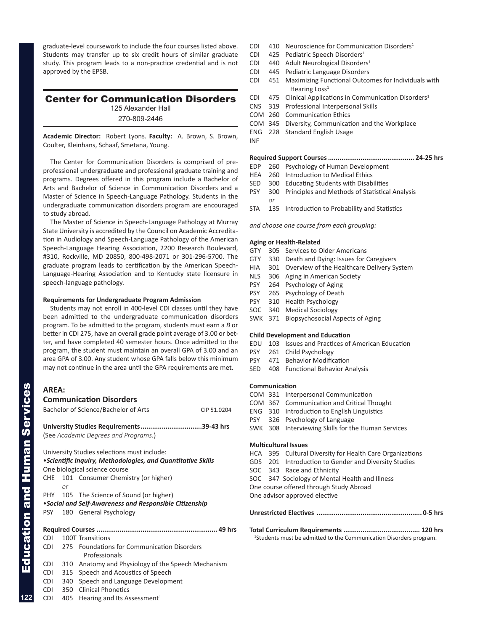<span id="page-35-0"></span>graduate-level coursework to include the four courses listed above. Students may transfer up to six credit hours of similar graduate study. This program leads to a non-practice credential and is not approved by the EPSB.

# Center for Communication Disorders

125 Alexander Hall 270-809-2446

**Academic Director:** Robert Lyons. **Faculty:** A. Brown, S. Brown, Coulter, Kleinhans, Schaaf, Smetana, Young.

The Center for Communication Disorders is comprised of preprofessional undergraduate and professional graduate training and programs. Degrees offered in this program include a Bachelor of Arts and Bachelor of Science in Communication Disorders and a Master of Science in Speech-Language Pathology. Students in the undergraduate communication disorders program are encouraged to study abroad.

The Master of Science in Speech-Language Pathology at Murray State University is accredited by the Council on Academic Accreditation in Audiology and Speech-Language Pathology of the American Speech-Language Hearing Association, 2200 Research Boulevard, #310, Rockville, MD 20850, 800-498-2071 or 301-296-5700. The graduate program leads to certification by the American Speech-Language-Hearing Association and to Kentucky state licensure in speech-language pathology.

# **Requirements for Undergraduate Program Admission**

Students may not enroll in 400-level CDI classes until they have been admitted to the undergraduate communication disorders program. To be admitted to the program, students must earn a *B* or better in CDI 275, have an overall grade point average of 3.00 or better, and have completed 40 semester hours. Once admitted to the program, the student must maintain an overall GPA of 3.00 and an area GPA of 3.00. Any student whose GPA falls below this minimum may not continue in the area until the GPA requirements are met.

| <b>AREA:</b> |     |                                                              |             |
|--------------|-----|--------------------------------------------------------------|-------------|
|              |     | <b>Communication Disorders</b>                               |             |
|              |     | Bachelor of Science/Bachelor of Arts                         | CIP 51.0204 |
|              |     |                                                              |             |
|              |     | University Studies Requirements39-43 hrs                     |             |
|              |     | (See Academic Degrees and Programs.)                         |             |
|              |     | University Studies selections must include:                  |             |
|              |     | • Scientific Inquiry, Methodologies, and Quantitative Skills |             |
|              |     | One biological science course                                |             |
| <b>CHE</b>   |     | 101 Consumer Chemistry (or higher)                           |             |
|              | or  |                                                              |             |
|              |     | PHY 105 The Science of Sound (or higher)                     |             |
|              |     | . Social and Self-Awareness and Responsible Citizenship      |             |
| PSY          |     | 180 General Psychology                                       |             |
|              |     |                                                              |             |
|              |     |                                                              |             |
| CDI          |     | 100T Transitions                                             |             |
| <b>CDI</b>   |     | 275 Foundations for Communication Disorders                  |             |
|              |     | Professionals                                                |             |
| <b>CDI</b>   | 310 | Anatomy and Physiology of the Speech Mechanism               |             |
| <b>CDI</b>   |     | 315 Speech and Acoustics of Speech                           |             |
| <b>CDI</b>   | 340 | Speech and Language Development                              |             |
|              |     |                                                              |             |

- CDI 350 Clinical Phonetics
- CDI 405 Hearing and Its Assessment<sup>1</sup>
- CDI 410 Neuroscience for Communication Disorders<sup>1</sup>
- CDI 425 Pediatric Speech Disorders<sup>1</sup>
- CDI 440 Adult Neurological Disorders<sup>1</sup>
- CDI 445 Pediatric Language Disorders
- CDI 451 Maximizing Functional Outcomes for Individuals with Hearing Loss<sup>1</sup>
- CDI 475 Clinical Applications in Communication Disorders<sup>1</sup>
- CNS 319 Professional Interpersonal Skills
- COM 260 Communication Ethics
- COM 345 Diversity, Communication and the Workplace
- ENG 228 Standard English Usage
- **Required Support Courses............................................. 24-25 hrs**
- EDP 260 Psychology of Human Development
- HEA 260 Introduction to Medical Ethics
- SED 300 Educating Students with Disabilities
- PSY 300 Principles and Methods of Statistical Analysis *or*
- STA 135 Introduction to Probability and Statistics

*and choose one course from each grouping:*

# **Aging or Health-Related**

INF

- GTY 305 Services to Older Americans
- GTY 330 Death and Dying: Issues for Caregivers
- HIA 301 Overview of the Healthcare Delivery System
- NLS 306 Aging in American Society
- PSY 264 Psychology of Aging
- PSY 265 Psychology of Death
- PSY 310 Health Psychology
- SOC 340 Medical Sociology
- SWK 371 Biopsychosocial Aspects of Aging

# **Child Development and Education**

- EDU 103 Issues and Practices of American Education
- PSY 261 Child Psychology
- PSY 471 Behavior Modification
- SED 408 Functional Behavior Analysis

# **Communication**

- COM 331 Interpersonal Communication
- COM 367 Communication and Critical Thought
- ENG 310 Introduction to English Linguistics
- PSY 326 Psychology of Language
- SWK 308 Interviewing Skills for the Human Services

# **Multicultural Issues**

- HCA 395 Cultural Diversity for Health Care Organizations
- GDS 201 Introduction to Gender and Diversity Studies
- SOC 343 Race and Ethnicity
- SOC 347 Sociology of Mental Health and Illness
- One course offered through Study Abroad

One advisor approved elective

|--|--|

| <sup>1</sup> Students must be admitted to the Communication Disorders program. |  |
|--------------------------------------------------------------------------------|--|

**122**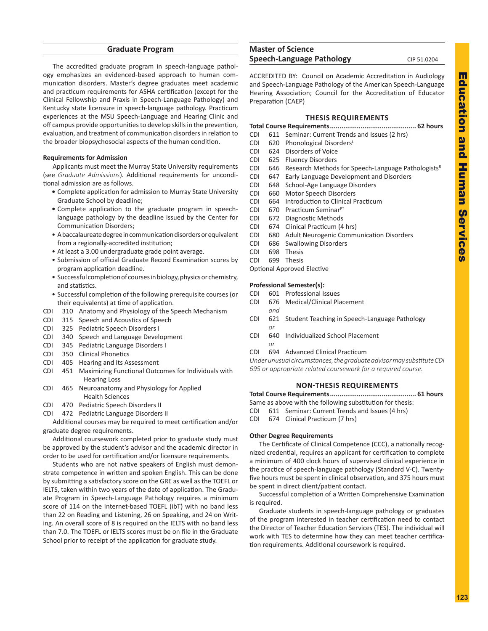# **Graduate Program**

<span id="page-36-0"></span>The accredited graduate program in speech-language pathology emphasizes an evidenced-based approach to human communication disorders. Master's degree graduates meet academic and practicum requirements for ASHA certification (except for the Clinical Fellowship and Praxis in Speech-Language Pathology) and Kentucky state licensure in speech-language pathology. Practicum experiences at the MSU Speech-Language and Hearing Clinic and off campus provide opportunities to develop skills in the prevention, evaluation, and treatment of communication disorders in relation to the broader biopsychosocial aspects of the human condition.

# **Requirements for Admission**

Applicants must meet the Murray State University requirements (see *Graduate Admissions*). Additional requirements for unconditional admission are as follows.

- **•** Complete application for admission to Murray State University Graduate School by deadline;
- **•** Complete application to the graduate program in speechlanguage pathology by the deadline issued by the Center for Communication Disorders;
- A baccalaureate degree in communication disorders or equivalent from a regionally-accredited institution;
- At least a 3.00 undergraduate grade point average.
- Submission of official Graduate Record Examination scores by program application deadline.
- Successful completion of courses in biology, physics or chemistry, and statistics.
- Successful completion of the following prerequisite courses (or their equivalents) at time of application.
- CDI 310 Anatomy and Physiology of the Speech Mechanism
- CDI 315 Speech and Acoustics of Speech
- CDI 325 Pediatric Speech Disorders I
- CDI 340 Speech and Language Development
- CDI 345 Pediatric Language Disorders I
- CDI 350 Clinical Phonetics
- CDI 405 Hearing and Its Assessment
- CDI 451 Maximizing Functional Outcomes for Individuals with Hearing Loss
- CDI 465 Neuroanatomy and Physiology for Applied Health Sciences
- CDI 470 Pediatric Speech Disorders II
- CDI 472 Pediatric Language Disorders II

Additional courses may be required to meet certification and/or graduate degree requirements.

Additional coursework completed prior to graduate study must be approved by the student's advisor and the academic director in order to be used for certification and/or licensure requirements.

Students who are not native speakers of English must demonstrate competence in written and spoken English. This can be done by submitting a satisfactory score on the GRE as well as the TOEFL or IELTS, taken within two years of the date of application. The Graduate Program in Speech-Language Pathology requires a minimum score of 114 on the Internet-based TOEFL (ibT) with no band less than 22 on Reading and Listening, 26 on Speaking, and 24 on Writing. An overall score of 8 is required on the IELTS with no band less than 7.0. The TOEFL or IELTS scores must be on file in the Graduate School prior to receipt of the application for graduate study.

# **Master of Science Speech-Language Pathology** CIP 51.0204

ACCREDITED BY: Council on Academic Accreditation in Audiology and Speech-Language Pathology of the American Speech-Language Hearing Association; Council for the Accreditation of Educator Preparation (CAEP)

# **THESIS REQUIREMENTS**

- **Total Course Requirements............................................. 62 hours**
- CDI 611 Seminar: Current Trends and Issues (2 hrs)
- CDI 620 Phonological Disorders<sup>L</sup>
- CDI 624 Disorders of Voice CDI 625 Fluency Disorders
- 
- CDI 646 Research Methods for Speech-Language Pathologists<sup>R</sup>
- CDI 647 Early Language Development and Disorders
- CDI 648 School-Age Language Disorders CDI 660 Motor Speech Disorders
- CDI 664 Introduction to Clinical Practicum
- CDI 670 Practicum Seminar<sup>PT</sup>
- CDI 672 Diagnostic Methods
- CDI 674 Clinical Practicum (4 hrs)
- CDI 680 Adult Neurogenic Communication Disorders
- CDI 686 Swallowing Disorders
- CDI 698 Thesis
- CDI 699 Thesis
- Optional Approved Elective

# **Professional Semester(s):**

- CDI 601 Professional Issues
- CDI 676 Medical/Clinical Placement
- *and* CDI 621 Student Teaching in Speech-Language Pathology *or*
- CDI 640 Individualized School Placement *or*
- CDI 694 Advanced Clinical Practicum

*Under unusual circumstances, the graduate advisor may substitute CDI 695 or appropriate related coursework for a required course.*

# **NON-THESIS REQUIREMENTS**

**Total Course Requirements............................................. 61 hours**

- Same as above with the following substitution for thesis:
- CDI 611 Seminar: Current Trends and Issues (4 hrs)
- CDI 674 Clinical Practicum (7 hrs)

# **Other Degree Requirements**

The Certificate of Clinical Competence (CCC), a nationally recognized credential, requires an applicant for certification to complete a minimum of 400 clock hours of supervised clinical experience in the practice of speech-language pathology (Standard V-C). Twentyfive hours must be spent in clinical observation, and 375 hours must be spent in direct client/patient contact.

Successful completion of a Written Comprehensive Examination is required.

Graduate students in speech-language pathology or graduates of the program interested in teacher certification need to contact the Director of Teacher Education Services (TES). The individual will work with TES to determine how they can meet teacher certification requirements. Additional coursework is required.